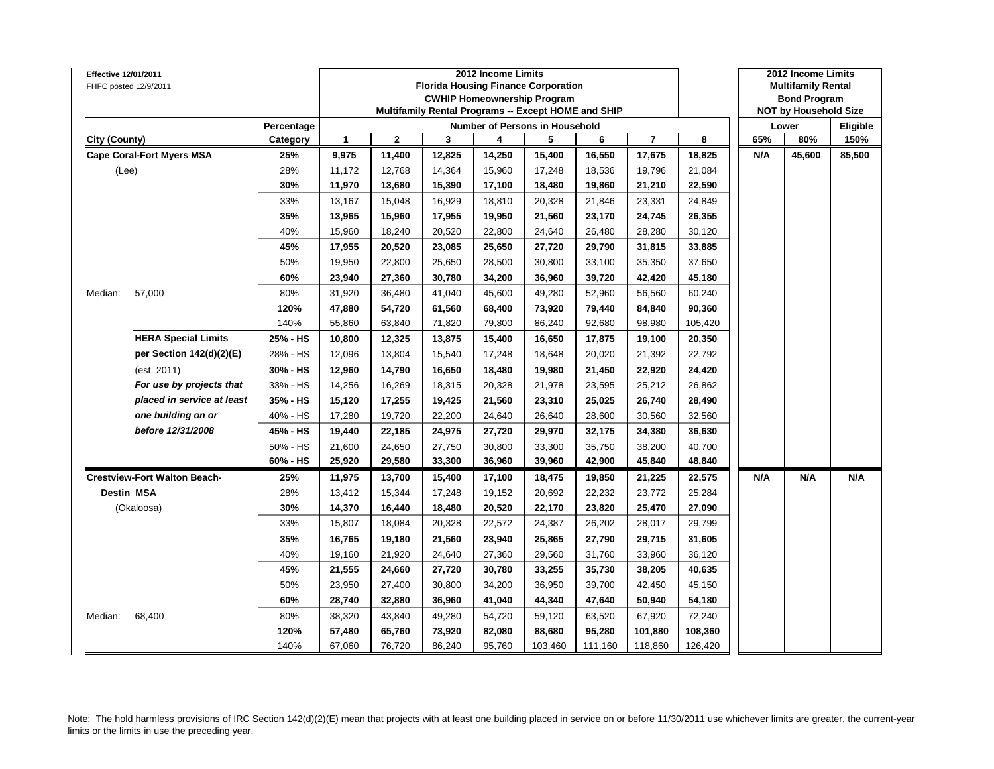| Effective 12/01/2011<br>FHFC posted 12/9/2011 |            |        |             |        | 2012 Income Limits | <b>Florida Housing Finance Corporation</b><br><b>CWHIP Homeownership Program</b><br>Multifamily Rental Programs -- Except HOME and SHIP |         |                |         |     | 2012 Income Limits<br><b>Multifamily Rental</b><br><b>Bond Program</b><br><b>NOT by Household Size</b> |          |
|-----------------------------------------------|------------|--------|-------------|--------|--------------------|-----------------------------------------------------------------------------------------------------------------------------------------|---------|----------------|---------|-----|--------------------------------------------------------------------------------------------------------|----------|
|                                               | Percentage |        |             |        |                    | <b>Number of Persons in Household</b>                                                                                                   |         |                |         |     | Lower                                                                                                  | Eligible |
| City (County)                                 | Category   | 1      | $\mathbf 2$ | 3      | 4                  | 5                                                                                                                                       | 6       | $\overline{7}$ | 8       | 65% | 80%                                                                                                    | 150%     |
| <b>Cape Coral-Fort Myers MSA</b>              | 25%        | 9,975  | 11,400      | 12,825 | 14,250             | 15,400                                                                                                                                  | 16,550  | 17,675         | 18,825  | N/A | 45,600                                                                                                 | 85,500   |
| (Lee)                                         | 28%        | 11,172 | 12,768      | 14,364 | 15,960             | 17,248                                                                                                                                  | 18,536  | 19,796         | 21,084  |     |                                                                                                        |          |
|                                               | 30%        | 11,970 | 13,680      | 15,390 | 17,100             | 18,480                                                                                                                                  | 19,860  | 21,210         | 22,590  |     |                                                                                                        |          |
|                                               | 33%        | 13,167 | 15,048      | 16,929 | 18,810             | 20,328                                                                                                                                  | 21,846  | 23,331         | 24,849  |     |                                                                                                        |          |
|                                               | 35%        | 13,965 | 15,960      | 17,955 | 19,950             | 21,560                                                                                                                                  | 23,170  | 24,745         | 26,355  |     |                                                                                                        |          |
|                                               | 40%        | 15,960 | 18,240      | 20,520 | 22,800             | 24,640                                                                                                                                  | 26,480  | 28,280         | 30,120  |     |                                                                                                        |          |
|                                               | 45%        | 17,955 | 20,520      | 23,085 | 25,650             | 27,720                                                                                                                                  | 29,790  | 31,815         | 33,885  |     |                                                                                                        |          |
|                                               | 50%        | 19,950 | 22,800      | 25,650 | 28,500             | 30,800                                                                                                                                  | 33,100  | 35,350         | 37,650  |     |                                                                                                        |          |
|                                               | 60%        | 23,940 | 27,360      | 30,780 | 34,200             | 36,960                                                                                                                                  | 39,720  | 42,420         | 45,180  |     |                                                                                                        |          |
| 57,000<br>Median:                             | 80%        | 31,920 | 36,480      | 41,040 | 45,600             | 49,280                                                                                                                                  | 52,960  | 56,560         | 60,240  |     |                                                                                                        |          |
|                                               | 120%       | 47,880 | 54,720      | 61,560 | 68,400             | 73,920                                                                                                                                  | 79,440  | 84,840         | 90,360  |     |                                                                                                        |          |
|                                               | 140%       | 55,860 | 63,840      | 71,820 | 79,800             | 86,240                                                                                                                                  | 92,680  | 98,980         | 105,420 |     |                                                                                                        |          |
| <b>HERA Special Limits</b>                    | 25% - HS   | 10,800 | 12,325      | 13,875 | 15,400             | 16,650                                                                                                                                  | 17,875  | 19,100         | 20,350  |     |                                                                                                        |          |
| per Section 142(d)(2)(E)                      | 28% - HS   | 12,096 | 13,804      | 15,540 | 17,248             | 18,648                                                                                                                                  | 20,020  | 21,392         | 22,792  |     |                                                                                                        |          |
| (est. 2011)                                   | 30% - HS   | 12,960 | 14,790      | 16,650 | 18,480             | 19,980                                                                                                                                  | 21,450  | 22,920         | 24,420  |     |                                                                                                        |          |
| For use by projects that                      | 33% - HS   | 14,256 | 16,269      | 18,315 | 20,328             | 21,978                                                                                                                                  | 23,595  | 25,212         | 26,862  |     |                                                                                                        |          |
| placed in service at least                    | 35% - HS   | 15,120 | 17,255      | 19,425 | 21,560             | 23,310                                                                                                                                  | 25,025  | 26,740         | 28,490  |     |                                                                                                        |          |
| one building on or                            | 40% - HS   | 17,280 | 19,720      | 22,200 | 24,640             | 26,640                                                                                                                                  | 28,600  | 30,560         | 32,560  |     |                                                                                                        |          |
| before 12/31/2008                             | 45% - HS   | 19,440 | 22,185      | 24,975 | 27,720             | 29,970                                                                                                                                  | 32,175  | 34,380         | 36,630  |     |                                                                                                        |          |
|                                               | 50% - HS   | 21,600 | 24,650      | 27,750 | 30,800             | 33,300                                                                                                                                  | 35,750  | 38,200         | 40,700  |     |                                                                                                        |          |
|                                               | 60% - HS   | 25,920 | 29,580      | 33,300 | 36,960             | 39,960                                                                                                                                  | 42,900  | 45,840         | 48,840  |     |                                                                                                        |          |
| <b>Crestview-Fort Walton Beach-</b>           | 25%        | 11,975 | 13,700      | 15,400 | 17,100             | 18,475                                                                                                                                  | 19,850  | 21,225         | 22,575  | N/A | N/A                                                                                                    | N/A      |
| <b>Destin MSA</b>                             | 28%        | 13,412 | 15,344      | 17,248 | 19,152             | 20,692                                                                                                                                  | 22,232  | 23,772         | 25,284  |     |                                                                                                        |          |
| (Okaloosa)                                    | 30%        | 14,370 | 16,440      | 18,480 | 20,520             | 22,170                                                                                                                                  | 23,820  | 25,470         | 27,090  |     |                                                                                                        |          |
|                                               | 33%        | 15,807 | 18,084      | 20,328 | 22,572             | 24,387                                                                                                                                  | 26,202  | 28,017         | 29,799  |     |                                                                                                        |          |
|                                               | 35%        | 16,765 | 19,180      | 21,560 | 23,940             | 25,865                                                                                                                                  | 27,790  | 29,715         | 31,605  |     |                                                                                                        |          |
|                                               | 40%        | 19,160 | 21,920      | 24,640 | 27,360             | 29,560                                                                                                                                  | 31,760  | 33,960         | 36,120  |     |                                                                                                        |          |
|                                               | 45%        | 21,555 | 24,660      | 27,720 | 30,780             | 33,255                                                                                                                                  | 35,730  | 38,205         | 40,635  |     |                                                                                                        |          |
|                                               | 50%        | 23,950 | 27,400      | 30,800 | 34,200             | 36,950                                                                                                                                  | 39,700  | 42,450         | 45,150  |     |                                                                                                        |          |
|                                               | 60%        | 28,740 | 32,880      | 36,960 | 41,040             | 44,340                                                                                                                                  | 47,640  | 50,940         | 54,180  |     |                                                                                                        |          |
| 68,400<br>Median:                             | 80%        | 38,320 | 43,840      | 49,280 | 54,720             | 59,120                                                                                                                                  | 63,520  | 67,920         | 72,240  |     |                                                                                                        |          |
|                                               | 120%       | 57,480 | 65,760      | 73,920 | 82,080             | 88,680                                                                                                                                  | 95,280  | 101,880        | 108,360 |     |                                                                                                        |          |
|                                               | 140%       | 67,060 | 76,720      | 86,240 | 95,760             | 103,460                                                                                                                                 | 111,160 | 118,860        | 126,420 |     |                                                                                                        |          |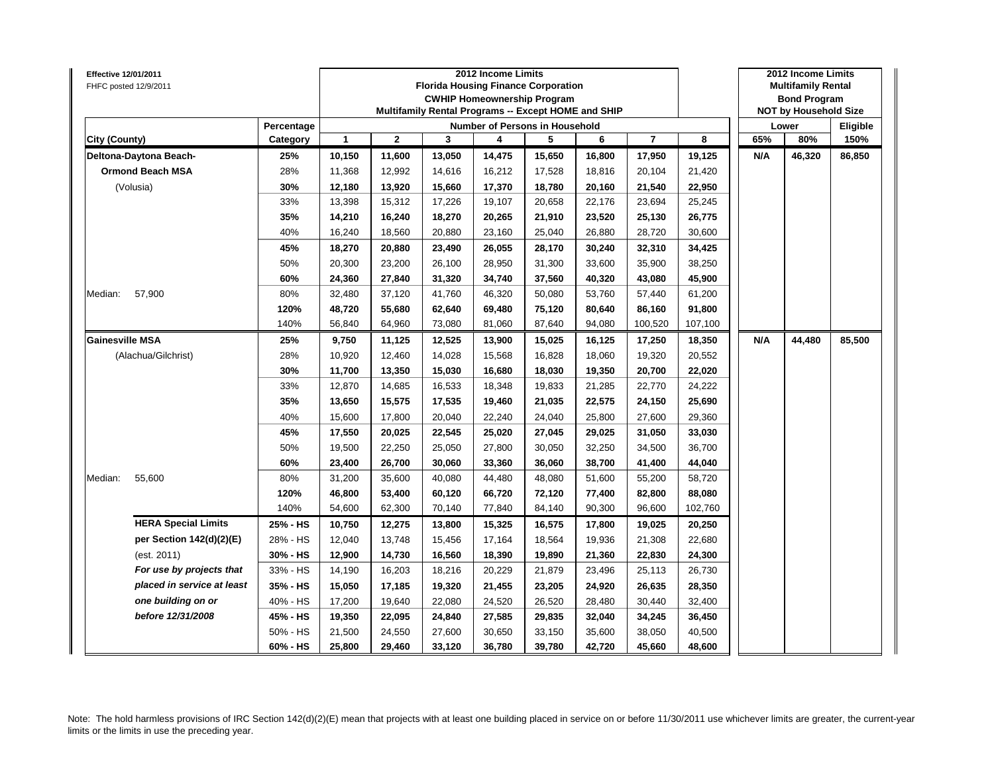| Effective 12/01/2011<br>FHFC posted 12/9/2011 |            |        |                |        | 2012 Income Limits | <b>Florida Housing Finance Corporation</b><br><b>CWHIP Homeownership Program</b><br>Multifamily Rental Programs -- Except HOME and SHIP |        |                |         |     | 2012 Income Limits<br><b>Multifamily Rental</b><br><b>Bond Program</b><br><b>NOT by Household Size</b> |          |
|-----------------------------------------------|------------|--------|----------------|--------|--------------------|-----------------------------------------------------------------------------------------------------------------------------------------|--------|----------------|---------|-----|--------------------------------------------------------------------------------------------------------|----------|
|                                               | Percentage |        |                |        |                    | Number of Persons in Household                                                                                                          |        |                |         |     | Lower                                                                                                  | Eligible |
| City (County)                                 | Category   | 1      | $\overline{2}$ | 3      | 4                  | 5                                                                                                                                       | 6      | $\overline{7}$ | 8       | 65% | 80%                                                                                                    | 150%     |
| Deltona-Daytona Beach-                        | 25%        | 10,150 | 11,600         | 13,050 | 14,475             | 15,650                                                                                                                                  | 16,800 | 17,950         | 19,125  | N/A | 46,320                                                                                                 | 86,850   |
| <b>Ormond Beach MSA</b>                       | 28%        | 11,368 | 12,992         | 14,616 | 16,212             | 17,528                                                                                                                                  | 18,816 | 20,104         | 21,420  |     |                                                                                                        |          |
| (Volusia)                                     | 30%        | 12,180 | 13,920         | 15,660 | 17,370             | 18,780                                                                                                                                  | 20,160 | 21,540         | 22,950  |     |                                                                                                        |          |
|                                               | 33%        | 13,398 | 15,312         | 17,226 | 19,107             | 20,658                                                                                                                                  | 22,176 | 23,694         | 25,245  |     |                                                                                                        |          |
|                                               | 35%        | 14,210 | 16,240         | 18,270 | 20,265             | 21,910                                                                                                                                  | 23,520 | 25,130         | 26,775  |     |                                                                                                        |          |
|                                               | 40%        | 16,240 | 18,560         | 20,880 | 23,160             | 25,040                                                                                                                                  | 26,880 | 28,720         | 30,600  |     |                                                                                                        |          |
|                                               | 45%        | 18,270 | 20,880         | 23,490 | 26,055             | 28,170                                                                                                                                  | 30,240 | 32,310         | 34,425  |     |                                                                                                        |          |
|                                               | 50%        | 20,300 | 23,200         | 26,100 | 28,950             | 31,300                                                                                                                                  | 33,600 | 35,900         | 38,250  |     |                                                                                                        |          |
|                                               | 60%        | 24,360 | 27,840         | 31,320 | 34,740             | 37,560                                                                                                                                  | 40,320 | 43,080         | 45,900  |     |                                                                                                        |          |
| 57,900<br>Median:                             | 80%        | 32,480 | 37,120         | 41,760 | 46,320             | 50,080                                                                                                                                  | 53,760 | 57,440         | 61,200  |     |                                                                                                        |          |
|                                               | 120%       | 48,720 | 55,680         | 62,640 | 69,480             | 75,120                                                                                                                                  | 80,640 | 86,160         | 91,800  |     |                                                                                                        |          |
|                                               | 140%       | 56,840 | 64,960         | 73,080 | 81,060             | 87,640                                                                                                                                  | 94,080 | 100,520        | 107,100 |     |                                                                                                        |          |
| <b>Gainesville MSA</b>                        | 25%        | 9,750  | 11,125         | 12,525 | 13,900             | 15,025                                                                                                                                  | 16,125 | 17,250         | 18,350  | N/A | 44,480                                                                                                 | 85,500   |
| (Alachua/Gilchrist)                           | 28%        | 10,920 | 12,460         | 14,028 | 15,568             | 16,828                                                                                                                                  | 18,060 | 19,320         | 20,552  |     |                                                                                                        |          |
|                                               | 30%        | 11,700 | 13,350         | 15,030 | 16,680             | 18,030                                                                                                                                  | 19,350 | 20,700         | 22,020  |     |                                                                                                        |          |
|                                               | 33%        | 12,870 | 14,685         | 16,533 | 18,348             | 19,833                                                                                                                                  | 21,285 | 22,770         | 24,222  |     |                                                                                                        |          |
|                                               | 35%        | 13,650 | 15,575         | 17,535 | 19,460             | 21,035                                                                                                                                  | 22,575 | 24,150         | 25,690  |     |                                                                                                        |          |
|                                               | 40%        | 15,600 | 17,800         | 20,040 | 22,240             | 24,040                                                                                                                                  | 25,800 | 27,600         | 29,360  |     |                                                                                                        |          |
|                                               | 45%        | 17,550 | 20,025         | 22,545 | 25,020             | 27,045                                                                                                                                  | 29,025 | 31,050         | 33,030  |     |                                                                                                        |          |
|                                               | 50%        | 19,500 | 22,250         | 25,050 | 27,800             | 30,050                                                                                                                                  | 32,250 | 34,500         | 36,700  |     |                                                                                                        |          |
|                                               | 60%        | 23,400 | 26,700         | 30,060 | 33,360             | 36,060                                                                                                                                  | 38,700 | 41,400         | 44,040  |     |                                                                                                        |          |
| 55,600<br>Median:                             | 80%        | 31,200 | 35,600         | 40,080 | 44,480             | 48,080                                                                                                                                  | 51,600 | 55,200         | 58,720  |     |                                                                                                        |          |
|                                               | 120%       | 46,800 | 53,400         | 60,120 | 66,720             | 72,120                                                                                                                                  | 77,400 | 82,800         | 88,080  |     |                                                                                                        |          |
|                                               | 140%       | 54,600 | 62,300         | 70,140 | 77,840             | 84,140                                                                                                                                  | 90,300 | 96,600         | 102,760 |     |                                                                                                        |          |
| <b>HERA Special Limits</b>                    | 25% - HS   | 10,750 | 12,275         | 13,800 | 15,325             | 16,575                                                                                                                                  | 17,800 | 19,025         | 20,250  |     |                                                                                                        |          |
| per Section 142(d)(2)(E)                      | 28% - HS   | 12,040 | 13,748         | 15,456 | 17,164             | 18,564                                                                                                                                  | 19,936 | 21,308         | 22,680  |     |                                                                                                        |          |
| (est. 2011)                                   | 30% - HS   | 12,900 | 14,730         | 16,560 | 18,390             | 19,890                                                                                                                                  | 21,360 | 22,830         | 24,300  |     |                                                                                                        |          |
| For use by projects that                      | 33% - HS   | 14,190 | 16,203         | 18,216 | 20,229             | 21,879                                                                                                                                  | 23,496 | 25,113         | 26,730  |     |                                                                                                        |          |
| placed in service at least                    | 35% - HS   | 15,050 | 17,185         | 19,320 | 21,455             | 23,205                                                                                                                                  | 24,920 | 26,635         | 28,350  |     |                                                                                                        |          |
| one building on or                            | 40% - HS   | 17,200 | 19,640         | 22,080 | 24,520             | 26,520                                                                                                                                  | 28,480 | 30,440         | 32,400  |     |                                                                                                        |          |
| before 12/31/2008                             | 45% - HS   | 19,350 | 22,095         | 24,840 | 27,585             | 29,835                                                                                                                                  | 32,040 | 34,245         | 36,450  |     |                                                                                                        |          |
|                                               | 50% - HS   | 21,500 | 24,550         | 27,600 | 30,650             | 33,150                                                                                                                                  | 35,600 | 38,050         | 40,500  |     |                                                                                                        |          |
|                                               | 60% - HS   | 25,800 | 29,460         | 33,120 | 36,780             | 39,780                                                                                                                                  | 42,720 | 45,660         | 48,600  |     |                                                                                                        |          |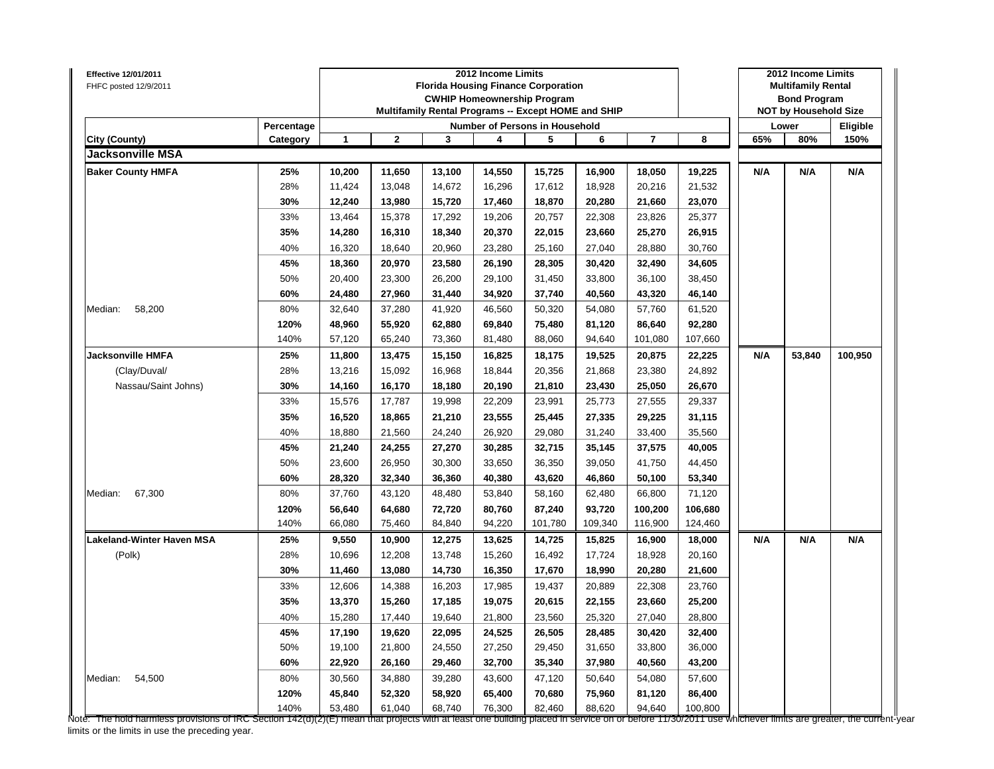| Effective 12/01/2011<br>FHFC posted 12/9/2011 |            |              |              |                                                     | 2012 Income Limits                 |         |         |                |         |     | 2012 Income Limits<br><b>Multifamily Rental</b> |          |
|-----------------------------------------------|------------|--------------|--------------|-----------------------------------------------------|------------------------------------|---------|---------|----------------|---------|-----|-------------------------------------------------|----------|
|                                               |            |              |              | <b>Florida Housing Finance Corporation</b>          | <b>CWHIP Homeownership Program</b> |         |         |                |         |     | <b>Bond Program</b>                             |          |
|                                               |            |              |              | Multifamily Rental Programs -- Except HOME and SHIP |                                    |         |         |                |         |     | <b>NOT by Household Size</b>                    |          |
|                                               | Percentage |              |              |                                                     | Number of Persons in Household     |         |         |                |         |     | Lower                                           | Eligible |
| City (County)                                 | Category   | $\mathbf{1}$ | $\mathbf{2}$ | 3                                                   | 4                                  | 5       | 6       | $\overline{7}$ | 8       | 65% | 80%                                             | 150%     |
| Jacksonville MSA                              |            |              |              |                                                     |                                    |         |         |                |         |     |                                                 |          |
| <b>Baker County HMFA</b>                      | 25%        | 10,200       | 11,650       | 13,100                                              | 14,550                             | 15,725  | 16,900  | 18,050         | 19,225  | N/A | N/A                                             | N/A      |
|                                               | 28%        | 11,424       | 13,048       | 14,672                                              | 16,296                             | 17,612  | 18,928  | 20,216         | 21,532  |     |                                                 |          |
|                                               | 30%        | 12,240       | 13,980       | 15.720                                              | 17,460                             | 18,870  | 20,280  | 21,660         | 23,070  |     |                                                 |          |
|                                               | 33%        | 13,464       | 15,378       | 17,292                                              | 19,206                             | 20,757  | 22,308  | 23,826         | 25,377  |     |                                                 |          |
|                                               | 35%        | 14,280       | 16,310       | 18,340                                              | 20,370                             | 22,015  | 23,660  | 25,270         | 26,915  |     |                                                 |          |
|                                               | 40%        | 16,320       | 18,640       | 20,960                                              | 23,280                             | 25,160  | 27,040  | 28,880         | 30,760  |     |                                                 |          |
|                                               | 45%        | 18,360       | 20,970       | 23,580                                              | 26,190                             | 28,305  | 30,420  | 32,490         | 34,605  |     |                                                 |          |
|                                               | 50%        | 20,400       | 23,300       | 26,200                                              | 29,100                             | 31,450  | 33,800  | 36,100         | 38,450  |     |                                                 |          |
|                                               | 60%        | 24,480       | 27,960       | 31,440                                              | 34,920                             | 37,740  | 40,560  | 43,320         | 46,140  |     |                                                 |          |
| Median:<br>58,200                             | 80%        | 32,640       | 37,280       | 41,920                                              | 46,560                             | 50,320  | 54,080  | 57,760         | 61,520  |     |                                                 |          |
|                                               | 120%       | 48,960       | 55,920       | 62,880                                              | 69,840                             | 75,480  | 81,120  | 86,640         | 92,280  |     |                                                 |          |
|                                               | 140%       | 57,120       | 65,240       | 73,360                                              | 81,480                             | 88,060  | 94,640  | 101,080        | 107,660 |     |                                                 |          |
| <b>Jacksonville HMFA</b>                      | 25%        | 11,800       | 13,475       | 15,150                                              | 16,825                             | 18,175  | 19,525  | 20,875         | 22,225  | N/A | 53,840                                          | 100,950  |
| (Clay/Duval/                                  | 28%        | 13,216       | 15,092       | 16,968                                              | 18,844                             | 20,356  | 21,868  | 23,380         | 24,892  |     |                                                 |          |
| Nassau/Saint Johns)                           | 30%        | 14,160       | 16,170       | 18,180                                              | 20,190                             | 21,810  | 23,430  | 25,050         | 26,670  |     |                                                 |          |
|                                               | 33%        | 15,576       | 17,787       | 19,998                                              | 22,209                             | 23,991  | 25,773  | 27,555         | 29,337  |     |                                                 |          |
|                                               | 35%        | 16,520       | 18,865       | 21,210                                              | 23,555                             | 25,445  | 27,335  | 29,225         | 31,115  |     |                                                 |          |
|                                               | 40%        | 18,880       | 21,560       | 24,240                                              | 26,920                             | 29,080  | 31,240  | 33,400         | 35,560  |     |                                                 |          |
|                                               | 45%        | 21,240       | 24,255       | 27,270                                              | 30,285                             | 32,715  | 35,145  | 37,575         | 40,005  |     |                                                 |          |
|                                               | 50%        | 23,600       | 26,950       | 30,300                                              | 33,650                             | 36,350  | 39,050  | 41,750         | 44,450  |     |                                                 |          |
|                                               | 60%        | 28,320       | 32,340       | 36,360                                              | 40,380                             | 43,620  | 46,860  | 50,100         | 53,340  |     |                                                 |          |
| 67,300<br>Median:                             | 80%        | 37,760       | 43,120       | 48,480                                              | 53,840                             | 58,160  | 62,480  | 66,800         | 71,120  |     |                                                 |          |
|                                               | 120%       | 56,640       | 64,680       | 72,720                                              | 80,760                             | 87,240  | 93,720  | 100,200        | 106,680 |     |                                                 |          |
|                                               | 140%       | 66,080       | 75,460       | 84,840                                              | 94,220                             | 101,780 | 109,340 | 116,900        | 124,460 |     |                                                 |          |
| Lakeland-Winter Haven MSA                     | 25%        | 9,550        | 10,900       | 12,275                                              | 13,625                             | 14,725  | 15,825  | 16,900         | 18,000  | N/A | N/A                                             | N/A      |
| (Polk)                                        | 28%        | 10,696       | 12,208       | 13,748                                              | 15,260                             | 16,492  | 17,724  | 18,928         | 20,160  |     |                                                 |          |
|                                               | 30%        | 11,460       | 13,080       | 14,730                                              | 16,350                             | 17,670  | 18,990  | 20,280         | 21,600  |     |                                                 |          |
|                                               | 33%        | 12,606       | 14,388       | 16,203                                              | 17,985                             | 19,437  | 20,889  | 22,308         | 23,760  |     |                                                 |          |
|                                               | 35%        | 13,370       | 15,260       | 17,185                                              | 19,075                             | 20,615  | 22,155  | 23,660         | 25,200  |     |                                                 |          |
|                                               | 40%        | 15,280       | 17,440       | 19,640                                              | 21,800                             | 23,560  | 25,320  | 27,040         | 28,800  |     |                                                 |          |
|                                               | 45%        | 17,190       | 19,620       | 22,095                                              | 24,525                             | 26,505  | 28,485  | 30,420         | 32,400  |     |                                                 |          |
|                                               | 50%        | 19,100       | 21,800       | 24,550                                              | 27,250                             | 29,450  | 31,650  | 33,800         | 36,000  |     |                                                 |          |
|                                               | 60%        | 22,920       | 26,160       | 29,460                                              | 32,700                             | 35,340  | 37,980  | 40,560         | 43,200  |     |                                                 |          |
| Median:<br>54,500                             | 80%        | 30,560       | 34,880       | 39,280                                              | 43,600                             | 47,120  | 50,640  | 54,080         | 57,600  |     |                                                 |          |
|                                               | 120%       | 45,840       | 52,320       | 58,920                                              | 65,400                             | 70,680  | 75,960  | 81,120         | 86,400  |     |                                                 |          |
|                                               | 140%       | 53,480       | 61,040       | 68,740                                              | 76,300                             | 82,460  | 88,620  | 94,640         | 100,800 |     |                                                 |          |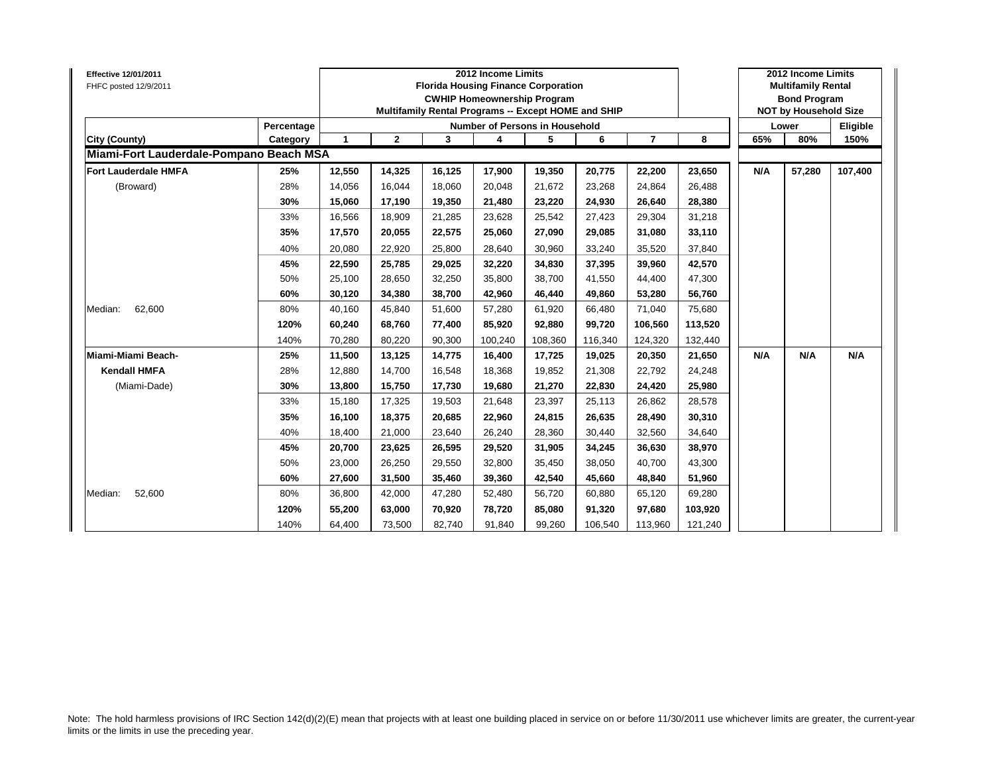| Percentage<br>Number of Persons in Household<br>Lower<br>$\mathbf{1}$<br>$\mathbf{2}$<br>5<br>65%<br>3<br>6<br>$\overline{7}$<br>8<br>80%<br><b>City (County)</b><br>4<br>Category<br>Miami-Fort Lauderdale-Pompano Beach MSA<br><b>Fort Lauderdale HMFA</b><br>25%<br>12,550<br>14,325<br>16,125<br>17,900<br>19,350<br>20,775<br>23,650<br>N/A<br>57,280<br>22,200<br>28%<br>14,056<br>16,044<br>20,048<br>21,672<br>26,488<br>(Broward)<br>18,060<br>23,268<br>24,864<br>30%<br>15,060<br>17,190<br>19,350<br>23,220<br>24,930<br>28,380<br>21,480<br>26,640<br>33%<br>31,218<br>16,566<br>18,909<br>21,285<br>23,628<br>25,542<br>27,423<br>29,304<br>35%<br>17,570<br>20,055<br>27,090<br>33,110<br>22,575<br>25,060<br>29,085<br>31,080<br>40%<br>20,080<br>28,640<br>30,960<br>33,240<br>35,520<br>37,840<br>22,920<br>25,800<br>25,785<br>34,830<br>37,395<br>42,570<br>45%<br>22,590<br>29,025<br>32,220<br>39,960<br>50%<br>25,100<br>28,650<br>32,250<br>35,800<br>38,700<br>41,550<br>47,300<br>44,400<br>46,440<br>56,760<br>60%<br>30,120<br>34,380<br>38,700<br>42,960<br>49,860<br>53,280<br>62,600<br>80%<br>40,160<br>45,840<br>51,600<br>61,920<br>66,480<br>71,040<br>75,680<br>Median:<br>57,280<br>113,520<br>120%<br>60,240<br>68,760<br>85,920<br>92,880<br>99.720<br>77,400<br>106,560<br>140%<br>80,220<br>70,280<br>90,300<br>100,240<br>108,360<br>116,340<br>124,320<br>132,440<br>Miami-Miami Beach-<br>25%<br>N/A<br>N/A<br>11,500<br>13,125<br>14,775<br>16,400<br>17,725<br>19,025<br>20,350<br>21,650 | Eligible<br>150% |
|-----------------------------------------------------------------------------------------------------------------------------------------------------------------------------------------------------------------------------------------------------------------------------------------------------------------------------------------------------------------------------------------------------------------------------------------------------------------------------------------------------------------------------------------------------------------------------------------------------------------------------------------------------------------------------------------------------------------------------------------------------------------------------------------------------------------------------------------------------------------------------------------------------------------------------------------------------------------------------------------------------------------------------------------------------------------------------------------------------------------------------------------------------------------------------------------------------------------------------------------------------------------------------------------------------------------------------------------------------------------------------------------------------------------------------------------------------------------------------------------------------------------------------------------|------------------|
|                                                                                                                                                                                                                                                                                                                                                                                                                                                                                                                                                                                                                                                                                                                                                                                                                                                                                                                                                                                                                                                                                                                                                                                                                                                                                                                                                                                                                                                                                                                                         |                  |
|                                                                                                                                                                                                                                                                                                                                                                                                                                                                                                                                                                                                                                                                                                                                                                                                                                                                                                                                                                                                                                                                                                                                                                                                                                                                                                                                                                                                                                                                                                                                         |                  |
|                                                                                                                                                                                                                                                                                                                                                                                                                                                                                                                                                                                                                                                                                                                                                                                                                                                                                                                                                                                                                                                                                                                                                                                                                                                                                                                                                                                                                                                                                                                                         |                  |
|                                                                                                                                                                                                                                                                                                                                                                                                                                                                                                                                                                                                                                                                                                                                                                                                                                                                                                                                                                                                                                                                                                                                                                                                                                                                                                                                                                                                                                                                                                                                         | 107,400          |
|                                                                                                                                                                                                                                                                                                                                                                                                                                                                                                                                                                                                                                                                                                                                                                                                                                                                                                                                                                                                                                                                                                                                                                                                                                                                                                                                                                                                                                                                                                                                         |                  |
|                                                                                                                                                                                                                                                                                                                                                                                                                                                                                                                                                                                                                                                                                                                                                                                                                                                                                                                                                                                                                                                                                                                                                                                                                                                                                                                                                                                                                                                                                                                                         |                  |
|                                                                                                                                                                                                                                                                                                                                                                                                                                                                                                                                                                                                                                                                                                                                                                                                                                                                                                                                                                                                                                                                                                                                                                                                                                                                                                                                                                                                                                                                                                                                         |                  |
|                                                                                                                                                                                                                                                                                                                                                                                                                                                                                                                                                                                                                                                                                                                                                                                                                                                                                                                                                                                                                                                                                                                                                                                                                                                                                                                                                                                                                                                                                                                                         |                  |
|                                                                                                                                                                                                                                                                                                                                                                                                                                                                                                                                                                                                                                                                                                                                                                                                                                                                                                                                                                                                                                                                                                                                                                                                                                                                                                                                                                                                                                                                                                                                         |                  |
|                                                                                                                                                                                                                                                                                                                                                                                                                                                                                                                                                                                                                                                                                                                                                                                                                                                                                                                                                                                                                                                                                                                                                                                                                                                                                                                                                                                                                                                                                                                                         |                  |
|                                                                                                                                                                                                                                                                                                                                                                                                                                                                                                                                                                                                                                                                                                                                                                                                                                                                                                                                                                                                                                                                                                                                                                                                                                                                                                                                                                                                                                                                                                                                         |                  |
|                                                                                                                                                                                                                                                                                                                                                                                                                                                                                                                                                                                                                                                                                                                                                                                                                                                                                                                                                                                                                                                                                                                                                                                                                                                                                                                                                                                                                                                                                                                                         |                  |
|                                                                                                                                                                                                                                                                                                                                                                                                                                                                                                                                                                                                                                                                                                                                                                                                                                                                                                                                                                                                                                                                                                                                                                                                                                                                                                                                                                                                                                                                                                                                         |                  |
|                                                                                                                                                                                                                                                                                                                                                                                                                                                                                                                                                                                                                                                                                                                                                                                                                                                                                                                                                                                                                                                                                                                                                                                                                                                                                                                                                                                                                                                                                                                                         |                  |
|                                                                                                                                                                                                                                                                                                                                                                                                                                                                                                                                                                                                                                                                                                                                                                                                                                                                                                                                                                                                                                                                                                                                                                                                                                                                                                                                                                                                                                                                                                                                         |                  |
|                                                                                                                                                                                                                                                                                                                                                                                                                                                                                                                                                                                                                                                                                                                                                                                                                                                                                                                                                                                                                                                                                                                                                                                                                                                                                                                                                                                                                                                                                                                                         | N/A              |
| <b>Kendall HMFA</b><br>28%<br>12,880<br>14,700<br>16,548<br>19,852<br>21,308<br>24,248<br>18,368<br>22,792                                                                                                                                                                                                                                                                                                                                                                                                                                                                                                                                                                                                                                                                                                                                                                                                                                                                                                                                                                                                                                                                                                                                                                                                                                                                                                                                                                                                                              |                  |
| (Miami-Dade)<br>30%<br>13,800<br>15,750<br>17,730<br>19,680<br>21,270<br>22,830<br>24,420<br>25,980                                                                                                                                                                                                                                                                                                                                                                                                                                                                                                                                                                                                                                                                                                                                                                                                                                                                                                                                                                                                                                                                                                                                                                                                                                                                                                                                                                                                                                     |                  |
| 33%<br>17,325<br>28,578<br>15,180<br>19,503<br>21,648<br>23,397<br>25,113<br>26,862                                                                                                                                                                                                                                                                                                                                                                                                                                                                                                                                                                                                                                                                                                                                                                                                                                                                                                                                                                                                                                                                                                                                                                                                                                                                                                                                                                                                                                                     |                  |
| 35%<br>18,375<br>20,685<br>22,960<br>24,815<br>26,635<br>30,310<br>16,100<br>28,490                                                                                                                                                                                                                                                                                                                                                                                                                                                                                                                                                                                                                                                                                                                                                                                                                                                                                                                                                                                                                                                                                                                                                                                                                                                                                                                                                                                                                                                     |                  |
| 40%<br>18,400<br>21,000<br>23,640<br>26,240<br>28,360<br>30,440<br>32,560<br>34,640                                                                                                                                                                                                                                                                                                                                                                                                                                                                                                                                                                                                                                                                                                                                                                                                                                                                                                                                                                                                                                                                                                                                                                                                                                                                                                                                                                                                                                                     |                  |
| 29,520<br>31,905<br>38,970<br>45%<br>20,700<br>23,625<br>26,595<br>34,245<br>36,630                                                                                                                                                                                                                                                                                                                                                                                                                                                                                                                                                                                                                                                                                                                                                                                                                                                                                                                                                                                                                                                                                                                                                                                                                                                                                                                                                                                                                                                     |                  |
| 50%<br>43,300<br>23,000<br>26,250<br>29,550<br>32,800<br>35,450<br>38,050<br>40,700                                                                                                                                                                                                                                                                                                                                                                                                                                                                                                                                                                                                                                                                                                                                                                                                                                                                                                                                                                                                                                                                                                                                                                                                                                                                                                                                                                                                                                                     |                  |
| 60%<br>42,540<br>51,960<br>27,600<br>31,500<br>35,460<br>39,360<br>45,660<br>48,840                                                                                                                                                                                                                                                                                                                                                                                                                                                                                                                                                                                                                                                                                                                                                                                                                                                                                                                                                                                                                                                                                                                                                                                                                                                                                                                                                                                                                                                     |                  |
| 52,600<br>80%<br>36,800<br>42,000<br>56,720<br>60,880<br>65,120<br>69,280<br>Median:<br>47,280<br>52,480                                                                                                                                                                                                                                                                                                                                                                                                                                                                                                                                                                                                                                                                                                                                                                                                                                                                                                                                                                                                                                                                                                                                                                                                                                                                                                                                                                                                                                |                  |
| 103,920<br>120%<br>55,200<br>63,000<br>70,920<br>78,720<br>85,080<br>91,320<br>97,680                                                                                                                                                                                                                                                                                                                                                                                                                                                                                                                                                                                                                                                                                                                                                                                                                                                                                                                                                                                                                                                                                                                                                                                                                                                                                                                                                                                                                                                   |                  |
| 140%<br>99,260<br>121,240<br>64,400<br>73,500<br>82,740<br>91,840<br>106,540<br>113,960                                                                                                                                                                                                                                                                                                                                                                                                                                                                                                                                                                                                                                                                                                                                                                                                                                                                                                                                                                                                                                                                                                                                                                                                                                                                                                                                                                                                                                                 |                  |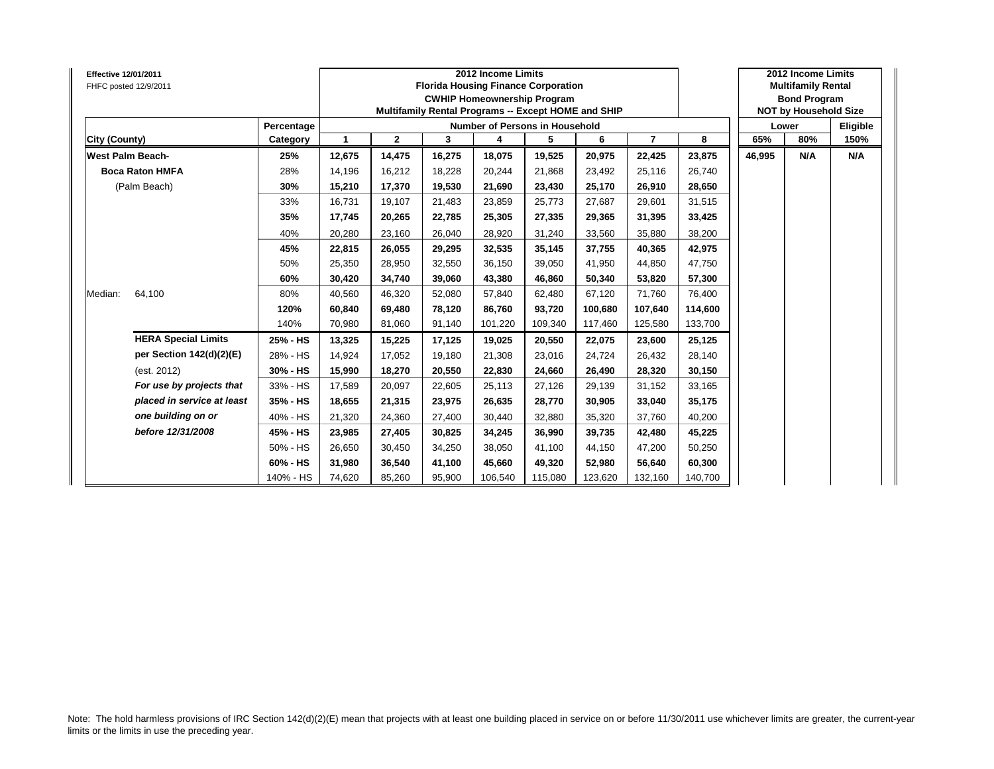| <b>Effective 12/01/2011</b><br>FHFC posted 12/9/2011 |                            |            |        |              |        | 2012 Income Limits<br><b>Florida Housing Finance Corporation</b><br><b>CWHIP Homeownership Program</b><br>Multifamily Rental Programs -- Except HOME and SHIP |         |         |                |         |        | 2012 Income Limits<br><b>Multifamily Rental</b><br><b>Bond Program</b><br><b>NOT by Household Size</b> |          |
|------------------------------------------------------|----------------------------|------------|--------|--------------|--------|---------------------------------------------------------------------------------------------------------------------------------------------------------------|---------|---------|----------------|---------|--------|--------------------------------------------------------------------------------------------------------|----------|
|                                                      |                            | Percentage |        |              |        | Number of Persons in Household                                                                                                                                |         |         |                |         |        | Lower                                                                                                  | Eligible |
| City (County)                                        |                            | Category   | 1      | $\mathbf{2}$ | 3      | 4                                                                                                                                                             | 5       | 6       | $\overline{7}$ | 8       | 65%    | 80%                                                                                                    | 150%     |
| <b>West Palm Beach-</b>                              |                            | 25%        | 12,675 | 14,475       | 16,275 | 18,075                                                                                                                                                        | 19,525  | 20,975  | 22,425         | 23,875  | 46,995 | N/A                                                                                                    | N/A      |
| <b>Boca Raton HMFA</b>                               |                            | 28%        | 14,196 | 16,212       | 18,228 | 20,244                                                                                                                                                        | 21,868  | 23,492  | 25,116         | 26,740  |        |                                                                                                        |          |
| (Palm Beach)                                         |                            | 30%        | 15,210 | 17,370       | 19,530 | 21,690                                                                                                                                                        | 23,430  | 25,170  | 26,910         | 28,650  |        |                                                                                                        |          |
|                                                      |                            | 33%        | 16,731 | 19,107       | 21,483 | 23,859                                                                                                                                                        | 25,773  | 27,687  | 29,601         | 31,515  |        |                                                                                                        |          |
|                                                      |                            | 35%        | 17,745 | 20,265       | 22,785 | 25,305                                                                                                                                                        | 27,335  | 29,365  | 31,395         | 33,425  |        |                                                                                                        |          |
|                                                      |                            | 40%        | 20,280 | 23,160       | 26.040 | 28,920                                                                                                                                                        | 31,240  | 33,560  | 35,880         | 38,200  |        |                                                                                                        |          |
|                                                      |                            | 45%        | 22,815 | 26,055       | 29,295 | 32,535                                                                                                                                                        | 35,145  | 37,755  | 40,365         | 42,975  |        |                                                                                                        |          |
|                                                      |                            | 50%        | 25,350 | 28,950       | 32,550 | 36,150                                                                                                                                                        | 39,050  | 41,950  | 44,850         | 47,750  |        |                                                                                                        |          |
|                                                      |                            | 60%        | 30,420 | 34,740       | 39,060 | 43,380                                                                                                                                                        | 46,860  | 50,340  | 53,820         | 57,300  |        |                                                                                                        |          |
| Median:<br>64,100                                    |                            | 80%        | 40,560 | 46,320       | 52,080 | 57,840                                                                                                                                                        | 62,480  | 67,120  | 71,760         | 76,400  |        |                                                                                                        |          |
|                                                      |                            | 120%       | 60,840 | 69,480       | 78,120 | 86,760                                                                                                                                                        | 93,720  | 100,680 | 107,640        | 114,600 |        |                                                                                                        |          |
|                                                      |                            | 140%       | 70,980 | 81,060       | 91,140 | 101,220                                                                                                                                                       | 109,340 | 117,460 | 125,580        | 133,700 |        |                                                                                                        |          |
|                                                      | <b>HERA Special Limits</b> | 25% - HS   | 13,325 | 15,225       | 17,125 | 19,025                                                                                                                                                        | 20,550  | 22,075  | 23,600         | 25,125  |        |                                                                                                        |          |
|                                                      | per Section 142(d)(2)(E)   | 28% - HS   | 14,924 | 17,052       | 19,180 | 21,308                                                                                                                                                        | 23,016  | 24,724  | 26,432         | 28,140  |        |                                                                                                        |          |
| (est. 2012)                                          |                            | 30% - HS   | 15,990 | 18,270       | 20,550 | 22,830                                                                                                                                                        | 24,660  | 26,490  | 28,320         | 30,150  |        |                                                                                                        |          |
|                                                      | For use by projects that   | 33% - HS   | 17,589 | 20,097       | 22,605 | 25,113                                                                                                                                                        | 27,126  | 29,139  | 31,152         | 33,165  |        |                                                                                                        |          |
|                                                      | placed in service at least | 35% - HS   | 18,655 | 21,315       | 23,975 | 26,635                                                                                                                                                        | 28,770  | 30,905  | 33,040         | 35,175  |        |                                                                                                        |          |
|                                                      | one building on or         | 40% - HS   | 21,320 | 24,360       | 27,400 | 30,440                                                                                                                                                        | 32,880  | 35,320  | 37,760         | 40,200  |        |                                                                                                        |          |
|                                                      | before 12/31/2008          | 45% - HS   | 23,985 | 27,405       | 30,825 | 34,245                                                                                                                                                        | 36,990  | 39,735  | 42,480         | 45,225  |        |                                                                                                        |          |
|                                                      |                            | 50% - HS   | 26,650 | 30,450       | 34,250 | 38,050                                                                                                                                                        | 41,100  | 44,150  | 47,200         | 50,250  |        |                                                                                                        |          |
|                                                      |                            | 60% - HS   | 31,980 | 36,540       | 41,100 | 45,660                                                                                                                                                        | 49,320  | 52,980  | 56,640         | 60,300  |        |                                                                                                        |          |
|                                                      |                            | 140% - HS  | 74,620 | 85,260       | 95,900 | 106,540                                                                                                                                                       | 115,080 | 123,620 | 132,160        | 140,700 |        |                                                                                                        |          |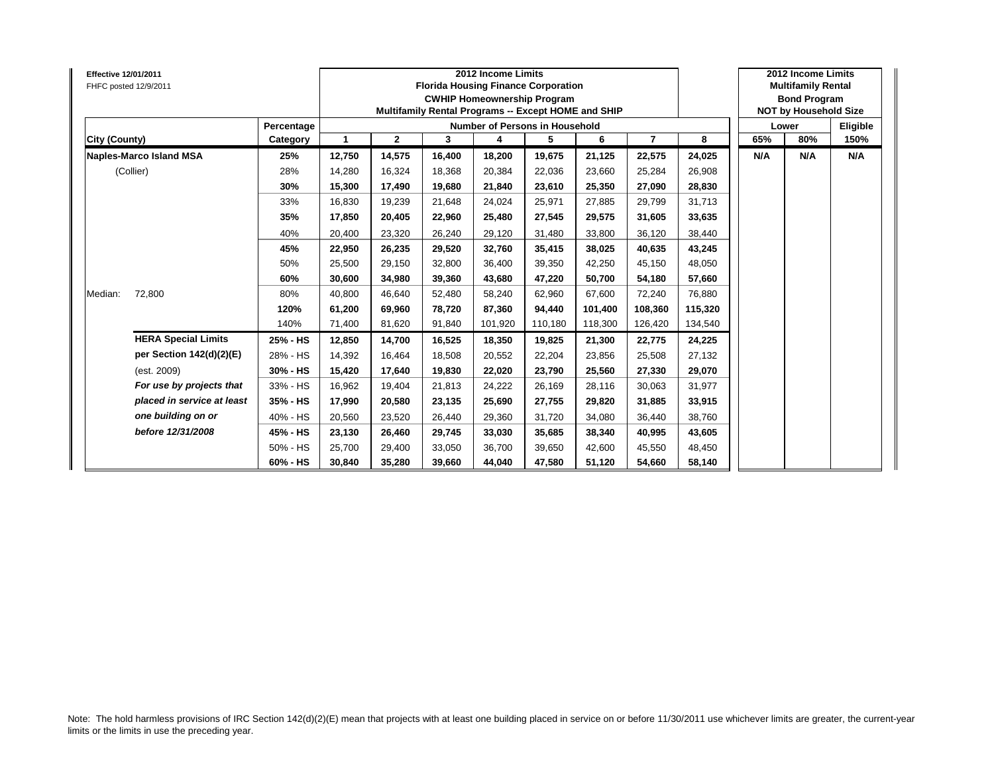| <b>Effective 12/01/2011</b><br>FHFC posted 12/9/2011 |                            |            |              |                |        | 2012 Income Limits<br><b>Florida Housing Finance Corporation</b><br><b>CWHIP Homeownership Program</b><br>Multifamily Rental Programs -- Except HOME and SHIP |         |         |                |         |     | 2012 Income Limits<br><b>Multifamily Rental</b><br><b>Bond Program</b><br><b>NOT by Household Size</b> |          |
|------------------------------------------------------|----------------------------|------------|--------------|----------------|--------|---------------------------------------------------------------------------------------------------------------------------------------------------------------|---------|---------|----------------|---------|-----|--------------------------------------------------------------------------------------------------------|----------|
|                                                      |                            | Percentage |              |                |        | Number of Persons in Household                                                                                                                                |         |         |                |         |     | Lower                                                                                                  | Eligible |
| City (County)                                        |                            | Category   | $\mathbf{1}$ | $\overline{2}$ | 3      | 4                                                                                                                                                             | 5       | 6       | $\overline{7}$ | 8       | 65% | 80%                                                                                                    | 150%     |
| <b>Naples-Marco Island MSA</b>                       |                            | 25%        | 12,750       | 14,575         | 16,400 | 18,200                                                                                                                                                        | 19,675  | 21,125  | 22,575         | 24,025  | N/A | N/A                                                                                                    | N/A      |
| (Collier)                                            |                            | 28%        | 14,280       | 16,324         | 18,368 | 20,384                                                                                                                                                        | 22,036  | 23.660  | 25,284         | 26,908  |     |                                                                                                        |          |
|                                                      |                            | 30%        | 15,300       | 17,490         | 19,680 | 21,840                                                                                                                                                        | 23,610  | 25,350  | 27,090         | 28,830  |     |                                                                                                        |          |
|                                                      |                            | 33%        | 16,830       | 19,239         | 21.648 | 24,024                                                                                                                                                        | 25,971  | 27.885  | 29,799         | 31,713  |     |                                                                                                        |          |
|                                                      |                            | 35%        | 17,850       | 20,405         | 22,960 | 25,480                                                                                                                                                        | 27,545  | 29,575  | 31,605         | 33,635  |     |                                                                                                        |          |
|                                                      |                            | 40%        | 20,400       | 23,320         | 26,240 | 29,120                                                                                                                                                        | 31,480  | 33,800  | 36,120         | 38,440  |     |                                                                                                        |          |
|                                                      |                            | 45%        | 22,950       | 26,235         | 29,520 | 32,760                                                                                                                                                        | 35,415  | 38,025  | 40,635         | 43,245  |     |                                                                                                        |          |
|                                                      |                            | 50%        | 25,500       | 29,150         | 32,800 | 36,400                                                                                                                                                        | 39,350  | 42.250  | 45,150         | 48,050  |     |                                                                                                        |          |
|                                                      |                            | 60%        | 30,600       | 34,980         | 39,360 | 43,680                                                                                                                                                        | 47,220  | 50.700  | 54,180         | 57,660  |     |                                                                                                        |          |
| 72,800<br>Median:                                    |                            | 80%        | 40,800       | 46.640         | 52,480 | 58,240                                                                                                                                                        | 62,960  | 67.600  | 72,240         | 76,880  |     |                                                                                                        |          |
|                                                      |                            | 120%       | 61,200       | 69,960         | 78,720 | 87,360                                                                                                                                                        | 94,440  | 101,400 | 108,360        | 115,320 |     |                                                                                                        |          |
|                                                      |                            | 140%       | 71.400       | 81,620         | 91,840 | 101,920                                                                                                                                                       | 110,180 | 118.300 | 126,420        | 134,540 |     |                                                                                                        |          |
|                                                      | <b>HERA Special Limits</b> | 25% - HS   | 12,850       | 14,700         | 16,525 | 18,350                                                                                                                                                        | 19,825  | 21,300  | 22,775         | 24,225  |     |                                                                                                        |          |
|                                                      | per Section 142(d)(2)(E)   | 28% - HS   | 14,392       | 16,464         | 18,508 | 20,552                                                                                                                                                        | 22,204  | 23,856  | 25,508         | 27,132  |     |                                                                                                        |          |
| (est. 2009)                                          |                            | 30% - HS   | 15,420       | 17,640         | 19,830 | 22,020                                                                                                                                                        | 23,790  | 25,560  | 27,330         | 29,070  |     |                                                                                                        |          |
|                                                      | For use by projects that   | 33% - HS   | 16,962       | 19,404         | 21,813 | 24,222                                                                                                                                                        | 26,169  | 28,116  | 30,063         | 31,977  |     |                                                                                                        |          |
|                                                      | placed in service at least | 35% - HS   | 17,990       | 20,580         | 23,135 | 25,690                                                                                                                                                        | 27,755  | 29.820  | 31,885         | 33,915  |     |                                                                                                        |          |
| one building on or                                   |                            | 40% - HS   | 20,560       | 23,520         | 26,440 | 29,360                                                                                                                                                        | 31,720  | 34.080  | 36,440         | 38,760  |     |                                                                                                        |          |
| before 12/31/2008                                    |                            | 45% - HS   | 23,130       | 26,460         | 29,745 | 33,030                                                                                                                                                        | 35,685  | 38,340  | 40,995         | 43,605  |     |                                                                                                        |          |
|                                                      |                            | 50% - HS   | 25,700       | 29,400         | 33,050 | 36,700                                                                                                                                                        | 39,650  | 42,600  | 45,550         | 48,450  |     |                                                                                                        |          |
|                                                      |                            | 60% - HS   | 30,840       | 35,280         | 39,660 | 44,040                                                                                                                                                        | 47,580  | 51,120  | 54,660         | 58,140  |     |                                                                                                        |          |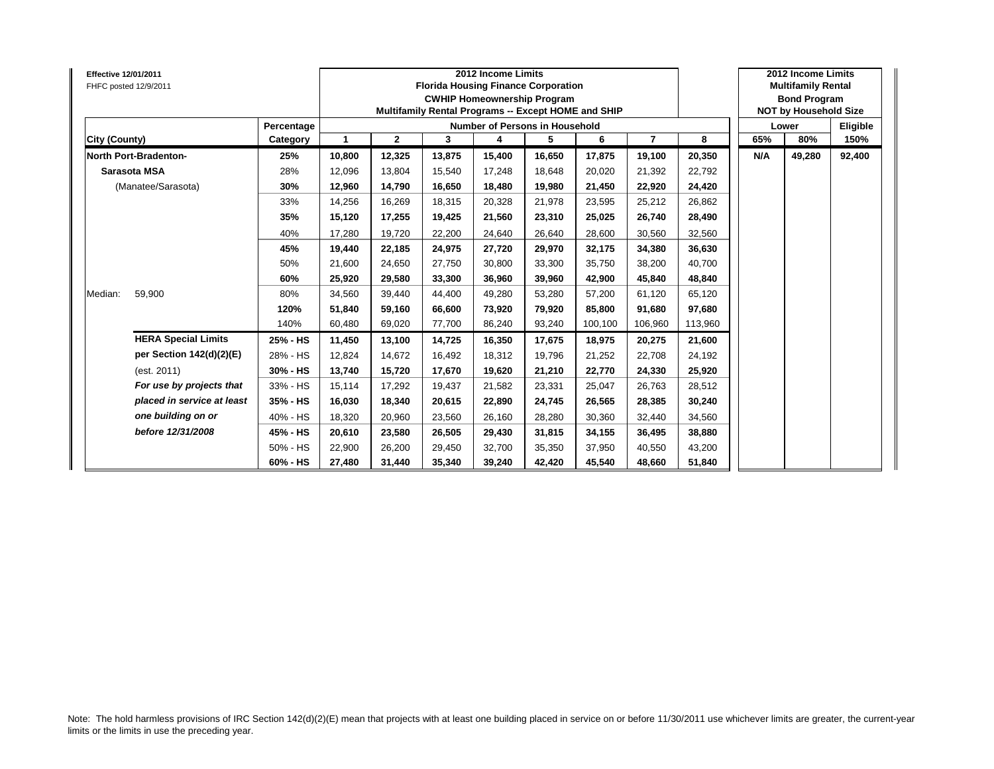| <b>Effective 12/01/2011</b> | FHFC posted 12/9/2011        |            |        |              |        | 2012 Income Limits<br><b>Florida Housing Finance Corporation</b><br><b>CWHIP Homeownership Program</b><br>Multifamily Rental Programs -- Except HOME and SHIP |        |         |                |         |     | 2012 Income Limits<br><b>Multifamily Rental</b><br><b>Bond Program</b><br><b>NOT by Household Size</b> |          |
|-----------------------------|------------------------------|------------|--------|--------------|--------|---------------------------------------------------------------------------------------------------------------------------------------------------------------|--------|---------|----------------|---------|-----|--------------------------------------------------------------------------------------------------------|----------|
|                             |                              | Percentage |        |              |        | Number of Persons in Household                                                                                                                                |        |         |                |         |     | Lower                                                                                                  | Eligible |
| City (County)               |                              | Category   | 1      | $\mathbf{2}$ | 3      | 4                                                                                                                                                             | 5      | 6       | $\overline{7}$ | 8       | 65% | 80%                                                                                                    | 150%     |
|                             | <b>North Port-Bradenton-</b> | 25%        | 10,800 | 12,325       | 13,875 | 15,400                                                                                                                                                        | 16,650 | 17,875  | 19,100         | 20,350  | N/A | 49,280                                                                                                 | 92,400   |
|                             | Sarasota MSA                 | 28%        | 12,096 | 13,804       | 15.540 | 17,248                                                                                                                                                        | 18,648 | 20.020  | 21,392         | 22,792  |     |                                                                                                        |          |
|                             | (Manatee/Sarasota)           | 30%        | 12,960 | 14,790       | 16.650 | 18,480                                                                                                                                                        | 19,980 | 21,450  | 22,920         | 24,420  |     |                                                                                                        |          |
|                             |                              | 33%        | 14,256 | 16,269       | 18.315 | 20,328                                                                                                                                                        | 21,978 | 23,595  | 25,212         | 26,862  |     |                                                                                                        |          |
|                             |                              | 35%        | 15,120 | 17,255       | 19,425 | 21,560                                                                                                                                                        | 23,310 | 25,025  | 26,740         | 28,490  |     |                                                                                                        |          |
|                             |                              | 40%        | 17,280 | 19,720       | 22,200 | 24,640                                                                                                                                                        | 26,640 | 28,600  | 30,560         | 32,560  |     |                                                                                                        |          |
|                             |                              | 45%        | 19,440 | 22,185       | 24.975 | 27,720                                                                                                                                                        | 29,970 | 32.175  | 34,380         | 36,630  |     |                                                                                                        |          |
|                             |                              | 50%        | 21,600 | 24,650       | 27,750 | 30,800                                                                                                                                                        | 33,300 | 35.750  | 38,200         | 40,700  |     |                                                                                                        |          |
|                             |                              | 60%        | 25,920 | 29,580       | 33.300 | 36,960                                                                                                                                                        | 39,960 | 42.900  | 45,840         | 48,840  |     |                                                                                                        |          |
| Median:                     | 59,900                       | 80%        | 34,560 | 39.440       | 44.400 | 49,280                                                                                                                                                        | 53,280 | 57.200  | 61.120         | 65,120  |     |                                                                                                        |          |
|                             |                              | 120%       | 51,840 | 59,160       | 66,600 | 73,920                                                                                                                                                        | 79,920 | 85,800  | 91,680         | 97,680  |     |                                                                                                        |          |
|                             |                              | 140%       | 60.480 | 69,020       | 77,700 | 86,240                                                                                                                                                        | 93,240 | 100.100 | 106.960        | 113,960 |     |                                                                                                        |          |
|                             | <b>HERA Special Limits</b>   | 25% - HS   | 11,450 | 13,100       | 14,725 | 16,350                                                                                                                                                        | 17,675 | 18,975  | 20,275         | 21,600  |     |                                                                                                        |          |
|                             | per Section 142(d)(2)(E)     | 28% - HS   | 12,824 | 14,672       | 16.492 | 18,312                                                                                                                                                        | 19,796 | 21,252  | 22,708         | 24,192  |     |                                                                                                        |          |
|                             | (est. 2011)                  | 30% - HS   | 13,740 | 15,720       | 17,670 | 19,620                                                                                                                                                        | 21,210 | 22,770  | 24,330         | 25,920  |     |                                                                                                        |          |
|                             | For use by projects that     | 33% - HS   | 15,114 | 17,292       | 19,437 | 21,582                                                                                                                                                        | 23,331 | 25,047  | 26,763         | 28,512  |     |                                                                                                        |          |
|                             | placed in service at least   | 35% - HS   | 16,030 | 18,340       | 20,615 | 22,890                                                                                                                                                        | 24,745 | 26,565  | 28,385         | 30,240  |     |                                                                                                        |          |
|                             | one building on or           | 40% - HS   | 18,320 | 20,960       | 23,560 | 26,160                                                                                                                                                        | 28,280 | 30,360  | 32,440         | 34,560  |     |                                                                                                        |          |
|                             | before 12/31/2008            | 45% - HS   | 20,610 | 23,580       | 26,505 | 29,430                                                                                                                                                        | 31,815 | 34,155  | 36,495         | 38,880  |     |                                                                                                        |          |
|                             |                              | 50% - HS   | 22,900 | 26,200       | 29,450 | 32,700                                                                                                                                                        | 35,350 | 37,950  | 40,550         | 43,200  |     |                                                                                                        |          |
|                             |                              | 60% - HS   | 27,480 | 31,440       | 35,340 | 39,240                                                                                                                                                        | 42,420 | 45,540  | 48,660         | 51,840  |     |                                                                                                        |          |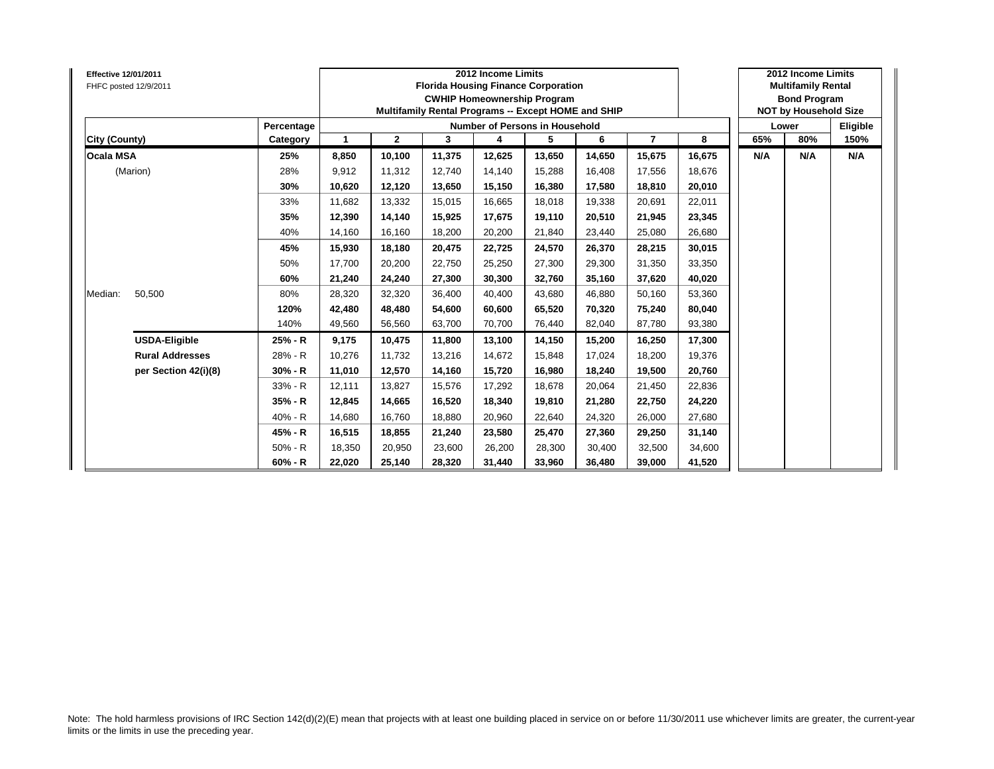| <b>Effective 12/01/2011</b><br>FHFC posted 12/9/2011 |            |              |              |        | 2012 Income Limits<br><b>Florida Housing Finance Corporation</b><br><b>CWHIP Homeownership Program</b><br>Multifamily Rental Programs -- Except HOME and SHIP |        |        |                |        |     | 2012 Income Limits<br><b>Multifamily Rental</b><br><b>Bond Program</b><br><b>NOT by Household Size</b> |          |
|------------------------------------------------------|------------|--------------|--------------|--------|---------------------------------------------------------------------------------------------------------------------------------------------------------------|--------|--------|----------------|--------|-----|--------------------------------------------------------------------------------------------------------|----------|
|                                                      | Percentage |              |              |        | Number of Persons in Household                                                                                                                                |        |        |                |        |     | Lower                                                                                                  | Eligible |
| City (County)                                        | Category   | $\mathbf{1}$ | $\mathbf{2}$ | 3      | 4                                                                                                                                                             | 5      | 6      | $\overline{7}$ | 8      | 65% | 80%                                                                                                    | 150%     |
| <b>Ocala MSA</b>                                     | 25%        | 8,850        | 10,100       | 11,375 | 12,625                                                                                                                                                        | 13,650 | 14,650 | 15,675         | 16,675 | N/A | N/A                                                                                                    | N/A      |
| (Marion)                                             | 28%        | 9,912        | 11,312       | 12.740 | 14,140                                                                                                                                                        | 15,288 | 16.408 | 17,556         | 18,676 |     |                                                                                                        |          |
|                                                      | 30%        | 10,620       | 12,120       | 13,650 | 15,150                                                                                                                                                        | 16,380 | 17,580 | 18,810         | 20,010 |     |                                                                                                        |          |
|                                                      | 33%        | 11,682       | 13,332       | 15,015 | 16,665                                                                                                                                                        | 18,018 | 19,338 | 20,691         | 22,011 |     |                                                                                                        |          |
|                                                      | 35%        | 12,390       | 14,140       | 15,925 | 17,675                                                                                                                                                        | 19,110 | 20.510 | 21,945         | 23,345 |     |                                                                                                        |          |
|                                                      | 40%        | 14,160       | 16,160       | 18.200 | 20,200                                                                                                                                                        | 21,840 | 23.440 | 25,080         | 26,680 |     |                                                                                                        |          |
|                                                      | 45%        | 15,930       | 18,180       | 20.475 | 22,725                                                                                                                                                        | 24,570 | 26.370 | 28,215         | 30,015 |     |                                                                                                        |          |
|                                                      | 50%        | 17,700       | 20,200       | 22,750 | 25,250                                                                                                                                                        | 27,300 | 29,300 | 31,350         | 33,350 |     |                                                                                                        |          |
|                                                      | 60%        | 21,240       | 24,240       | 27.300 | 30,300                                                                                                                                                        | 32,760 | 35.160 | 37,620         | 40,020 |     |                                                                                                        |          |
| 50,500<br>Median:                                    | 80%        | 28,320       | 32,320       | 36,400 | 40,400                                                                                                                                                        | 43,680 | 46.880 | 50,160         | 53,360 |     |                                                                                                        |          |
|                                                      | 120%       | 42,480       | 48,480       | 54.600 | 60,600                                                                                                                                                        | 65,520 | 70.320 | 75,240         | 80,040 |     |                                                                                                        |          |
|                                                      | 140%       | 49,560       | 56,560       | 63.700 | 70.700                                                                                                                                                        | 76,440 | 82.040 | 87,780         | 93,380 |     |                                                                                                        |          |
| <b>USDA-Eligible</b>                                 | 25% - R    | 9,175        | 10,475       | 11,800 | 13,100                                                                                                                                                        | 14,150 | 15,200 | 16,250         | 17,300 |     |                                                                                                        |          |
| <b>Rural Addresses</b>                               | 28% - R    | 10,276       | 11.732       | 13,216 | 14,672                                                                                                                                                        | 15,848 | 17.024 | 18,200         | 19,376 |     |                                                                                                        |          |
| per Section 42(i)(8)                                 | 30% - R    | 11,010       | 12,570       | 14,160 | 15,720                                                                                                                                                        | 16,980 | 18,240 | 19,500         | 20,760 |     |                                                                                                        |          |
|                                                      | 33% - R    | 12.111       | 13.827       | 15.576 | 17,292                                                                                                                                                        | 18,678 | 20.064 | 21,450         | 22,836 |     |                                                                                                        |          |
|                                                      | 35% - R    | 12,845       | 14,665       | 16,520 | 18,340                                                                                                                                                        | 19,810 | 21,280 | 22,750         | 24,220 |     |                                                                                                        |          |
|                                                      | $40% - R$  | 14,680       | 16,760       | 18,880 | 20,960                                                                                                                                                        | 22,640 | 24,320 | 26,000         | 27,680 |     |                                                                                                        |          |
|                                                      | 45% - R    | 16,515       | 18,855       | 21.240 | 23,580                                                                                                                                                        | 25,470 | 27,360 | 29,250         | 31,140 |     |                                                                                                        |          |
|                                                      | $50% - R$  | 18,350       | 20,950       | 23,600 | 26,200                                                                                                                                                        | 28,300 | 30.400 | 32,500         | 34,600 |     |                                                                                                        |          |
|                                                      | $60% - R$  | 22,020       | 25,140       | 28,320 | 31,440                                                                                                                                                        | 33,960 | 36,480 | 39,000         | 41,520 |     |                                                                                                        |          |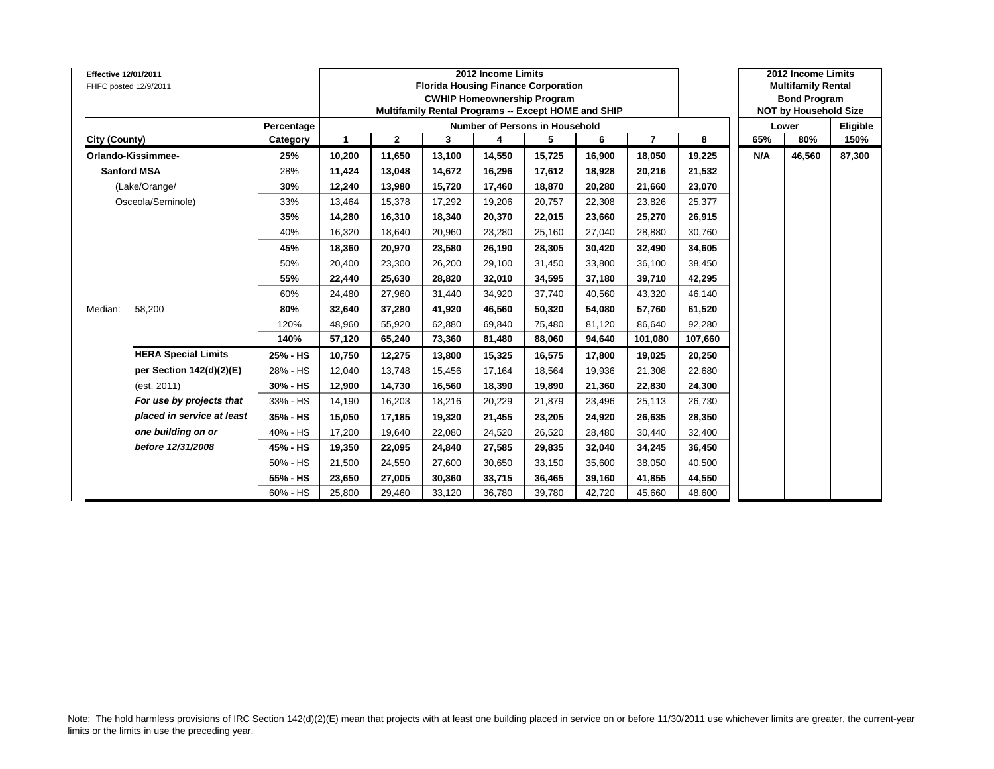| <b>Effective 12/01/2011</b><br>FHFC posted 12/9/2011 |            |              |              | <b>Florida Housing Finance Corporation</b><br>Multifamily Rental Programs -- Except HOME and SHIP | 2012 Income Limits<br><b>CWHIP Homeownership Program</b> |        |        |                |         |     | 2012 Income Limits<br><b>Multifamily Rental</b><br><b>Bond Program</b><br><b>NOT by Household Size</b> |          |
|------------------------------------------------------|------------|--------------|--------------|---------------------------------------------------------------------------------------------------|----------------------------------------------------------|--------|--------|----------------|---------|-----|--------------------------------------------------------------------------------------------------------|----------|
|                                                      | Percentage |              |              |                                                                                                   | Number of Persons in Household                           |        |        |                |         |     | Lower                                                                                                  | Eligible |
| City (County)                                        | Category   | $\mathbf{1}$ | $\mathbf{2}$ | 3                                                                                                 | 4                                                        | 5      | 6      | $\overline{7}$ | 8       | 65% | 80%                                                                                                    | 150%     |
| Orlando-Kissimmee-                                   | 25%        | 10,200       | 11,650       | 13,100                                                                                            | 14,550                                                   | 15,725 | 16,900 | 18,050         | 19,225  | N/A | 46,560                                                                                                 | 87,300   |
| <b>Sanford MSA</b>                                   | 28%        | 11,424       | 13,048       | 14,672                                                                                            | 16,296                                                   | 17,612 | 18.928 | 20,216         | 21,532  |     |                                                                                                        |          |
| (Lake/Orange/                                        | 30%        | 12,240       | 13,980       | 15,720                                                                                            | 17,460                                                   | 18,870 | 20,280 | 21,660         | 23,070  |     |                                                                                                        |          |
| Osceola/Seminole)                                    | 33%        | 13,464       | 15,378       | 17,292                                                                                            | 19,206                                                   | 20,757 | 22.308 | 23,826         | 25,377  |     |                                                                                                        |          |
|                                                      | 35%        | 14,280       | 16,310       | 18,340                                                                                            | 20,370                                                   | 22,015 | 23,660 | 25,270         | 26,915  |     |                                                                                                        |          |
|                                                      | 40%        | 16,320       | 18,640       | 20,960                                                                                            | 23,280                                                   | 25,160 | 27,040 | 28,880         | 30,760  |     |                                                                                                        |          |
|                                                      | 45%        | 18,360       | 20,970       | 23,580                                                                                            | 26,190                                                   | 28,305 | 30,420 | 32,490         | 34,605  |     |                                                                                                        |          |
|                                                      | 50%        | 20,400       | 23,300       | 26,200                                                                                            | 29,100                                                   | 31,450 | 33,800 | 36,100         | 38,450  |     |                                                                                                        |          |
|                                                      | 55%        | 22,440       | 25,630       | 28,820                                                                                            | 32,010                                                   | 34,595 | 37,180 | 39,710         | 42,295  |     |                                                                                                        |          |
|                                                      | 60%        | 24,480       | 27,960       | 31,440                                                                                            | 34,920                                                   | 37,740 | 40,560 | 43,320         | 46,140  |     |                                                                                                        |          |
| 58,200<br>Median:                                    | 80%        | 32,640       | 37,280       | 41,920                                                                                            | 46,560                                                   | 50,320 | 54,080 | 57,760         | 61,520  |     |                                                                                                        |          |
|                                                      | 120%       | 48,960       | 55,920       | 62,880                                                                                            | 69,840                                                   | 75,480 | 81,120 | 86,640         | 92,280  |     |                                                                                                        |          |
|                                                      | 140%       | 57,120       | 65,240       | 73,360                                                                                            | 81,480                                                   | 88,060 | 94,640 | 101,080        | 107,660 |     |                                                                                                        |          |
| <b>HERA Special Limits</b>                           | 25% - HS   | 10,750       | 12,275       | 13,800                                                                                            | 15,325                                                   | 16,575 | 17,800 | 19,025         | 20,250  |     |                                                                                                        |          |
| per Section 142(d)(2)(E)                             | 28% - HS   | 12,040       | 13,748       | 15,456                                                                                            | 17,164                                                   | 18,564 | 19,936 | 21,308         | 22,680  |     |                                                                                                        |          |
| (est. 2011)                                          | 30% - HS   | 12,900       | 14,730       | 16,560                                                                                            | 18,390                                                   | 19,890 | 21,360 | 22,830         | 24,300  |     |                                                                                                        |          |
| For use by projects that                             | 33% - HS   | 14,190       | 16,203       | 18,216                                                                                            | 20,229                                                   | 21,879 | 23,496 | 25,113         | 26,730  |     |                                                                                                        |          |
| placed in service at least                           | 35% - HS   | 15,050       | 17,185       | 19,320                                                                                            | 21,455                                                   | 23,205 | 24,920 | 26,635         | 28,350  |     |                                                                                                        |          |
| one building on or                                   | 40% - HS   | 17,200       | 19,640       | 22,080                                                                                            | 24,520                                                   | 26,520 | 28,480 | 30,440         | 32,400  |     |                                                                                                        |          |
| before 12/31/2008                                    | 45% - HS   | 19,350       | 22,095       | 24,840                                                                                            | 27,585                                                   | 29,835 | 32,040 | 34,245         | 36,450  |     |                                                                                                        |          |
|                                                      | 50% - HS   | 21,500       | 24,550       | 27,600                                                                                            | 30,650                                                   | 33,150 | 35,600 | 38,050         | 40,500  |     |                                                                                                        |          |
|                                                      | 55% - HS   | 23,650       | 27,005       | 30,360                                                                                            | 33,715                                                   | 36,465 | 39,160 | 41,855         | 44,550  |     |                                                                                                        |          |
|                                                      | 60% - HS   | 25,800       | 29,460       | 33,120                                                                                            | 36,780                                                   | 39,780 | 42,720 | 45,660         | 48,600  |     |                                                                                                        |          |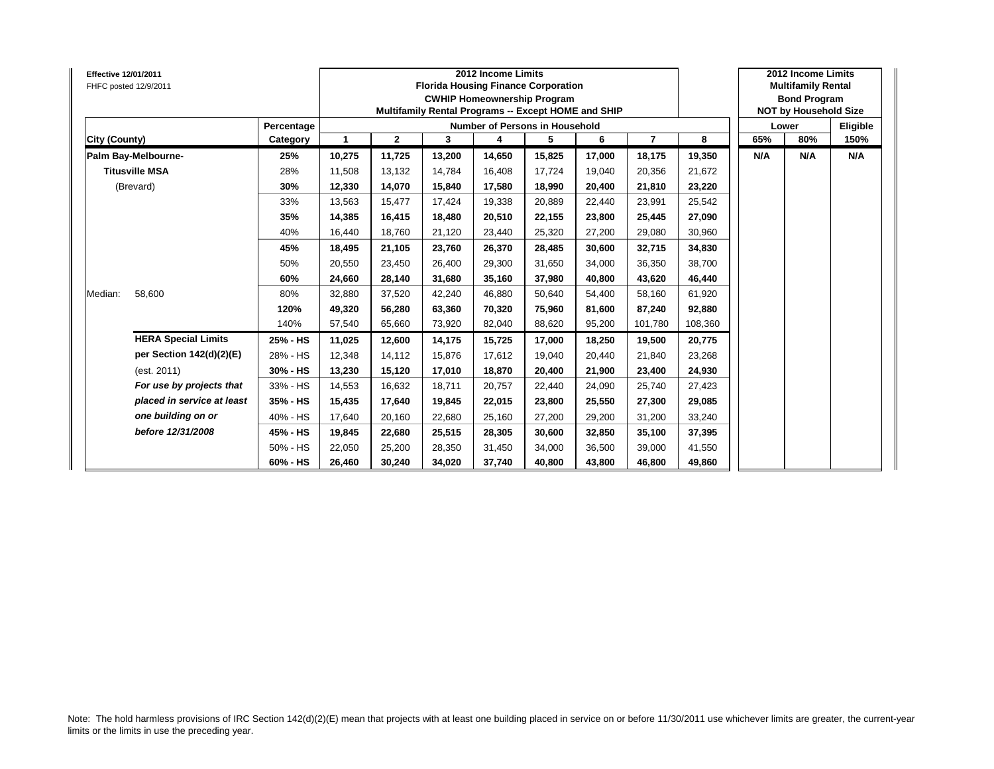| <b>Effective 12/01/2011</b> | FHFC posted 12/9/2011      |            |        |              |        | 2012 Income Limits<br><b>Florida Housing Finance Corporation</b><br><b>CWHIP Homeownership Program</b><br>Multifamily Rental Programs -- Except HOME and SHIP |        |        |                |         |     | 2012 Income Limits<br><b>Multifamily Rental</b><br><b>Bond Program</b><br><b>NOT by Household Size</b> |          |
|-----------------------------|----------------------------|------------|--------|--------------|--------|---------------------------------------------------------------------------------------------------------------------------------------------------------------|--------|--------|----------------|---------|-----|--------------------------------------------------------------------------------------------------------|----------|
|                             |                            | Percentage |        |              |        | Number of Persons in Household                                                                                                                                |        |        |                |         |     | Lower                                                                                                  | Eligible |
| City (County)               |                            | Category   | 1      | $\mathbf{2}$ | 3      | 4                                                                                                                                                             | 5      | 6      | $\overline{7}$ | 8       | 65% | 80%                                                                                                    | 150%     |
|                             | Palm Bay-Melbourne-        | 25%        | 10,275 | 11,725       | 13,200 | 14,650                                                                                                                                                        | 15,825 | 17,000 | 18,175         | 19,350  | N/A | N/A                                                                                                    | N/A      |
|                             | <b>Titusville MSA</b>      | 28%        | 11,508 | 13,132       | 14.784 | 16,408                                                                                                                                                        | 17,724 | 19.040 | 20,356         | 21,672  |     |                                                                                                        |          |
|                             | (Brevard)                  | 30%        | 12,330 | 14,070       | 15.840 | 17,580                                                                                                                                                        | 18,990 | 20.400 | 21,810         | 23,220  |     |                                                                                                        |          |
|                             |                            | 33%        | 13,563 | 15,477       | 17,424 | 19,338                                                                                                                                                        | 20,889 | 22.440 | 23,991         | 25,542  |     |                                                                                                        |          |
|                             |                            | 35%        | 14,385 | 16,415       | 18,480 | 20,510                                                                                                                                                        | 22,155 | 23,800 | 25,445         | 27,090  |     |                                                                                                        |          |
|                             |                            | 40%        | 16,440 | 18,760       | 21,120 | 23,440                                                                                                                                                        | 25,320 | 27,200 | 29,080         | 30,960  |     |                                                                                                        |          |
|                             |                            | 45%        | 18,495 | 21,105       | 23.760 | 26,370                                                                                                                                                        | 28,485 | 30.600 | 32,715         | 34,830  |     |                                                                                                        |          |
|                             |                            | 50%        | 20,550 | 23,450       | 26.400 | 29,300                                                                                                                                                        | 31,650 | 34.000 | 36,350         | 38,700  |     |                                                                                                        |          |
|                             |                            | 60%        | 24,660 | 28,140       | 31,680 | 35,160                                                                                                                                                        | 37,980 | 40.800 | 43,620         | 46,440  |     |                                                                                                        |          |
| Median:                     | 58.600                     | 80%        | 32,880 | 37,520       | 42,240 | 46,880                                                                                                                                                        | 50,640 | 54.400 | 58,160         | 61,920  |     |                                                                                                        |          |
|                             |                            | 120%       | 49,320 | 56,280       | 63,360 | 70,320                                                                                                                                                        | 75,960 | 81,600 | 87,240         | 92,880  |     |                                                                                                        |          |
|                             |                            | 140%       | 57,540 | 65,660       | 73.920 | 82,040                                                                                                                                                        | 88,620 | 95,200 | 101.780        | 108,360 |     |                                                                                                        |          |
|                             | <b>HERA Special Limits</b> | 25% - HS   | 11,025 | 12,600       | 14,175 | 15,725                                                                                                                                                        | 17,000 | 18,250 | 19,500         | 20,775  |     |                                                                                                        |          |
|                             | per Section 142(d)(2)(E)   | 28% - HS   | 12,348 | 14,112       | 15.876 | 17,612                                                                                                                                                        | 19,040 | 20.440 | 21,840         | 23,268  |     |                                                                                                        |          |
|                             | (est. 2011)                | 30% - HS   | 13,230 | 15,120       | 17.010 | 18,870                                                                                                                                                        | 20,400 | 21,900 | 23,400         | 24,930  |     |                                                                                                        |          |
|                             | For use by projects that   | 33% - HS   | 14,553 | 16,632       | 18.711 | 20,757                                                                                                                                                        | 22,440 | 24,090 | 25,740         | 27,423  |     |                                                                                                        |          |
|                             | placed in service at least | 35% - HS   | 15,435 | 17,640       | 19.845 | 22,015                                                                                                                                                        | 23,800 | 25,550 | 27,300         | 29,085  |     |                                                                                                        |          |
|                             | one building on or         | 40% - HS   | 17,640 | 20,160       | 22.680 | 25,160                                                                                                                                                        | 27,200 | 29,200 | 31,200         | 33,240  |     |                                                                                                        |          |
|                             | before 12/31/2008          | 45% - HS   | 19,845 | 22,680       | 25,515 | 28,305                                                                                                                                                        | 30,600 | 32,850 | 35,100         | 37,395  |     |                                                                                                        |          |
|                             |                            | 50% - HS   | 22,050 | 25,200       | 28,350 | 31,450                                                                                                                                                        | 34,000 | 36,500 | 39,000         | 41,550  |     |                                                                                                        |          |
|                             |                            | 60% - HS   | 26,460 | 30,240       | 34,020 | 37,740                                                                                                                                                        | 40,800 | 43,800 | 46,800         | 49,860  |     |                                                                                                        |          |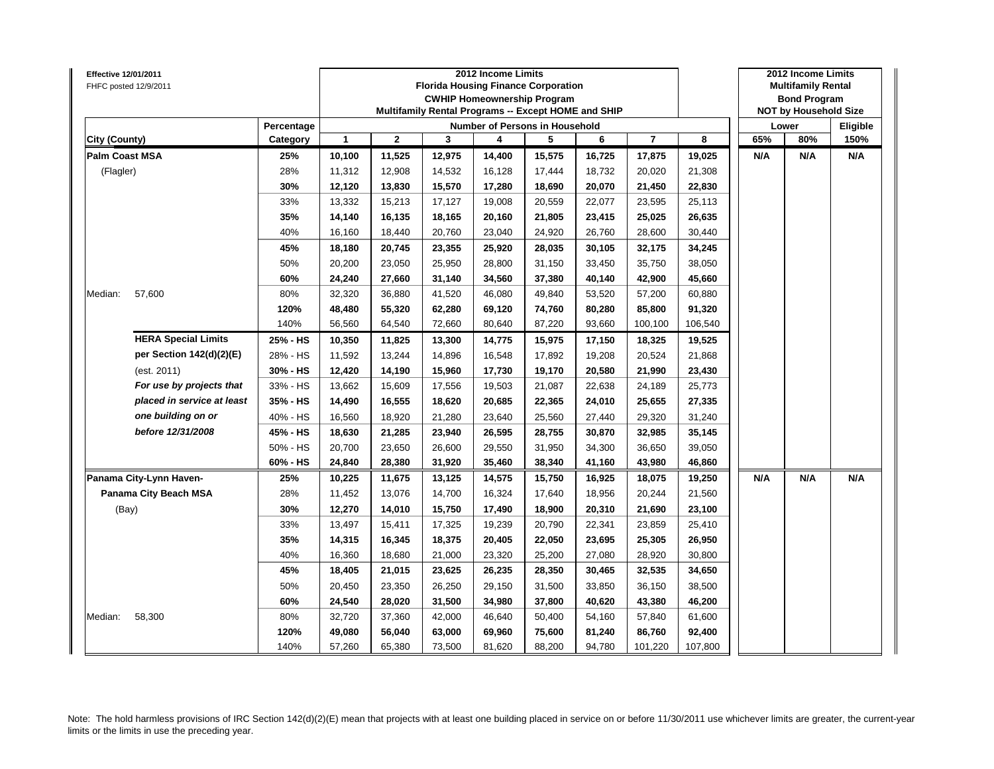| Effective 12/01/2011<br>FHFC posted 12/9/2011 |            |        |             |        | 2012 Income Limits | <b>Florida Housing Finance Corporation</b><br><b>CWHIP Homeownership Program</b><br>Multifamily Rental Programs -- Except HOME and SHIP |        |                          |         |     | 2012 Income Limits<br><b>Multifamily Rental</b><br><b>Bond Program</b><br><b>NOT by Household Size</b> |          |
|-----------------------------------------------|------------|--------|-------------|--------|--------------------|-----------------------------------------------------------------------------------------------------------------------------------------|--------|--------------------------|---------|-----|--------------------------------------------------------------------------------------------------------|----------|
|                                               | Percentage |        |             |        |                    | Number of Persons in Household                                                                                                          |        |                          |         |     | Lower                                                                                                  | Eligible |
| City (County)                                 | Category   | 1      | $\mathbf 2$ | 3      | 4                  | 5                                                                                                                                       | 6      | $\overline{\phantom{a}}$ | 8       | 65% | 80%                                                                                                    | 150%     |
| <b>Palm Coast MSA</b>                         | 25%        | 10,100 | 11,525      | 12,975 | 14,400             | 15,575                                                                                                                                  | 16,725 | 17,875                   | 19,025  | N/A | N/A                                                                                                    | N/A      |
| (Flagler)                                     | 28%        | 11,312 | 12,908      | 14,532 | 16,128             | 17,444                                                                                                                                  | 18,732 | 20,020                   | 21,308  |     |                                                                                                        |          |
|                                               | 30%        | 12,120 | 13,830      | 15,570 | 17,280             | 18,690                                                                                                                                  | 20,070 | 21,450                   | 22,830  |     |                                                                                                        |          |
|                                               | 33%        | 13,332 | 15,213      | 17,127 | 19,008             | 20,559                                                                                                                                  | 22,077 | 23,595                   | 25,113  |     |                                                                                                        |          |
|                                               | 35%        | 14,140 | 16,135      | 18,165 | 20,160             | 21,805                                                                                                                                  | 23,415 | 25,025                   | 26,635  |     |                                                                                                        |          |
|                                               | 40%        | 16,160 | 18,440      | 20,760 | 23,040             | 24,920                                                                                                                                  | 26,760 | 28,600                   | 30,440  |     |                                                                                                        |          |
|                                               | 45%        | 18,180 | 20,745      | 23,355 | 25,920             | 28,035                                                                                                                                  | 30,105 | 32,175                   | 34,245  |     |                                                                                                        |          |
|                                               | 50%        | 20,200 | 23,050      | 25,950 | 28,800             | 31,150                                                                                                                                  | 33,450 | 35,750                   | 38,050  |     |                                                                                                        |          |
|                                               | 60%        | 24,240 | 27,660      | 31,140 | 34,560             | 37,380                                                                                                                                  | 40,140 | 42,900                   | 45,660  |     |                                                                                                        |          |
| 57,600<br>Median:                             | 80%        | 32,320 | 36,880      | 41,520 | 46,080             | 49,840                                                                                                                                  | 53,520 | 57,200                   | 60,880  |     |                                                                                                        |          |
|                                               | 120%       | 48,480 | 55,320      | 62,280 | 69,120             | 74,760                                                                                                                                  | 80,280 | 85,800                   | 91,320  |     |                                                                                                        |          |
|                                               | 140%       | 56,560 | 64,540      | 72,660 | 80,640             | 87,220                                                                                                                                  | 93,660 | 100,100                  | 106,540 |     |                                                                                                        |          |
| <b>HERA Special Limits</b>                    | 25% - HS   | 10,350 | 11,825      | 13,300 | 14,775             | 15,975                                                                                                                                  | 17,150 | 18,325                   | 19,525  |     |                                                                                                        |          |
| per Section 142(d)(2)(E)                      | 28% - HS   | 11,592 | 13,244      | 14,896 | 16,548             | 17,892                                                                                                                                  | 19,208 | 20,524                   | 21,868  |     |                                                                                                        |          |
| (est. 2011)                                   | 30% - HS   | 12,420 | 14,190      | 15,960 | 17,730             | 19,170                                                                                                                                  | 20,580 | 21,990                   | 23,430  |     |                                                                                                        |          |
| For use by projects that                      | 33% - HS   | 13,662 | 15,609      | 17,556 | 19,503             | 21,087                                                                                                                                  | 22,638 | 24,189                   | 25,773  |     |                                                                                                        |          |
| placed in service at least                    | 35% - HS   | 14,490 | 16,555      | 18,620 | 20,685             | 22,365                                                                                                                                  | 24,010 | 25,655                   | 27,335  |     |                                                                                                        |          |
| one building on or                            | 40% - HS   | 16,560 | 18,920      | 21,280 | 23,640             | 25,560                                                                                                                                  | 27,440 | 29,320                   | 31,240  |     |                                                                                                        |          |
| before 12/31/2008                             | 45% - HS   | 18,630 | 21,285      | 23,940 | 26,595             | 28,755                                                                                                                                  | 30,870 | 32,985                   | 35,145  |     |                                                                                                        |          |
|                                               | 50% - HS   | 20,700 | 23,650      | 26,600 | 29,550             | 31,950                                                                                                                                  | 34,300 | 36,650                   | 39,050  |     |                                                                                                        |          |
|                                               | 60% - HS   | 24,840 | 28,380      | 31,920 | 35,460             | 38,340                                                                                                                                  | 41,160 | 43,980                   | 46,860  |     |                                                                                                        |          |
| Panama City-Lynn Haven-                       | 25%        | 10,225 | 11,675      | 13,125 | 14,575             | 15,750                                                                                                                                  | 16,925 | 18,075                   | 19,250  | N/A | N/A                                                                                                    | N/A      |
| Panama City Beach MSA                         | 28%        | 11,452 | 13,076      | 14,700 | 16,324             | 17,640                                                                                                                                  | 18,956 | 20,244                   | 21,560  |     |                                                                                                        |          |
| (Bay)                                         | 30%        | 12,270 | 14,010      | 15,750 | 17,490             | 18,900                                                                                                                                  | 20,310 | 21,690                   | 23,100  |     |                                                                                                        |          |
|                                               | 33%        | 13,497 | 15,411      | 17,325 | 19,239             | 20,790                                                                                                                                  | 22,341 | 23,859                   | 25,410  |     |                                                                                                        |          |
|                                               | 35%        | 14,315 | 16,345      | 18,375 | 20,405             | 22,050                                                                                                                                  | 23,695 | 25,305                   | 26,950  |     |                                                                                                        |          |
|                                               | 40%        | 16,360 | 18,680      | 21,000 | 23,320             | 25,200                                                                                                                                  | 27,080 | 28,920                   | 30,800  |     |                                                                                                        |          |
|                                               | 45%        | 18,405 | 21,015      | 23,625 | 26,235             | 28,350                                                                                                                                  | 30,465 | 32,535                   | 34,650  |     |                                                                                                        |          |
|                                               | 50%        | 20,450 | 23,350      | 26,250 | 29,150             | 31,500                                                                                                                                  | 33,850 | 36,150                   | 38,500  |     |                                                                                                        |          |
|                                               | 60%        | 24,540 | 28,020      | 31,500 | 34,980             | 37,800                                                                                                                                  | 40,620 | 43,380                   | 46,200  |     |                                                                                                        |          |
| Median:<br>58,300                             | 80%        | 32,720 | 37,360      | 42,000 | 46,640             | 50,400                                                                                                                                  | 54,160 | 57,840                   | 61,600  |     |                                                                                                        |          |
|                                               | 120%       | 49,080 | 56,040      | 63,000 | 69,960             | 75,600                                                                                                                                  | 81,240 | 86,760                   | 92,400  |     |                                                                                                        |          |
|                                               | 140%       | 57,260 | 65,380      | 73,500 | 81,620             | 88,200                                                                                                                                  | 94,780 | 101,220                  | 107,800 |     |                                                                                                        |          |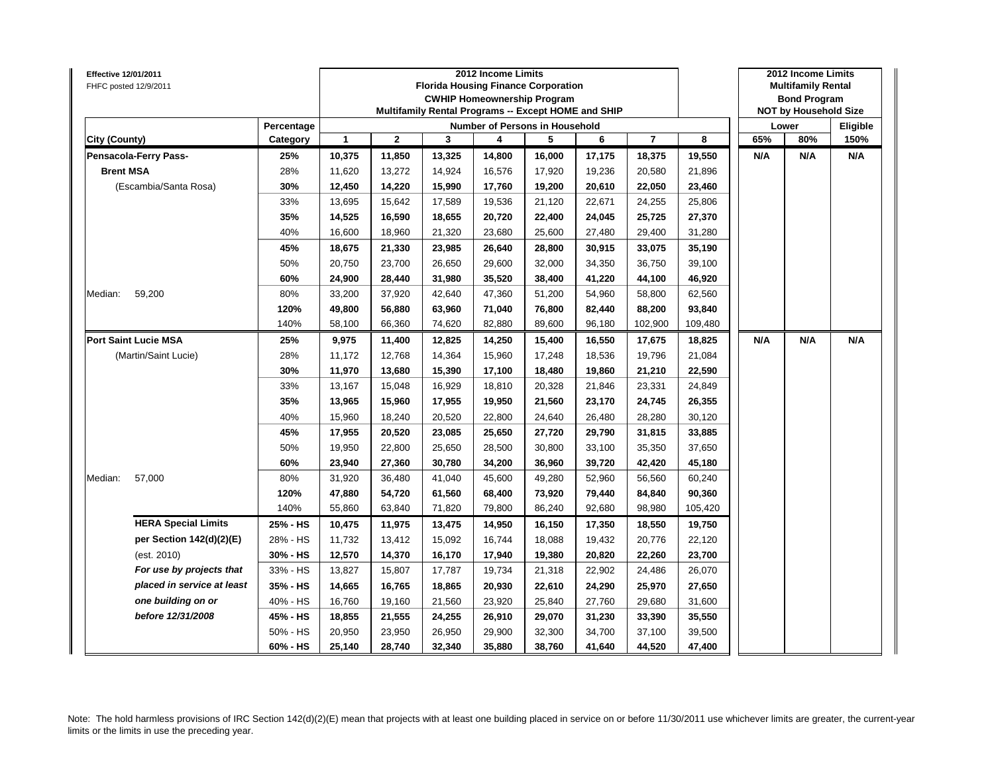| Effective 12/01/2011<br>FHFC posted 12/9/2011 |            |              |              | <b>Florida Housing Finance Corporation</b><br>Multifamily Rental Programs -- Except HOME and SHIP | 2012 Income Limits | <b>CWHIP Homeownership Program</b> |        |                          |         |     | 2012 Income Limits<br><b>Multifamily Rental</b><br><b>Bond Program</b><br><b>NOT by Household Size</b> |          |
|-----------------------------------------------|------------|--------------|--------------|---------------------------------------------------------------------------------------------------|--------------------|------------------------------------|--------|--------------------------|---------|-----|--------------------------------------------------------------------------------------------------------|----------|
|                                               | Percentage |              |              |                                                                                                   |                    | Number of Persons in Household     |        |                          |         |     | Lower                                                                                                  | Eligible |
| City (County)                                 | Category   | $\mathbf{1}$ | $\mathbf{2}$ | 3                                                                                                 | 4                  | 5                                  | 6      | $\overline{\phantom{a}}$ | 8       | 65% | 80%                                                                                                    | 150%     |
| Pensacola-Ferry Pass-                         | 25%        | 10,375       | 11,850       | 13,325                                                                                            | 14,800             | 16,000                             | 17,175 | 18,375                   | 19,550  | N/A | N/A                                                                                                    | N/A      |
| <b>Brent MSA</b>                              | 28%        | 11,620       | 13,272       | 14,924                                                                                            | 16,576             | 17,920                             | 19,236 | 20,580                   | 21,896  |     |                                                                                                        |          |
| (Escambia/Santa Rosa)                         | 30%        | 12,450       | 14,220       | 15,990                                                                                            | 17,760             | 19,200                             | 20,610 | 22,050                   | 23,460  |     |                                                                                                        |          |
|                                               | 33%        | 13,695       | 15,642       | 17,589                                                                                            | 19,536             | 21,120                             | 22,671 | 24,255                   | 25,806  |     |                                                                                                        |          |
|                                               | 35%        | 14,525       | 16,590       | 18,655                                                                                            | 20,720             | 22,400                             | 24,045 | 25,725                   | 27,370  |     |                                                                                                        |          |
|                                               | 40%        | 16,600       | 18,960       | 21,320                                                                                            | 23,680             | 25,600                             | 27,480 | 29,400                   | 31,280  |     |                                                                                                        |          |
|                                               | 45%        | 18,675       | 21,330       | 23,985                                                                                            | 26,640             | 28,800                             | 30,915 | 33,075                   | 35,190  |     |                                                                                                        |          |
|                                               | 50%        | 20,750       | 23,700       | 26,650                                                                                            | 29,600             | 32,000                             | 34,350 | 36,750                   | 39,100  |     |                                                                                                        |          |
|                                               | 60%        | 24,900       | 28,440       | 31,980                                                                                            | 35,520             | 38,400                             | 41,220 | 44,100                   | 46,920  |     |                                                                                                        |          |
| 59,200<br>Median:                             | 80%        | 33,200       | 37,920       | 42,640                                                                                            | 47,360             | 51,200                             | 54,960 | 58,800                   | 62,560  |     |                                                                                                        |          |
|                                               | 120%       | 49,800       | 56,880       | 63,960                                                                                            | 71,040             | 76,800                             | 82,440 | 88,200                   | 93,840  |     |                                                                                                        |          |
|                                               | 140%       | 58,100       | 66,360       | 74,620                                                                                            | 82,880             | 89,600                             | 96,180 | 102,900                  | 109,480 |     |                                                                                                        |          |
| <b>Port Saint Lucie MSA</b>                   | 25%        | 9,975        | 11,400       | 12,825                                                                                            | 14,250             | 15,400                             | 16,550 | 17,675                   | 18,825  | N/A | N/A                                                                                                    | N/A      |
| (Martin/Saint Lucie)                          | 28%        | 11,172       | 12,768       | 14,364                                                                                            | 15,960             | 17,248                             | 18,536 | 19,796                   | 21,084  |     |                                                                                                        |          |
|                                               | 30%        | 11,970       | 13,680       | 15,390                                                                                            | 17,100             | 18,480                             | 19,860 | 21,210                   | 22,590  |     |                                                                                                        |          |
|                                               | 33%        | 13,167       | 15,048       | 16,929                                                                                            | 18,810             | 20,328                             | 21,846 | 23,331                   | 24,849  |     |                                                                                                        |          |
|                                               | 35%        | 13,965       | 15,960       | 17,955                                                                                            | 19,950             | 21,560                             | 23,170 | 24,745                   | 26,355  |     |                                                                                                        |          |
|                                               | 40%        | 15,960       | 18,240       | 20,520                                                                                            | 22,800             | 24,640                             | 26,480 | 28,280                   | 30,120  |     |                                                                                                        |          |
|                                               | 45%        | 17,955       | 20,520       | 23,085                                                                                            | 25,650             | 27,720                             | 29,790 | 31,815                   | 33,885  |     |                                                                                                        |          |
|                                               | 50%        | 19,950       | 22,800       | 25,650                                                                                            | 28,500             | 30,800                             | 33,100 | 35,350                   | 37,650  |     |                                                                                                        |          |
|                                               | 60%        | 23,940       | 27,360       | 30,780                                                                                            | 34,200             | 36,960                             | 39,720 | 42,420                   | 45,180  |     |                                                                                                        |          |
| 57,000<br>Median:                             | 80%        | 31,920       | 36,480       | 41,040                                                                                            | 45,600             | 49,280                             | 52,960 | 56,560                   | 60,240  |     |                                                                                                        |          |
|                                               | 120%       | 47,880       | 54,720       | 61,560                                                                                            | 68,400             | 73,920                             | 79,440 | 84,840                   | 90,360  |     |                                                                                                        |          |
|                                               | 140%       | 55,860       | 63,840       | 71,820                                                                                            | 79,800             | 86,240                             | 92,680 | 98,980                   | 105,420 |     |                                                                                                        |          |
| <b>HERA Special Limits</b>                    | 25% - HS   | 10,475       | 11,975       | 13,475                                                                                            | 14,950             | 16,150                             | 17,350 | 18,550                   | 19,750  |     |                                                                                                        |          |
| per Section 142(d)(2)(E)                      | 28% - HS   | 11,732       | 13,412       | 15,092                                                                                            | 16,744             | 18,088                             | 19,432 | 20,776                   | 22,120  |     |                                                                                                        |          |
| (est. 2010)                                   | 30% - HS   | 12,570       | 14,370       | 16,170                                                                                            | 17,940             | 19,380                             | 20,820 | 22,260                   | 23,700  |     |                                                                                                        |          |
| For use by projects that                      | 33% - HS   | 13,827       | 15,807       | 17,787                                                                                            | 19,734             | 21,318                             | 22,902 | 24,486                   | 26,070  |     |                                                                                                        |          |
| placed in service at least                    | 35% - HS   | 14,665       | 16,765       | 18,865                                                                                            | 20,930             | 22,610                             | 24,290 | 25,970                   | 27,650  |     |                                                                                                        |          |
| one building on or                            | 40% - HS   | 16,760       | 19,160       | 21,560                                                                                            | 23,920             | 25,840                             | 27,760 | 29,680                   | 31,600  |     |                                                                                                        |          |
| before 12/31/2008                             | 45% - HS   | 18,855       | 21,555       | 24,255                                                                                            | 26,910             | 29,070                             | 31,230 | 33,390                   | 35,550  |     |                                                                                                        |          |
|                                               | 50% - HS   | 20,950       | 23,950       | 26,950                                                                                            | 29,900             | 32,300                             | 34,700 | 37,100                   | 39,500  |     |                                                                                                        |          |
|                                               | 60% - HS   | 25,140       | 28,740       | 32,340                                                                                            | 35,880             | 38,760                             | 41,640 | 44,520                   | 47,400  |     |                                                                                                        |          |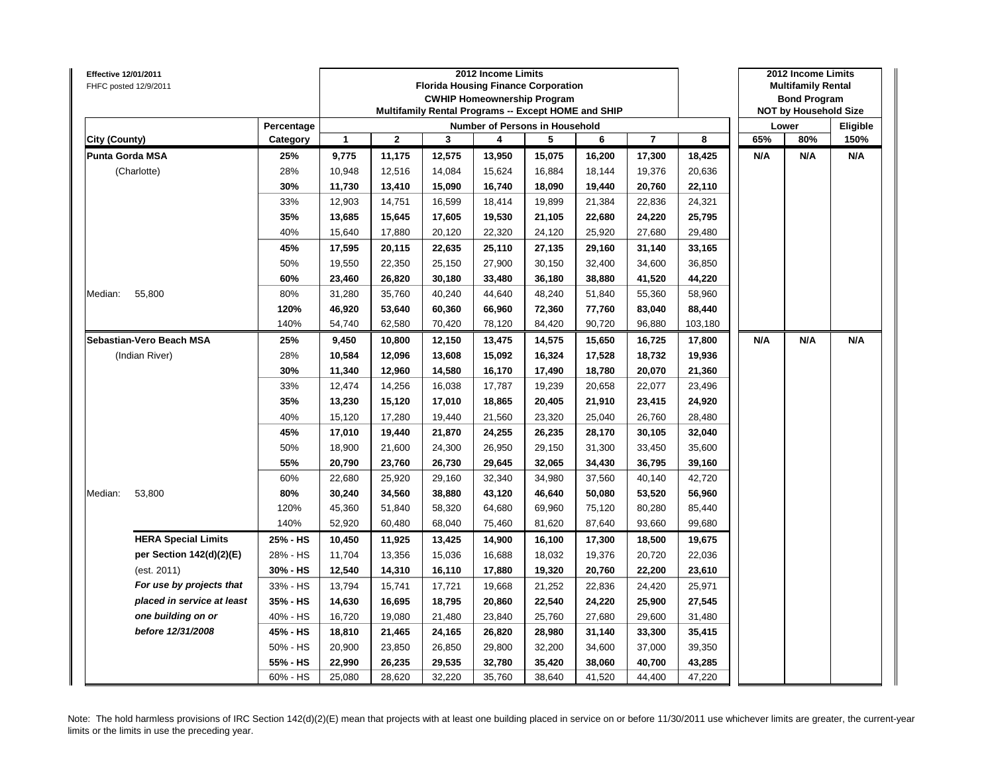| Effective 12/01/2011<br>FHFC posted 12/9/2011 |                            |            |              |              |        | 2012 Income Limits<br><b>Florida Housing Finance Corporation</b><br><b>CWHIP Homeownership Program</b><br>Multifamily Rental Programs -- Except HOME and SHIP |        |        |                |         |     | 2012 Income Limits<br><b>Multifamily Rental</b><br><b>Bond Program</b><br><b>NOT by Household Size</b> |          |
|-----------------------------------------------|----------------------------|------------|--------------|--------------|--------|---------------------------------------------------------------------------------------------------------------------------------------------------------------|--------|--------|----------------|---------|-----|--------------------------------------------------------------------------------------------------------|----------|
|                                               |                            | Percentage |              |              |        | Number of Persons in Household                                                                                                                                |        |        |                |         |     | Lower                                                                                                  | Eligible |
| City (County)                                 |                            | Category   | $\mathbf{1}$ | $\mathbf{2}$ | 3      | 4                                                                                                                                                             | 5      | 6      | $\overline{7}$ | 8       | 65% | 80%                                                                                                    | 150%     |
| <b>Punta Gorda MSA</b>                        |                            | 25%        | 9,775        | 11,175       | 12,575 | 13,950                                                                                                                                                        | 15,075 | 16,200 | 17,300         | 18,425  | N/A | N/A                                                                                                    | N/A      |
|                                               | (Charlotte)                | 28%        | 10,948       | 12,516       | 14,084 | 15,624                                                                                                                                                        | 16,884 | 18,144 | 19,376         | 20,636  |     |                                                                                                        |          |
|                                               |                            | 30%        | 11,730       | 13,410       | 15,090 | 16,740                                                                                                                                                        | 18,090 | 19,440 | 20,760         | 22,110  |     |                                                                                                        |          |
|                                               |                            | 33%        | 12,903       | 14,751       | 16,599 | 18,414                                                                                                                                                        | 19,899 | 21,384 | 22,836         | 24,321  |     |                                                                                                        |          |
|                                               |                            | 35%        | 13,685       | 15,645       | 17,605 | 19,530                                                                                                                                                        | 21,105 | 22,680 | 24,220         | 25,795  |     |                                                                                                        |          |
|                                               |                            | 40%        | 15,640       | 17,880       | 20,120 | 22,320                                                                                                                                                        | 24,120 | 25,920 | 27,680         | 29,480  |     |                                                                                                        |          |
|                                               |                            | 45%        | 17,595       | 20,115       | 22,635 | 25,110                                                                                                                                                        | 27,135 | 29,160 | 31,140         | 33,165  |     |                                                                                                        |          |
|                                               |                            | 50%        | 19,550       | 22,350       | 25,150 | 27,900                                                                                                                                                        | 30,150 | 32,400 | 34,600         | 36,850  |     |                                                                                                        |          |
|                                               |                            | 60%        | 23,460       | 26,820       | 30,180 | 33,480                                                                                                                                                        | 36,180 | 38,880 | 41,520         | 44,220  |     |                                                                                                        |          |
| Median:                                       | 55,800                     | 80%        | 31,280       | 35,760       | 40,240 | 44,640                                                                                                                                                        | 48,240 | 51,840 | 55,360         | 58,960  |     |                                                                                                        |          |
|                                               |                            | 120%       | 46,920       | 53,640       | 60,360 | 66,960                                                                                                                                                        | 72,360 | 77,760 | 83,040         | 88,440  |     |                                                                                                        |          |
|                                               |                            | 140%       | 54,740       | 62,580       | 70,420 | 78,120                                                                                                                                                        | 84,420 | 90,720 | 96,880         | 103,180 |     |                                                                                                        |          |
|                                               | Sebastian-Vero Beach MSA   | 25%        | 9,450        | 10,800       | 12,150 | 13,475                                                                                                                                                        | 14,575 | 15,650 | 16,725         | 17,800  | N/A | N/A                                                                                                    | N/A      |
|                                               | (Indian River)             | 28%        | 10,584       | 12,096       | 13,608 | 15,092                                                                                                                                                        | 16,324 | 17,528 | 18,732         | 19,936  |     |                                                                                                        |          |
|                                               |                            | 30%        | 11,340       | 12,960       | 14,580 | 16,170                                                                                                                                                        | 17,490 | 18,780 | 20,070         | 21,360  |     |                                                                                                        |          |
|                                               |                            | 33%        | 12,474       | 14,256       | 16,038 | 17,787                                                                                                                                                        | 19,239 | 20,658 | 22,077         | 23,496  |     |                                                                                                        |          |
|                                               |                            | 35%        | 13,230       | 15,120       | 17,010 | 18,865                                                                                                                                                        | 20,405 | 21,910 | 23,415         | 24,920  |     |                                                                                                        |          |
|                                               |                            | 40%        | 15,120       | 17,280       | 19,440 | 21,560                                                                                                                                                        | 23,320 | 25,040 | 26,760         | 28,480  |     |                                                                                                        |          |
|                                               |                            | 45%        | 17,010       | 19,440       | 21,870 | 24,255                                                                                                                                                        | 26,235 | 28,170 | 30,105         | 32,040  |     |                                                                                                        |          |
|                                               |                            | 50%        | 18,900       | 21,600       | 24,300 | 26,950                                                                                                                                                        | 29,150 | 31,300 | 33,450         | 35,600  |     |                                                                                                        |          |
|                                               |                            | 55%        | 20,790       | 23,760       | 26,730 | 29,645                                                                                                                                                        | 32,065 | 34,430 | 36,795         | 39,160  |     |                                                                                                        |          |
|                                               |                            | 60%        | 22,680       | 25,920       | 29,160 | 32,340                                                                                                                                                        | 34,980 | 37,560 | 40,140         | 42,720  |     |                                                                                                        |          |
| Median:                                       | 53,800                     | 80%        | 30,240       | 34,560       | 38,880 | 43,120                                                                                                                                                        | 46,640 | 50,080 | 53,520         | 56,960  |     |                                                                                                        |          |
|                                               |                            | 120%       | 45,360       | 51,840       | 58,320 | 64,680                                                                                                                                                        | 69,960 | 75,120 | 80,280         | 85,440  |     |                                                                                                        |          |
|                                               |                            | 140%       | 52,920       | 60,480       | 68,040 | 75,460                                                                                                                                                        | 81,620 | 87,640 | 93,660         | 99,680  |     |                                                                                                        |          |
|                                               | <b>HERA Special Limits</b> | 25% - HS   | 10,450       | 11,925       | 13,425 | 14,900                                                                                                                                                        | 16,100 | 17,300 | 18,500         | 19,675  |     |                                                                                                        |          |
|                                               | per Section 142(d)(2)(E)   | 28% - HS   | 11,704       | 13,356       | 15,036 | 16,688                                                                                                                                                        | 18,032 | 19,376 | 20,720         | 22,036  |     |                                                                                                        |          |
|                                               | (est. 2011)                | 30% - HS   | 12,540       | 14,310       | 16,110 | 17,880                                                                                                                                                        | 19,320 | 20,760 | 22,200         | 23,610  |     |                                                                                                        |          |
|                                               | For use by projects that   | 33% - HS   | 13,794       | 15,741       | 17,721 | 19,668                                                                                                                                                        | 21,252 | 22,836 | 24,420         | 25,971  |     |                                                                                                        |          |
|                                               | placed in service at least | 35% - HS   | 14,630       | 16,695       | 18,795 | 20,860                                                                                                                                                        | 22,540 | 24,220 | 25,900         | 27,545  |     |                                                                                                        |          |
|                                               | one building on or         | 40% - HS   | 16,720       | 19,080       | 21,480 | 23,840                                                                                                                                                        | 25,760 | 27,680 | 29,600         | 31,480  |     |                                                                                                        |          |
|                                               | before 12/31/2008          | 45% - HS   | 18,810       | 21,465       | 24,165 | 26,820                                                                                                                                                        | 28,980 | 31,140 | 33,300         | 35,415  |     |                                                                                                        |          |
|                                               |                            | 50% - HS   | 20,900       | 23,850       | 26,850 | 29,800                                                                                                                                                        | 32,200 | 34,600 | 37,000         | 39,350  |     |                                                                                                        |          |
|                                               |                            | 55% - HS   | 22,990       | 26,235       | 29,535 | 32,780                                                                                                                                                        | 35,420 | 38,060 | 40,700         | 43,285  |     |                                                                                                        |          |
|                                               |                            | 60% - HS   | 25,080       | 28,620       | 32.220 | 35,760                                                                                                                                                        | 38,640 | 41,520 | 44,400         | 47,220  |     |                                                                                                        |          |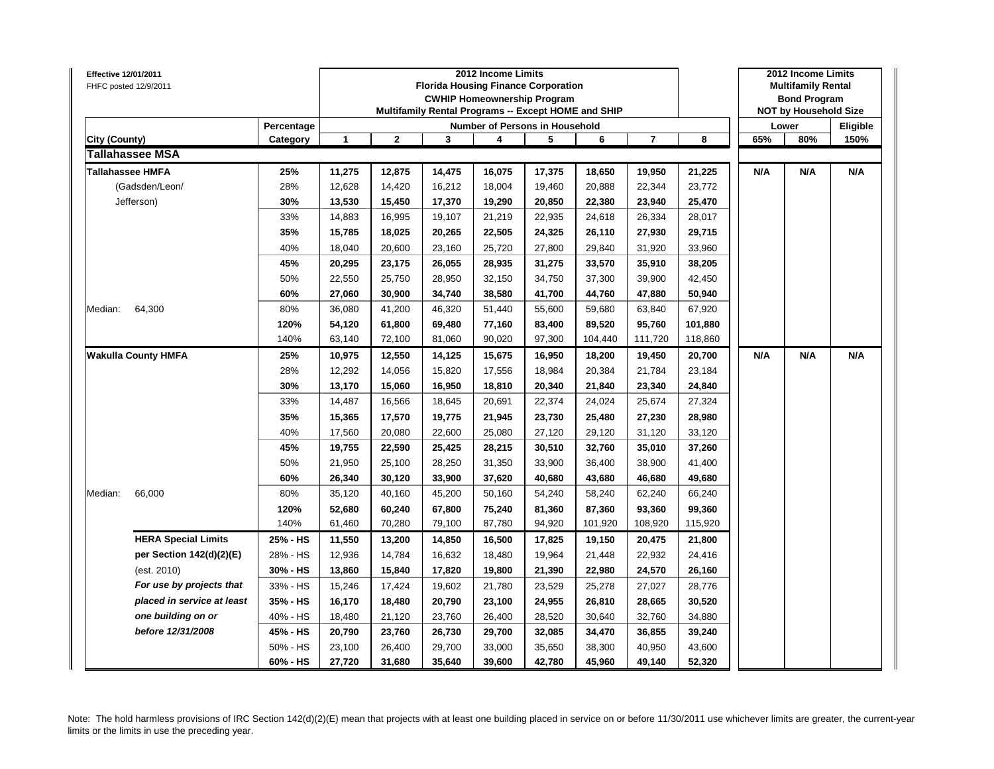| Effective 12/01/2011 | FHFC posted 12/9/2011      |            |              |              | <b>Florida Housing Finance Corporation</b><br>Multifamily Rental Programs -- Except HOME and SHIP | 2012 Income Limits | <b>CWHIP Homeownership Program</b> |         |                |         |     | 2012 Income Limits<br><b>Multifamily Rental</b><br><b>Bond Program</b><br><b>NOT by Household Size</b> |          |
|----------------------|----------------------------|------------|--------------|--------------|---------------------------------------------------------------------------------------------------|--------------------|------------------------------------|---------|----------------|---------|-----|--------------------------------------------------------------------------------------------------------|----------|
|                      |                            | Percentage |              |              |                                                                                                   |                    | Number of Persons in Household     |         |                |         |     | Lower                                                                                                  | Eligible |
| City (County)        |                            | Category   | $\mathbf{1}$ | $\mathbf{2}$ | 3                                                                                                 | 4                  | 5                                  | 6       | $\overline{7}$ | 8       | 65% | 80%                                                                                                    | 150%     |
|                      | <b>Tallahassee MSA</b>     |            |              |              |                                                                                                   |                    |                                    |         |                |         |     |                                                                                                        |          |
|                      | <b>Tallahassee HMFA</b>    | 25%        | 11,275       | 12,875       | 14,475                                                                                            | 16,075             | 17,375                             | 18,650  | 19,950         | 21,225  | N/A | N/A                                                                                                    | N/A      |
|                      | (Gadsden/Leon/             | 28%        | 12,628       | 14,420       | 16,212                                                                                            | 18,004             | 19,460                             | 20,888  | 22,344         | 23,772  |     |                                                                                                        |          |
|                      | Jefferson)                 | 30%        | 13,530       | 15,450       | 17,370                                                                                            | 19,290             | 20,850                             | 22,380  | 23,940         | 25,470  |     |                                                                                                        |          |
|                      |                            | 33%        | 14,883       | 16,995       | 19,107                                                                                            | 21,219             | 22,935                             | 24,618  | 26,334         | 28,017  |     |                                                                                                        |          |
|                      |                            | 35%        | 15,785       | 18,025       | 20,265                                                                                            | 22,505             | 24,325                             | 26,110  | 27,930         | 29,715  |     |                                                                                                        |          |
|                      |                            | 40%        | 18,040       | 20,600       | 23,160                                                                                            | 25,720             | 27,800                             | 29,840  | 31,920         | 33,960  |     |                                                                                                        |          |
|                      |                            | 45%        | 20,295       | 23,175       | 26,055                                                                                            | 28,935             | 31,275                             | 33,570  | 35,910         | 38,205  |     |                                                                                                        |          |
|                      |                            | 50%        | 22,550       | 25,750       | 28,950                                                                                            | 32,150             | 34,750                             | 37,300  | 39,900         | 42,450  |     |                                                                                                        |          |
|                      |                            | 60%        | 27,060       | 30,900       | 34,740                                                                                            | 38,580             | 41,700                             | 44,760  | 47,880         | 50,940  |     |                                                                                                        |          |
| Median:              | 64,300                     | 80%        | 36,080       | 41,200       | 46,320                                                                                            | 51,440             | 55,600                             | 59,680  | 63,840         | 67,920  |     |                                                                                                        |          |
|                      |                            | 120%       | 54,120       | 61,800       | 69,480                                                                                            | 77,160             | 83,400                             | 89,520  | 95,760         | 101,880 |     |                                                                                                        |          |
|                      |                            | 140%       | 63,140       | 72,100       | 81,060                                                                                            | 90,020             | 97,300                             | 104,440 | 111,720        | 118,860 |     |                                                                                                        |          |
|                      | <b>Wakulla County HMFA</b> | 25%        | 10,975       | 12,550       | 14,125                                                                                            | 15,675             | 16,950                             | 18,200  | 19,450         | 20,700  | N/A | N/A                                                                                                    | N/A      |
|                      |                            | 28%        | 12,292       | 14,056       | 15,820                                                                                            | 17,556             | 18,984                             | 20,384  | 21,784         | 23,184  |     |                                                                                                        |          |
|                      |                            | 30%        | 13,170       | 15,060       | 16,950                                                                                            | 18,810             | 20,340                             | 21,840  | 23,340         | 24,840  |     |                                                                                                        |          |
|                      |                            | 33%        | 14,487       | 16,566       | 18,645                                                                                            | 20,691             | 22,374                             | 24,024  | 25,674         | 27,324  |     |                                                                                                        |          |
|                      |                            | 35%        | 15,365       | 17,570       | 19,775                                                                                            | 21,945             | 23,730                             | 25,480  | 27,230         | 28,980  |     |                                                                                                        |          |
|                      |                            | 40%        | 17,560       | 20,080       | 22,600                                                                                            | 25,080             | 27,120                             | 29,120  | 31,120         | 33,120  |     |                                                                                                        |          |
|                      |                            | 45%        | 19,755       | 22,590       | 25,425                                                                                            | 28,215             | 30,510                             | 32,760  | 35,010         | 37,260  |     |                                                                                                        |          |
|                      |                            | 50%        | 21,950       | 25,100       | 28,250                                                                                            | 31,350             | 33,900                             | 36,400  | 38,900         | 41,400  |     |                                                                                                        |          |
|                      |                            | 60%        | 26,340       | 30,120       | 33,900                                                                                            | 37,620             | 40,680                             | 43,680  | 46,680         | 49,680  |     |                                                                                                        |          |
| Median:              | 66,000                     | 80%        | 35,120       | 40,160       | 45,200                                                                                            | 50,160             | 54,240                             | 58,240  | 62,240         | 66,240  |     |                                                                                                        |          |
|                      |                            | 120%       | 52,680       | 60,240       | 67,800                                                                                            | 75,240             | 81,360                             | 87,360  | 93,360         | 99,360  |     |                                                                                                        |          |
|                      |                            | 140%       | 61,460       | 70,280       | 79,100                                                                                            | 87,780             | 94,920                             | 101,920 | 108,920        | 115,920 |     |                                                                                                        |          |
|                      | <b>HERA Special Limits</b> | 25% - HS   | 11,550       | 13,200       | 14,850                                                                                            | 16,500             | 17,825                             | 19,150  | 20,475         | 21,800  |     |                                                                                                        |          |
|                      | per Section 142(d)(2)(E)   | 28% - HS   | 12,936       | 14,784       | 16,632                                                                                            | 18,480             | 19,964                             | 21,448  | 22,932         | 24,416  |     |                                                                                                        |          |
|                      | (est. 2010)                | 30% - HS   | 13,860       | 15,840       | 17,820                                                                                            | 19,800             | 21,390                             | 22,980  | 24,570         | 26,160  |     |                                                                                                        |          |
|                      | For use by projects that   | 33% - HS   | 15,246       | 17,424       | 19,602                                                                                            | 21,780             | 23,529                             | 25,278  | 27,027         | 28,776  |     |                                                                                                        |          |
|                      | placed in service at least | 35% - HS   | 16,170       | 18,480       | 20,790                                                                                            | 23,100             | 24,955                             | 26,810  | 28,665         | 30,520  |     |                                                                                                        |          |
|                      | one building on or         | 40% - HS   | 18,480       | 21,120       | 23,760                                                                                            | 26,400             | 28,520                             | 30,640  | 32,760         | 34,880  |     |                                                                                                        |          |
|                      | before 12/31/2008          | 45% - HS   | 20,790       | 23,760       | 26,730                                                                                            | 29,700             | 32,085                             | 34,470  | 36,855         | 39,240  |     |                                                                                                        |          |
|                      |                            | 50% - HS   | 23,100       | 26,400       | 29,700                                                                                            | 33,000             | 35,650                             | 38,300  | 40,950         | 43,600  |     |                                                                                                        |          |
|                      |                            | 60% - HS   | 27,720       | 31,680       | 35,640                                                                                            | 39,600             | 42,780                             | 45,960  | 49,140         | 52,320  |     |                                                                                                        |          |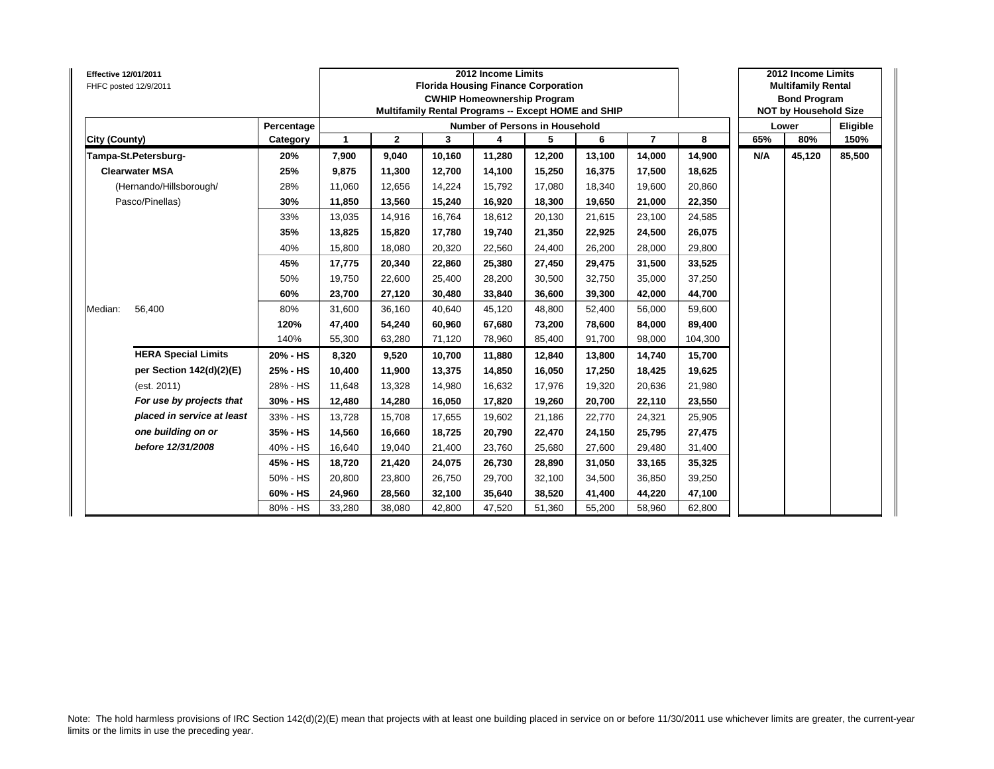| <b>Effective 12/01/2011</b> | FHFC posted 12/9/2011      |            |              |              |        | 2012 Income Limits<br><b>Florida Housing Finance Corporation</b><br><b>CWHIP Homeownership Program</b><br>Multifamily Rental Programs -- Except HOME and SHIP |        |        |                |         |     | 2012 Income Limits<br><b>Multifamily Rental</b><br><b>Bond Program</b><br><b>NOT by Household Size</b> |          |
|-----------------------------|----------------------------|------------|--------------|--------------|--------|---------------------------------------------------------------------------------------------------------------------------------------------------------------|--------|--------|----------------|---------|-----|--------------------------------------------------------------------------------------------------------|----------|
|                             |                            | Percentage |              |              |        | <b>Number of Persons in Household</b>                                                                                                                         |        |        |                |         |     | Lower                                                                                                  | Eligible |
| <b>City (County)</b>        |                            | Category   | $\mathbf{1}$ | $\mathbf{2}$ | 3      | 4                                                                                                                                                             | 5      | 6      | $\overline{7}$ | 8       | 65% | 80%                                                                                                    | 150%     |
|                             | Tampa-St.Petersburg-       | 20%        | 7,900        | 9,040        | 10,160 | 11,280                                                                                                                                                        | 12,200 | 13,100 | 14,000         | 14,900  | N/A | 45,120                                                                                                 | 85,500   |
|                             | <b>Clearwater MSA</b>      | 25%        | 9,875        | 11,300       | 12,700 | 14,100                                                                                                                                                        | 15,250 | 16,375 | 17,500         | 18,625  |     |                                                                                                        |          |
|                             | (Hernando/Hillsborough/    | 28%        | 11,060       | 12,656       | 14,224 | 15,792                                                                                                                                                        | 17,080 | 18,340 | 19,600         | 20,860  |     |                                                                                                        |          |
|                             | Pasco/Pinellas)            | 30%        | 11,850       | 13,560       | 15,240 | 16,920                                                                                                                                                        | 18,300 | 19,650 | 21,000         | 22,350  |     |                                                                                                        |          |
|                             |                            | 33%        | 13,035       | 14,916       | 16,764 | 18,612                                                                                                                                                        | 20,130 | 21,615 | 23,100         | 24,585  |     |                                                                                                        |          |
|                             |                            | 35%        | 13,825       | 15,820       | 17,780 | 19,740                                                                                                                                                        | 21,350 | 22,925 | 24,500         | 26,075  |     |                                                                                                        |          |
|                             |                            | 40%        | 15,800       | 18,080       | 20,320 | 22,560                                                                                                                                                        | 24,400 | 26,200 | 28,000         | 29,800  |     |                                                                                                        |          |
|                             |                            | 45%        | 17,775       | 20,340       | 22,860 | 25,380                                                                                                                                                        | 27,450 | 29,475 | 31,500         | 33,525  |     |                                                                                                        |          |
|                             |                            | 50%        | 19,750       | 22,600       | 25,400 | 28,200                                                                                                                                                        | 30,500 | 32,750 | 35,000         | 37,250  |     |                                                                                                        |          |
|                             |                            | 60%        | 23,700       | 27,120       | 30.480 | 33,840                                                                                                                                                        | 36,600 | 39,300 | 42,000         | 44,700  |     |                                                                                                        |          |
| Median:                     | 56,400                     | 80%        | 31,600       | 36,160       | 40,640 | 45,120                                                                                                                                                        | 48,800 | 52,400 | 56,000         | 59,600  |     |                                                                                                        |          |
|                             |                            | 120%       | 47,400       | 54,240       | 60.960 | 67,680                                                                                                                                                        | 73,200 | 78.600 | 84,000         | 89,400  |     |                                                                                                        |          |
|                             |                            | 140%       | 55,300       | 63,280       | 71,120 | 78,960                                                                                                                                                        | 85,400 | 91,700 | 98,000         | 104,300 |     |                                                                                                        |          |
|                             | <b>HERA Special Limits</b> | 20% - HS   | 8,320        | 9,520        | 10.700 | 11,880                                                                                                                                                        | 12,840 | 13.800 | 14,740         | 15,700  |     |                                                                                                        |          |
|                             | per Section 142(d)(2)(E)   | 25% - HS   | 10,400       | 11,900       | 13.375 | 14,850                                                                                                                                                        | 16,050 | 17,250 | 18,425         | 19,625  |     |                                                                                                        |          |
|                             | (est. 2011)                | 28% - HS   | 11,648       | 13,328       | 14,980 | 16,632                                                                                                                                                        | 17,976 | 19,320 | 20,636         | 21,980  |     |                                                                                                        |          |
|                             | For use by projects that   | 30% - HS   | 12,480       | 14,280       | 16.050 | 17,820                                                                                                                                                        | 19,260 | 20.700 | 22,110         | 23,550  |     |                                                                                                        |          |
|                             | placed in service at least | 33% - HS   | 13,728       | 15,708       | 17,655 | 19,602                                                                                                                                                        | 21,186 | 22.770 | 24,321         | 25,905  |     |                                                                                                        |          |
|                             | one building on or         | 35% - HS   | 14,560       | 16,660       | 18.725 | 20,790                                                                                                                                                        | 22,470 | 24.150 | 25,795         | 27,475  |     |                                                                                                        |          |
|                             | before 12/31/2008          | 40% - HS   | 16,640       | 19,040       | 21,400 | 23,760                                                                                                                                                        | 25,680 | 27,600 | 29,480         | 31,400  |     |                                                                                                        |          |
|                             |                            | 45% - HS   | 18,720       | 21,420       | 24,075 | 26,730                                                                                                                                                        | 28,890 | 31,050 | 33,165         | 35,325  |     |                                                                                                        |          |
|                             |                            | 50% - HS   | 20,800       | 23,800       | 26,750 | 29,700                                                                                                                                                        | 32,100 | 34,500 | 36,850         | 39,250  |     |                                                                                                        |          |
|                             |                            | 60% - HS   | 24,960       | 28,560       | 32,100 | 35,640                                                                                                                                                        | 38,520 | 41,400 | 44,220         | 47,100  |     |                                                                                                        |          |
|                             |                            | 80% - HS   | 33,280       | 38,080       | 42,800 | 47,520                                                                                                                                                        | 51,360 | 55.200 | 58,960         | 62,800  |     |                                                                                                        |          |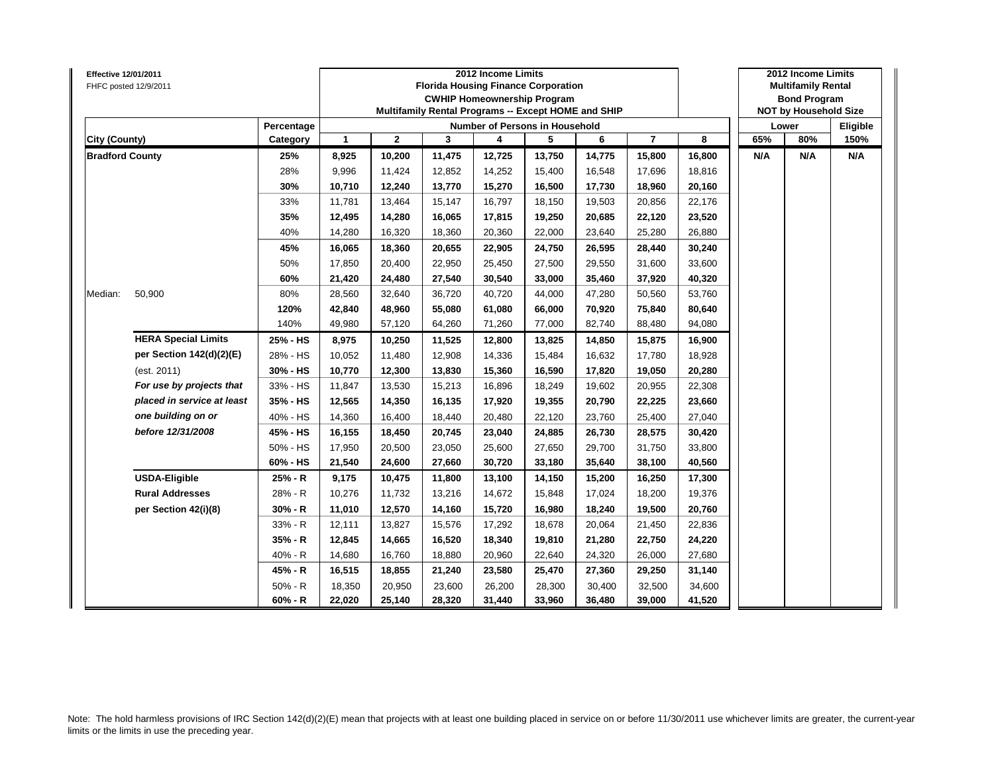| <b>Effective 12/01/2011</b> | FHFC posted 12/9/2011      |            |              |              | <b>Florida Housing Finance Corporation</b><br>Multifamily Rental Programs -- Except HOME and SHIP | 2012 Income Limits | <b>CWHIP Homeownership Program</b> |        |                |        |     | 2012 Income Limits<br><b>Multifamily Rental</b><br><b>Bond Program</b><br><b>NOT by Household Size</b> |          |
|-----------------------------|----------------------------|------------|--------------|--------------|---------------------------------------------------------------------------------------------------|--------------------|------------------------------------|--------|----------------|--------|-----|--------------------------------------------------------------------------------------------------------|----------|
|                             |                            | Percentage |              |              |                                                                                                   |                    | Number of Persons in Household     |        |                |        |     | Lower                                                                                                  | Eligible |
| City (County)               |                            | Category   | $\mathbf{1}$ | $\mathbf{2}$ | 3                                                                                                 | 4                  | 5                                  | 6      | $\overline{7}$ | 8      | 65% | 80%                                                                                                    | 150%     |
| <b>Bradford County</b>      |                            | 25%        | 8,925        | 10,200       | 11,475                                                                                            | 12,725             | 13,750                             | 14,775 | 15,800         | 16,800 | N/A | N/A                                                                                                    | N/A      |
|                             |                            | 28%        | 9,996        | 11,424       | 12,852                                                                                            | 14,252             | 15,400                             | 16,548 | 17,696         | 18,816 |     |                                                                                                        |          |
|                             |                            | 30%        | 10,710       | 12,240       | 13,770                                                                                            | 15,270             | 16,500                             | 17,730 | 18,960         | 20,160 |     |                                                                                                        |          |
|                             |                            | 33%        | 11,781       | 13,464       | 15,147                                                                                            | 16,797             | 18,150                             | 19,503 | 20,856         | 22,176 |     |                                                                                                        |          |
|                             |                            | 35%        | 12,495       | 14,280       | 16,065                                                                                            | 17,815             | 19,250                             | 20,685 | 22,120         | 23,520 |     |                                                                                                        |          |
|                             |                            | 40%        | 14,280       | 16,320       | 18,360                                                                                            | 20,360             | 22,000                             | 23,640 | 25,280         | 26,880 |     |                                                                                                        |          |
|                             |                            | 45%        | 16,065       | 18,360       | 20,655                                                                                            | 22,905             | 24,750                             | 26,595 | 28,440         | 30,240 |     |                                                                                                        |          |
|                             |                            | 50%        | 17,850       | 20,400       | 22,950                                                                                            | 25,450             | 27,500                             | 29,550 | 31,600         | 33,600 |     |                                                                                                        |          |
|                             |                            | 60%        | 21,420       | 24,480       | 27,540                                                                                            | 30,540             | 33,000                             | 35,460 | 37,920         | 40,320 |     |                                                                                                        |          |
| Median:                     | 50,900                     | 80%        | 28,560       | 32,640       | 36,720                                                                                            | 40,720             | 44,000                             | 47,280 | 50,560         | 53,760 |     |                                                                                                        |          |
|                             |                            | 120%       | 42,840       | 48,960       | 55,080                                                                                            | 61,080             | 66,000                             | 70,920 | 75,840         | 80,640 |     |                                                                                                        |          |
|                             |                            | 140%       | 49,980       | 57,120       | 64,260                                                                                            | 71,260             | 77,000                             | 82,740 | 88,480         | 94,080 |     |                                                                                                        |          |
|                             | <b>HERA Special Limits</b> | 25% - HS   | 8,975        | 10,250       | 11,525                                                                                            | 12,800             | 13,825                             | 14,850 | 15,875         | 16,900 |     |                                                                                                        |          |
|                             | per Section 142(d)(2)(E)   | 28% - HS   | 10,052       | 11,480       | 12,908                                                                                            | 14,336             | 15,484                             | 16,632 | 17,780         | 18,928 |     |                                                                                                        |          |
|                             | (est. 2011)                | 30% - HS   | 10,770       | 12,300       | 13,830                                                                                            | 15,360             | 16,590                             | 17,820 | 19,050         | 20,280 |     |                                                                                                        |          |
|                             | For use by projects that   | 33% - HS   | 11,847       | 13,530       | 15,213                                                                                            | 16,896             | 18,249                             | 19,602 | 20,955         | 22,308 |     |                                                                                                        |          |
|                             | placed in service at least | 35% - HS   | 12,565       | 14,350       | 16,135                                                                                            | 17,920             | 19,355                             | 20,790 | 22,225         | 23,660 |     |                                                                                                        |          |
|                             | one building on or         | 40% - HS   | 14,360       | 16,400       | 18,440                                                                                            | 20,480             | 22,120                             | 23,760 | 25,400         | 27,040 |     |                                                                                                        |          |
|                             | before 12/31/2008          | 45% - HS   | 16,155       | 18,450       | 20,745                                                                                            | 23,040             | 24,885                             | 26,730 | 28,575         | 30,420 |     |                                                                                                        |          |
|                             |                            | 50% - HS   | 17,950       | 20,500       | 23,050                                                                                            | 25,600             | 27,650                             | 29.700 | 31,750         | 33,800 |     |                                                                                                        |          |
|                             |                            | 60% - HS   | 21,540       | 24,600       | 27,660                                                                                            | 30,720             | 33,180                             | 35,640 | 38,100         | 40,560 |     |                                                                                                        |          |
|                             | <b>USDA-Eligible</b>       | 25% - R    | 9,175        | 10,475       | 11,800                                                                                            | 13,100             | 14,150                             | 15,200 | 16,250         | 17,300 |     |                                                                                                        |          |
|                             | <b>Rural Addresses</b>     | 28% - R    | 10,276       | 11,732       | 13,216                                                                                            | 14,672             | 15,848                             | 17,024 | 18,200         | 19,376 |     |                                                                                                        |          |
|                             | per Section 42(i)(8)       | $30% - R$  | 11,010       | 12,570       | 14,160                                                                                            | 15,720             | 16,980                             | 18,240 | 19,500         | 20,760 |     |                                                                                                        |          |
|                             |                            | 33% - R    | 12,111       | 13,827       | 15,576                                                                                            | 17,292             | 18,678                             | 20,064 | 21,450         | 22,836 |     |                                                                                                        |          |
|                             |                            | $35% - R$  | 12,845       | 14,665       | 16,520                                                                                            | 18,340             | 19,810                             | 21,280 | 22,750         | 24,220 |     |                                                                                                        |          |
|                             |                            | 40% - R    | 14,680       | 16,760       | 18,880                                                                                            | 20,960             | 22,640                             | 24,320 | 26,000         | 27,680 |     |                                                                                                        |          |
|                             |                            | 45% - R    | 16,515       | 18,855       | 21,240                                                                                            | 23,580             | 25,470                             | 27,360 | 29,250         | 31,140 |     |                                                                                                        |          |
|                             |                            | $50% - R$  | 18,350       | 20,950       | 23,600                                                                                            | 26,200             | 28,300                             | 30,400 | 32,500         | 34,600 |     |                                                                                                        |          |
|                             |                            | 60% - R    | 22,020       | 25,140       | 28,320                                                                                            | 31,440             | 33,960                             | 36,480 | 39,000         | 41,520 |     |                                                                                                        |          |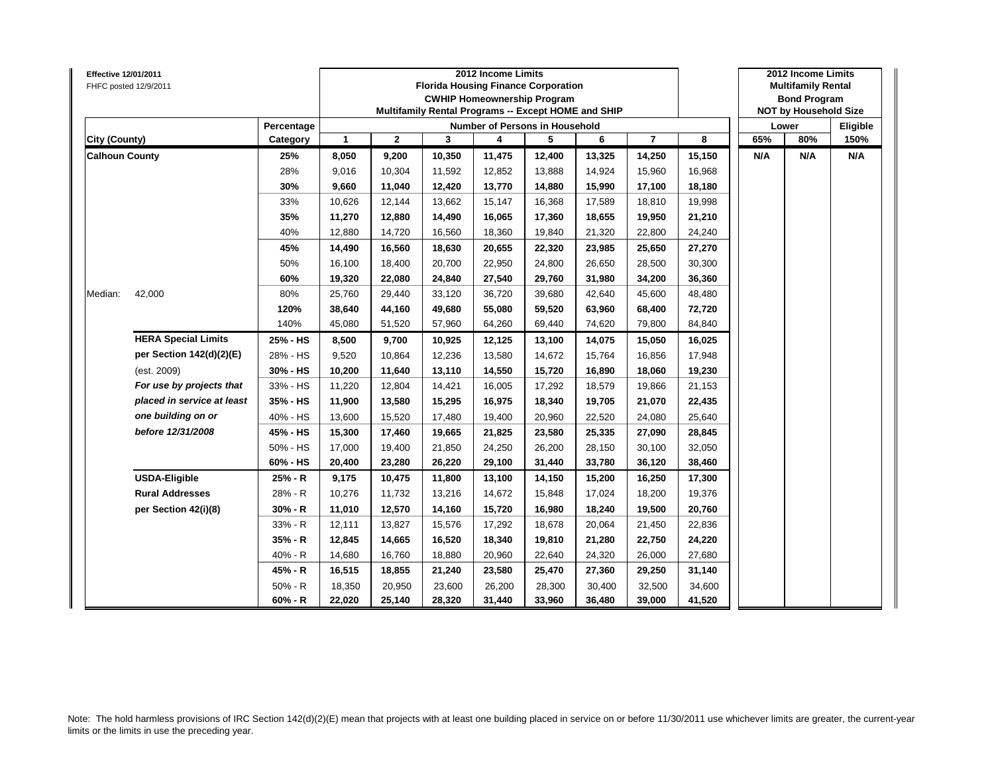| Effective 12/01/2011  | FHFC posted 12/9/2011      |            |              |              |        | 2012 Income Limits<br><b>Florida Housing Finance Corporation</b><br><b>CWHIP Homeownership Program</b><br>Multifamily Rental Programs -- Except HOME and SHIP |        |        |                |        |     | 2012 Income Limits<br><b>Multifamily Rental</b><br><b>Bond Program</b><br><b>NOT by Household Size</b> |          |
|-----------------------|----------------------------|------------|--------------|--------------|--------|---------------------------------------------------------------------------------------------------------------------------------------------------------------|--------|--------|----------------|--------|-----|--------------------------------------------------------------------------------------------------------|----------|
|                       |                            | Percentage |              |              |        | <b>Number of Persons in Household</b>                                                                                                                         |        |        |                |        |     | Lower                                                                                                  | Eligible |
| <b>City (County)</b>  |                            | Category   | $\mathbf{1}$ | $\mathbf{2}$ | 3      | 4                                                                                                                                                             | 5      | 6      | $\overline{7}$ | 8      | 65% | 80%                                                                                                    | 150%     |
| <b>Calhoun County</b> |                            | 25%        | 8,050        | 9,200        | 10,350 | 11,475                                                                                                                                                        | 12,400 | 13,325 | 14,250         | 15,150 | N/A | N/A                                                                                                    | N/A      |
|                       |                            | 28%        | 9,016        | 10,304       | 11,592 | 12,852                                                                                                                                                        | 13,888 | 14,924 | 15,960         | 16,968 |     |                                                                                                        |          |
|                       |                            | 30%        | 9,660        | 11,040       | 12,420 | 13,770                                                                                                                                                        | 14,880 | 15,990 | 17,100         | 18,180 |     |                                                                                                        |          |
|                       |                            | 33%        | 10,626       | 12,144       | 13,662 | 15,147                                                                                                                                                        | 16,368 | 17,589 | 18,810         | 19,998 |     |                                                                                                        |          |
|                       |                            | 35%        | 11,270       | 12,880       | 14,490 | 16,065                                                                                                                                                        | 17,360 | 18,655 | 19,950         | 21,210 |     |                                                                                                        |          |
|                       |                            | 40%        | 12,880       | 14,720       | 16,560 | 18,360                                                                                                                                                        | 19,840 | 21,320 | 22,800         | 24,240 |     |                                                                                                        |          |
|                       |                            | 45%        | 14,490       | 16,560       | 18,630 | 20,655                                                                                                                                                        | 22,320 | 23,985 | 25,650         | 27,270 |     |                                                                                                        |          |
|                       |                            | 50%        | 16,100       | 18,400       | 20,700 | 22,950                                                                                                                                                        | 24,800 | 26,650 | 28,500         | 30,300 |     |                                                                                                        |          |
|                       |                            | 60%        | 19,320       | 22,080       | 24,840 | 27,540                                                                                                                                                        | 29,760 | 31,980 | 34,200         | 36,360 |     |                                                                                                        |          |
| Median:               | 42,000                     | 80%        | 25,760       | 29,440       | 33,120 | 36,720                                                                                                                                                        | 39,680 | 42,640 | 45,600         | 48,480 |     |                                                                                                        |          |
|                       |                            | 120%       | 38,640       | 44,160       | 49,680 | 55,080                                                                                                                                                        | 59,520 | 63,960 | 68,400         | 72,720 |     |                                                                                                        |          |
|                       |                            | 140%       | 45,080       | 51,520       | 57,960 | 64,260                                                                                                                                                        | 69,440 | 74,620 | 79,800         | 84,840 |     |                                                                                                        |          |
|                       | <b>HERA Special Limits</b> | 25% - HS   | 8,500        | 9,700        | 10,925 | 12,125                                                                                                                                                        | 13,100 | 14,075 | 15,050         | 16,025 |     |                                                                                                        |          |
|                       | per Section 142(d)(2)(E)   | 28% - HS   | 9,520        | 10,864       | 12,236 | 13,580                                                                                                                                                        | 14,672 | 15,764 | 16,856         | 17,948 |     |                                                                                                        |          |
|                       | (est. 2009)                | 30% - HS   | 10,200       | 11,640       | 13,110 | 14,550                                                                                                                                                        | 15,720 | 16,890 | 18,060         | 19,230 |     |                                                                                                        |          |
|                       | For use by projects that   | 33% - HS   | 11,220       | 12,804       | 14,421 | 16,005                                                                                                                                                        | 17,292 | 18,579 | 19,866         | 21,153 |     |                                                                                                        |          |
|                       | placed in service at least | 35% - HS   | 11,900       | 13,580       | 15,295 | 16,975                                                                                                                                                        | 18,340 | 19,705 | 21,070         | 22,435 |     |                                                                                                        |          |
|                       | one building on or         | 40% - HS   | 13,600       | 15,520       | 17,480 | 19,400                                                                                                                                                        | 20,960 | 22,520 | 24,080         | 25,640 |     |                                                                                                        |          |
|                       | before 12/31/2008          | 45% - HS   | 15,300       | 17,460       | 19,665 | 21,825                                                                                                                                                        | 23,580 | 25,335 | 27,090         | 28,845 |     |                                                                                                        |          |
|                       |                            | 50% - HS   | 17,000       | 19,400       | 21,850 | 24,250                                                                                                                                                        | 26,200 | 28,150 | 30,100         | 32,050 |     |                                                                                                        |          |
|                       |                            | 60% - HS   | 20,400       | 23,280       | 26,220 | 29,100                                                                                                                                                        | 31,440 | 33,780 | 36,120         | 38,460 |     |                                                                                                        |          |
|                       | <b>USDA-Eligible</b>       | 25% - R    | 9,175        | 10,475       | 11,800 | 13,100                                                                                                                                                        | 14,150 | 15,200 | 16,250         | 17,300 |     |                                                                                                        |          |
|                       | <b>Rural Addresses</b>     | 28% - R    | 10,276       | 11,732       | 13,216 | 14,672                                                                                                                                                        | 15,848 | 17,024 | 18,200         | 19,376 |     |                                                                                                        |          |
|                       | per Section 42(i)(8)       | $30% - R$  | 11,010       | 12,570       | 14,160 | 15,720                                                                                                                                                        | 16,980 | 18,240 | 19,500         | 20,760 |     |                                                                                                        |          |
|                       |                            | 33% - R    | 12,111       | 13,827       | 15,576 | 17,292                                                                                                                                                        | 18,678 | 20,064 | 21,450         | 22,836 |     |                                                                                                        |          |
|                       |                            | 35% - R    | 12,845       | 14,665       | 16,520 | 18,340                                                                                                                                                        | 19,810 | 21,280 | 22,750         | 24,220 |     |                                                                                                        |          |
|                       |                            | 40% - R    | 14,680       | 16,760       | 18,880 | 20,960                                                                                                                                                        | 22,640 | 24,320 | 26,000         | 27,680 |     |                                                                                                        |          |
|                       |                            | 45% - R    | 16,515       | 18,855       | 21,240 | 23,580                                                                                                                                                        | 25,470 | 27,360 | 29,250         | 31,140 |     |                                                                                                        |          |
|                       |                            | $50% - R$  | 18,350       | 20,950       | 23,600 | 26,200                                                                                                                                                        | 28,300 | 30,400 | 32,500         | 34,600 |     |                                                                                                        |          |
|                       |                            | $60% - R$  | 22,020       | 25,140       | 28,320 | 31,440                                                                                                                                                        | 33,960 | 36,480 | 39,000         | 41,520 |     |                                                                                                        |          |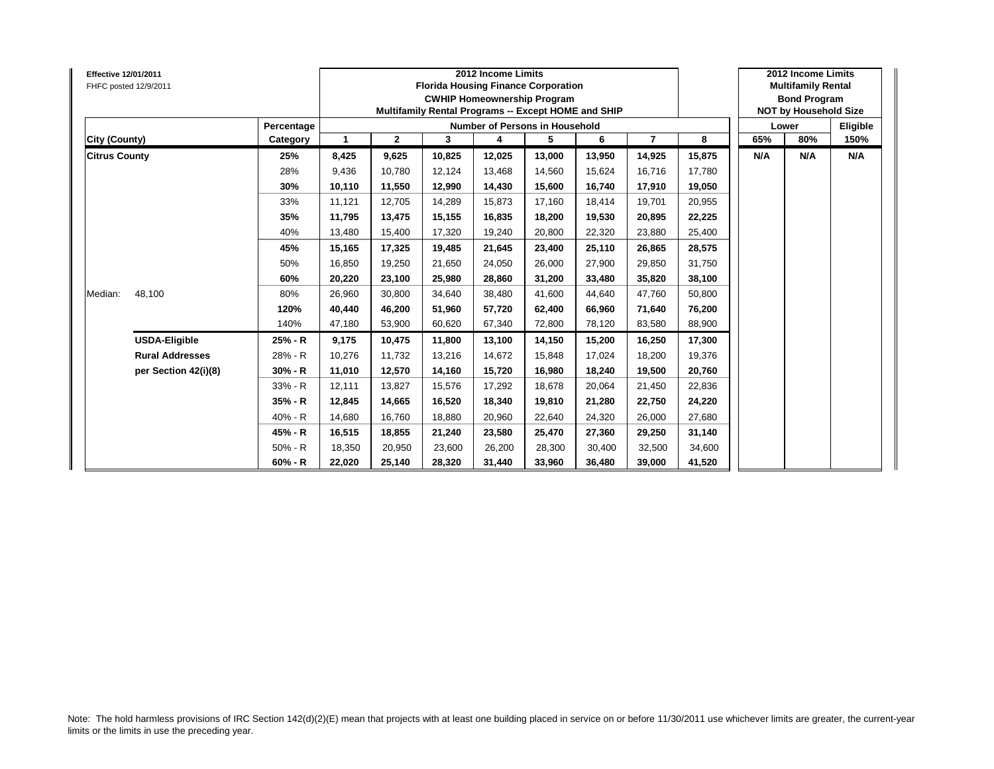| Effective 12/01/2011<br>FHFC posted 12/9/2011 |            |        |                |        | 2012 Income Limits<br><b>Florida Housing Finance Corporation</b><br><b>CWHIP Homeownership Program</b><br>Multifamily Rental Programs -- Except HOME and SHIP |        |        |                |        |     | 2012 Income Limits<br><b>Multifamily Rental</b><br><b>Bond Program</b><br><b>NOT by Household Size</b> |          |
|-----------------------------------------------|------------|--------|----------------|--------|---------------------------------------------------------------------------------------------------------------------------------------------------------------|--------|--------|----------------|--------|-----|--------------------------------------------------------------------------------------------------------|----------|
|                                               | Percentage |        |                |        | Number of Persons in Household                                                                                                                                |        |        |                |        |     | Lower                                                                                                  | Eligible |
| City (County)                                 | Category   | 1      | $\overline{2}$ | 3      | 4                                                                                                                                                             | 5      | 6      | $\overline{7}$ | 8      | 65% | 80%                                                                                                    | 150%     |
| <b>Citrus County</b>                          | 25%        | 8,425  | 9,625          | 10,825 | 12,025                                                                                                                                                        | 13,000 | 13,950 | 14,925         | 15,875 | N/A | N/A                                                                                                    | N/A      |
|                                               | 28%        | 9,436  | 10.780         | 12.124 | 13,468                                                                                                                                                        | 14.560 | 15.624 | 16,716         | 17.780 |     |                                                                                                        |          |
|                                               | 30%        | 10,110 | 11,550         | 12,990 | 14,430                                                                                                                                                        | 15,600 | 16,740 | 17,910         | 19,050 |     |                                                                                                        |          |
|                                               | 33%        | 11,121 | 12,705         | 14,289 | 15,873                                                                                                                                                        | 17,160 | 18,414 | 19,701         | 20,955 |     |                                                                                                        |          |
|                                               | 35%        | 11,795 | 13,475         | 15,155 | 16,835                                                                                                                                                        | 18,200 | 19.530 | 20,895         | 22,225 |     |                                                                                                        |          |
|                                               | 40%        | 13,480 | 15,400         | 17,320 | 19,240                                                                                                                                                        | 20,800 | 22.320 | 23,880         | 25,400 |     |                                                                                                        |          |
|                                               | 45%        | 15,165 | 17,325         | 19.485 | 21,645                                                                                                                                                        | 23,400 | 25.110 | 26,865         | 28,575 |     |                                                                                                        |          |
|                                               | 50%        | 16,850 | 19,250         | 21,650 | 24,050                                                                                                                                                        | 26,000 | 27,900 | 29,850         | 31,750 |     |                                                                                                        |          |
|                                               | 60%        | 20,220 | 23,100         | 25.980 | 28,860                                                                                                                                                        | 31,200 | 33,480 | 35,820         | 38,100 |     |                                                                                                        |          |
| 48,100<br>Median:                             | 80%        | 26,960 | 30,800         | 34,640 | 38,480                                                                                                                                                        | 41,600 | 44,640 | 47,760         | 50,800 |     |                                                                                                        |          |
|                                               | 120%       | 40,440 | 46,200         | 51.960 | 57,720                                                                                                                                                        | 62,400 | 66.960 | 71,640         | 76,200 |     |                                                                                                        |          |
|                                               | 140%       | 47,180 | 53,900         | 60.620 | 67,340                                                                                                                                                        | 72,800 | 78.120 | 83,580         | 88,900 |     |                                                                                                        |          |
| <b>USDA-Eligible</b>                          | 25% - R    | 9,175  | 10,475         | 11,800 | 13,100                                                                                                                                                        | 14,150 | 15,200 | 16,250         | 17,300 |     |                                                                                                        |          |
| <b>Rural Addresses</b>                        | 28% - R    | 10,276 | 11.732         | 13,216 | 14,672                                                                                                                                                        | 15,848 | 17.024 | 18,200         | 19,376 |     |                                                                                                        |          |
| per Section 42(i)(8)                          | $30% - R$  | 11,010 | 12,570         | 14,160 | 15,720                                                                                                                                                        | 16,980 | 18.240 | 19,500         | 20,760 |     |                                                                                                        |          |
|                                               | 33% - R    | 12.111 | 13,827         | 15.576 | 17,292                                                                                                                                                        | 18,678 | 20.064 | 21,450         | 22,836 |     |                                                                                                        |          |
|                                               | 35% - R    | 12,845 | 14,665         | 16,520 | 18,340                                                                                                                                                        | 19,810 | 21,280 | 22,750         | 24,220 |     |                                                                                                        |          |
|                                               | 40% - R    | 14,680 | 16,760         | 18,880 | 20,960                                                                                                                                                        | 22,640 | 24,320 | 26,000         | 27,680 |     |                                                                                                        |          |
|                                               | 45% - R    | 16,515 | 18,855         | 21,240 | 23,580                                                                                                                                                        | 25,470 | 27,360 | 29,250         | 31,140 |     |                                                                                                        |          |
|                                               | $50% - R$  | 18,350 | 20,950         | 23,600 | 26,200                                                                                                                                                        | 28,300 | 30.400 | 32,500         | 34,600 |     |                                                                                                        |          |
|                                               | $60% - R$  | 22,020 | 25,140         | 28,320 | 31,440                                                                                                                                                        | 33,960 | 36,480 | 39,000         | 41,520 |     |                                                                                                        |          |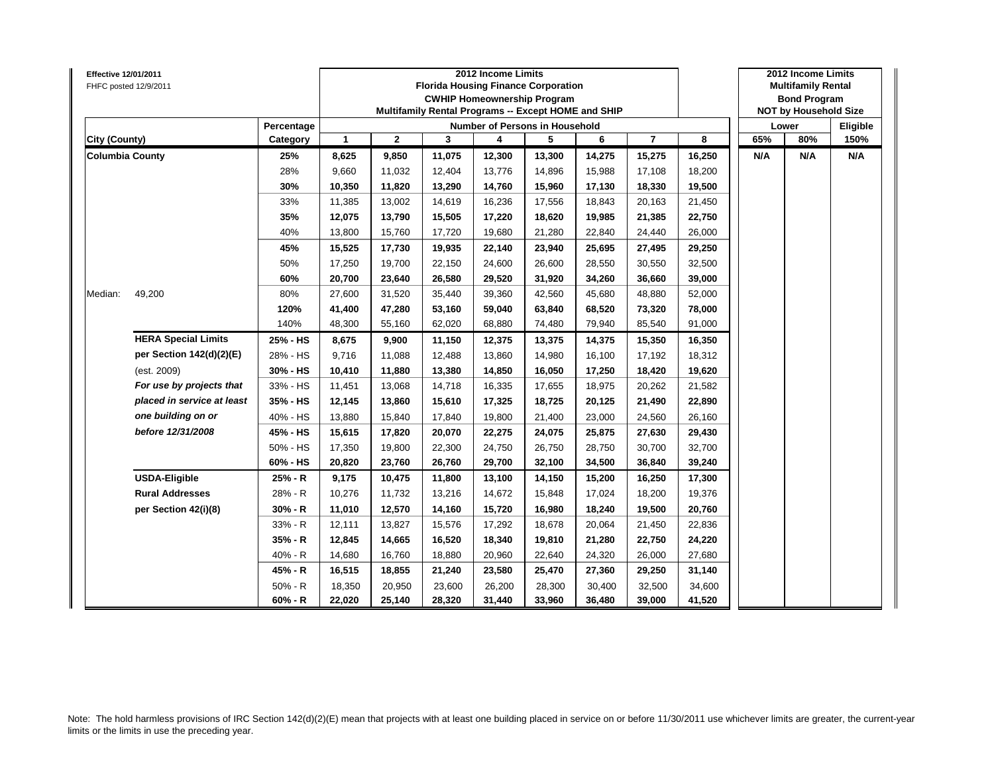| Effective 12/01/2011   | FHFC posted 12/9/2011      |            |              |              |        | 2012 Income Limits<br><b>Florida Housing Finance Corporation</b><br><b>CWHIP Homeownership Program</b><br>Multifamily Rental Programs -- Except HOME and SHIP |                            |        |                |        |     | 2012 Income Limits<br><b>Multifamily Rental</b><br><b>Bond Program</b><br><b>NOT by Household Size</b> |          |
|------------------------|----------------------------|------------|--------------|--------------|--------|---------------------------------------------------------------------------------------------------------------------------------------------------------------|----------------------------|--------|----------------|--------|-----|--------------------------------------------------------------------------------------------------------|----------|
|                        |                            | Percentage |              |              |        | Number of Persons in Household                                                                                                                                |                            |        |                |        |     | Lower                                                                                                  | Eligible |
| City (County)          |                            | Category   | $\mathbf{1}$ | $\mathbf{2}$ | 3      | 4                                                                                                                                                             | 5                          | 6      | $\overline{7}$ | 8      | 65% | 80%                                                                                                    | 150%     |
| <b>Columbia County</b> |                            | 25%        | 8,625        | 9,850        | 11,075 | 12,300                                                                                                                                                        | 13,300                     | 14,275 | 15,275         | 16,250 | N/A | N/A                                                                                                    | N/A      |
|                        |                            | 28%        | 9,660        | 11,032       | 12,404 | 13,776                                                                                                                                                        | 14,896                     | 15,988 | 17,108         | 18,200 |     |                                                                                                        |          |
|                        |                            | 30%        | 10,350       | 11,820       | 13,290 | 14,760                                                                                                                                                        | 15,960                     | 17,130 | 18,330         | 19,500 |     |                                                                                                        |          |
|                        |                            | 33%        | 11,385       | 13,002       | 14,619 | 16,236                                                                                                                                                        | 17,556                     | 18,843 | 20,163         | 21,450 |     |                                                                                                        |          |
|                        |                            | 35%        | 12,075       | 13,790       | 15,505 | 17,220                                                                                                                                                        | 18,620                     | 19,985 | 21,385         | 22,750 |     |                                                                                                        |          |
|                        |                            | 40%        | 13,800       | 15,760       | 17,720 | 19,680                                                                                                                                                        | 21,280                     | 22,840 | 24,440         | 26,000 |     |                                                                                                        |          |
|                        |                            | 45%        | 15,525       | 17,730       | 19,935 | 22,140                                                                                                                                                        | 23,940                     | 25,695 | 27,495         | 29,250 |     |                                                                                                        |          |
|                        |                            | 50%        | 17,250       | 19,700       | 22,150 | 24,600                                                                                                                                                        | 26,600                     | 28,550 | 30,550         | 32,500 |     |                                                                                                        |          |
|                        |                            | 60%        | 20,700       | 23,640       | 26,580 | 29,520                                                                                                                                                        | 31,920                     | 34,260 | 36,660         | 39,000 |     |                                                                                                        |          |
| Median:                | 49,200                     | 80%        | 27,600       | 31,520       | 35,440 | 39,360                                                                                                                                                        | 42,560                     | 45,680 | 48,880         | 52,000 |     |                                                                                                        |          |
|                        |                            | 120%       | 41,400       | 47,280       | 53,160 | 59,040                                                                                                                                                        | 63,840                     | 68,520 | 73,320         | 78,000 |     |                                                                                                        |          |
|                        |                            | 140%       | 48,300       | 55,160       | 62,020 | 68,880                                                                                                                                                        | 74,480                     | 79,940 | 85,540         | 91,000 |     |                                                                                                        |          |
|                        | <b>HERA Special Limits</b> | 25% - HS   | 8,675        | 9,900        | 11,150 | 12,375                                                                                                                                                        | 13,375                     | 14,375 | 15,350         | 16,350 |     |                                                                                                        |          |
|                        | per Section 142(d)(2)(E)   | 28% - HS   | 9,716        | 11,088       | 12,488 | 13,860                                                                                                                                                        | 14,980                     | 16,100 | 17,192         | 18,312 |     |                                                                                                        |          |
|                        | (est. 2009)                | 30% - HS   | 10,410       | 11,880       | 13,380 | 14,850                                                                                                                                                        | 16,050                     | 17,250 | 18,420         | 19,620 |     |                                                                                                        |          |
|                        | For use by projects that   | 33% - HS   | 11,451       | 13,068       | 14,718 | 16,335                                                                                                                                                        | 17,655                     | 18,975 | 20,262         | 21,582 |     |                                                                                                        |          |
|                        | placed in service at least | 35% - HS   | 12,145       | 13,860       | 15,610 | 17,325                                                                                                                                                        | 18,725                     | 20,125 | 21,490         | 22,890 |     |                                                                                                        |          |
|                        | one building on or         | 40% - HS   | 13,880       | 15,840       | 17,840 | 19,800                                                                                                                                                        | 21,400                     | 23,000 | 24,560         | 26,160 |     |                                                                                                        |          |
|                        | before 12/31/2008          | 45% - HS   | 15,615       | 17,820       | 20,070 | 22,275                                                                                                                                                        | 24,075                     | 25,875 | 27,630         | 29,430 |     |                                                                                                        |          |
|                        |                            | 50% - HS   | 17,350       | 19,800       | 22,300 | 24,750                                                                                                                                                        | 26.750                     | 28.750 | 30,700         | 32,700 |     |                                                                                                        |          |
|                        |                            | 60% - HS   | 20,820       | 23,760       | 26,760 | 29,700                                                                                                                                                        | 32,100                     | 34,500 | 36,840         | 39,240 |     |                                                                                                        |          |
|                        | <b>USDA-Eligible</b>       | 25% - R    | 9,175        | 10,475       | 11,800 | 13,100                                                                                                                                                        | 14,150                     | 15,200 | 16,250         | 17,300 |     |                                                                                                        |          |
|                        | <b>Rural Addresses</b>     | 28% - R    | 10,276       | 11,732       | 13,216 | 14,672                                                                                                                                                        | 15,848                     | 17,024 | 18,200         | 19,376 |     |                                                                                                        |          |
|                        | per Section 42(i)(8)       | 30% - R    | 11,010       | 12,570       | 14,160 | 15,720                                                                                                                                                        | 16,980<br>18,240<br>19,500 |        | 20,760         |        |     |                                                                                                        |          |
|                        |                            | 33% - R    | 12,111       | 13,827       | 15,576 | 17,292                                                                                                                                                        | 18,678                     | 20,064 | 21,450         | 22,836 |     |                                                                                                        |          |
|                        |                            | 35% - R    | 12,845       | 14,665       | 16,520 | 18,340                                                                                                                                                        | 19,810                     | 21,280 | 22,750         | 24,220 |     |                                                                                                        |          |
|                        |                            | $40% - R$  | 14,680       | 16,760       | 18,880 | 20,960                                                                                                                                                        | 22,640                     | 24,320 | 26,000         | 27,680 |     |                                                                                                        |          |
|                        |                            | 45% - R    | 16,515       | 18,855       | 21,240 | 23,580                                                                                                                                                        | 25,470                     | 27,360 | 29,250         | 31,140 |     |                                                                                                        |          |
|                        |                            | $50% - R$  | 18,350       | 20,950       | 23,600 | 26,200                                                                                                                                                        | 28,300                     | 30,400 | 32,500         | 34,600 |     |                                                                                                        |          |
|                        |                            | $60% - R$  | 22,020       | 25,140       | 28,320 | 31,440                                                                                                                                                        | 33,960                     | 36,480 | 39,000         | 41,520 |     |                                                                                                        |          |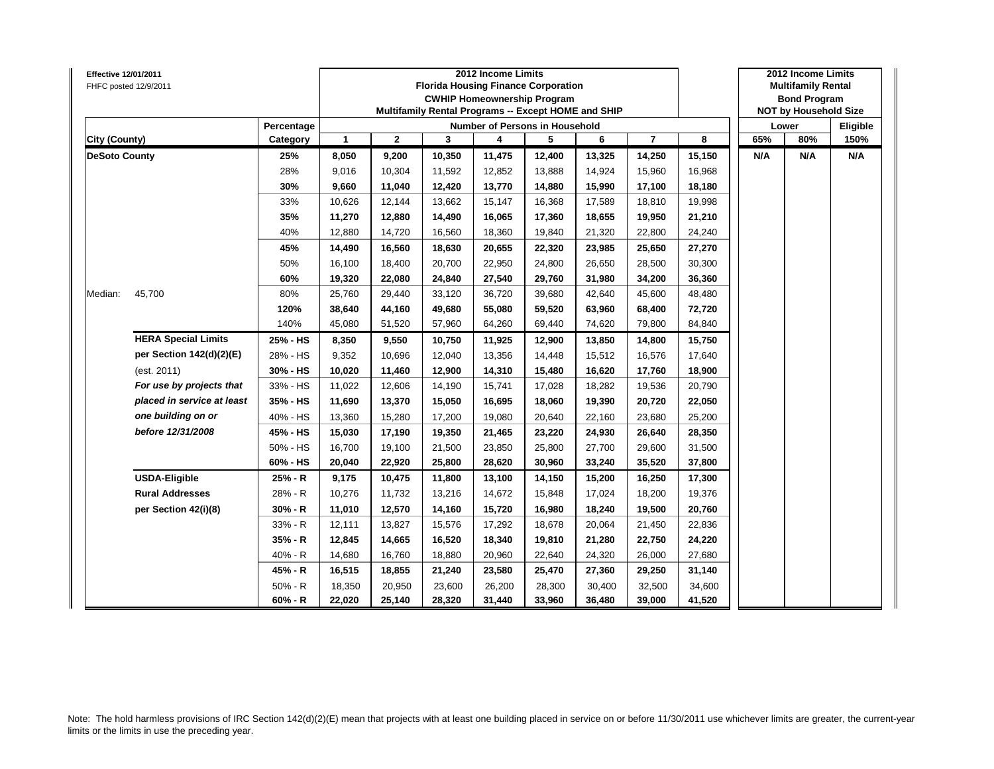| <b>Effective 12/01/2011</b> | FHFC posted 12/9/2011      |            |              |              | <b>Florida Housing Finance Corporation</b><br>Multifamily Rental Programs -- Except HOME and SHIP | 2012 Income Limits | <b>CWHIP Homeownership Program</b>    |        |                |        |     | 2012 Income Limits<br><b>Multifamily Rental</b><br><b>Bond Program</b><br><b>NOT by Household Size</b> |          |
|-----------------------------|----------------------------|------------|--------------|--------------|---------------------------------------------------------------------------------------------------|--------------------|---------------------------------------|--------|----------------|--------|-----|--------------------------------------------------------------------------------------------------------|----------|
|                             |                            | Percentage |              |              |                                                                                                   |                    | <b>Number of Persons in Household</b> |        |                |        |     | Lower                                                                                                  | Eligible |
| City (County)               |                            | Category   | $\mathbf{1}$ | $\mathbf{2}$ | 3                                                                                                 | 4                  | 5                                     | 6      | $\overline{7}$ | 8      | 65% | 80%                                                                                                    | 150%     |
| <b>DeSoto County</b>        |                            | 25%        | 8,050        | 9,200        | 10,350                                                                                            | 11,475             | 12,400                                | 13,325 | 14,250         | 15,150 | N/A | N/A                                                                                                    | N/A      |
|                             |                            | 28%        | 9,016        | 10,304       | 11,592                                                                                            | 12,852             | 13,888                                | 14,924 | 15,960         | 16,968 |     |                                                                                                        |          |
|                             |                            | 30%        | 9,660        | 11,040       | 12,420                                                                                            | 13,770             | 14,880                                | 15,990 | 17,100         | 18,180 |     |                                                                                                        |          |
|                             |                            | 33%        | 10,626       | 12,144       | 13,662                                                                                            | 15,147             | 16,368                                | 17,589 | 18,810         | 19,998 |     |                                                                                                        |          |
|                             |                            | 35%        | 11,270       | 12,880       | 14,490                                                                                            | 16,065             | 17,360                                | 18,655 | 19,950         | 21,210 |     |                                                                                                        |          |
|                             |                            | 40%        | 12,880       | 14,720       | 16,560                                                                                            | 18,360             | 19,840                                | 21,320 | 22,800         | 24,240 |     |                                                                                                        |          |
|                             |                            | 45%        | 14,490       | 16,560       | 18,630                                                                                            | 20,655             | 22,320                                | 23,985 | 25,650         | 27,270 |     |                                                                                                        |          |
|                             |                            | 50%        | 16,100       | 18,400       | 20,700                                                                                            | 22,950             | 24,800                                | 26,650 | 28,500         | 30,300 |     |                                                                                                        |          |
|                             |                            | 60%        | 19,320       | 22,080       | 24,840                                                                                            | 27,540             | 29,760                                | 31,980 | 34,200         | 36,360 |     |                                                                                                        |          |
| Median:                     | 45,700                     | 80%        | 25,760       | 29,440       | 33,120                                                                                            | 36,720             | 39,680                                | 42,640 | 45,600         | 48,480 |     |                                                                                                        |          |
|                             |                            | 120%       | 38,640       | 44,160       | 49,680                                                                                            | 55,080             | 59,520                                | 63,960 | 68,400         | 72,720 |     |                                                                                                        |          |
|                             |                            | 140%       | 45,080       | 51,520       | 57,960                                                                                            | 64,260             | 69,440                                | 74,620 | 79,800         | 84,840 |     |                                                                                                        |          |
|                             | <b>HERA Special Limits</b> | 25% - HS   | 8,350        | 9,550        | 10,750                                                                                            | 11,925             | 12,900                                | 13,850 | 14,800         | 15,750 |     |                                                                                                        |          |
|                             | per Section 142(d)(2)(E)   | 28% - HS   | 9,352        | 10,696       | 12,040                                                                                            | 13,356             | 14,448                                | 15,512 | 16,576         | 17,640 |     |                                                                                                        |          |
|                             | (est. 2011)                | 30% - HS   | 10,020       | 11,460       | 12,900                                                                                            | 14,310             | 15,480                                | 16,620 | 17,760         | 18,900 |     |                                                                                                        |          |
|                             | For use by projects that   | 33% - HS   | 11,022       | 12,606       | 14,190                                                                                            | 15,741             | 17,028                                | 18,282 | 19,536         | 20,790 |     |                                                                                                        |          |
|                             | placed in service at least | 35% - HS   | 11,690       | 13,370       | 15,050                                                                                            | 16,695             | 18,060                                | 19,390 | 20,720         | 22,050 |     |                                                                                                        |          |
|                             | one building on or         | 40% - HS   | 13,360       | 15,280       | 17,200                                                                                            | 19,080             | 20,640                                | 22,160 | 23,680         | 25,200 |     |                                                                                                        |          |
|                             | before 12/31/2008          | 45% - HS   | 15,030       | 17,190       | 19,350                                                                                            | 21,465             | 23,220                                | 24,930 | 26,640         | 28,350 |     |                                                                                                        |          |
|                             |                            | 50% - HS   | 16,700       | 19,100       | 21,500                                                                                            | 23,850             | 25,800                                | 27,700 | 29,600         | 31,500 |     |                                                                                                        |          |
|                             |                            | 60% - HS   | 20,040       | 22,920       | 25,800                                                                                            | 28,620             | 30,960                                | 33,240 | 35,520         | 37,800 |     |                                                                                                        |          |
|                             | <b>USDA-Eligible</b>       | 25% - R    | 9,175        | 10,475       | 11,800                                                                                            | 13,100             | 14,150                                | 15,200 | 16,250         | 17,300 |     |                                                                                                        |          |
|                             | <b>Rural Addresses</b>     | 28% - R    | 10,276       | 11,732       | 13,216                                                                                            | 14,672             | 15,848                                | 17,024 | 18,200         | 19,376 |     |                                                                                                        |          |
|                             | per Section 42(i)(8)       | $30% - R$  | 11,010       | 12,570       | 14,160                                                                                            | 15,720             | 16,980                                | 18,240 | 19,500         | 20,760 |     |                                                                                                        |          |
|                             |                            | 33% - R    | 12,111       | 13,827       | 15,576                                                                                            | 17,292             | 18,678                                | 20,064 | 21,450         | 22,836 |     |                                                                                                        |          |
|                             |                            | 35% - R    | 12,845       | 14,665       | 16,520                                                                                            | 18,340             | 19,810                                | 21,280 | 22,750         | 24,220 |     |                                                                                                        |          |
|                             |                            | 40% - R    | 14,680       | 16,760       | 18,880                                                                                            | 20,960             | 22,640                                | 24,320 | 26,000         | 27,680 |     |                                                                                                        |          |
|                             |                            | 45% - R    | 16,515       | 18,855       | 21,240                                                                                            | 23,580             | 25,470                                | 27,360 | 29,250         | 31,140 |     |                                                                                                        |          |
|                             |                            | $50% - R$  | 18,350       | 20,950       | 23,600                                                                                            | 26,200             | 28,300                                | 30,400 | 32,500         | 34,600 |     |                                                                                                        |          |
|                             |                            | $60% - R$  | 22,020       | 25,140       | 28,320                                                                                            | 31,440             | 33,960                                | 36,480 | 39,000         | 41,520 |     |                                                                                                        |          |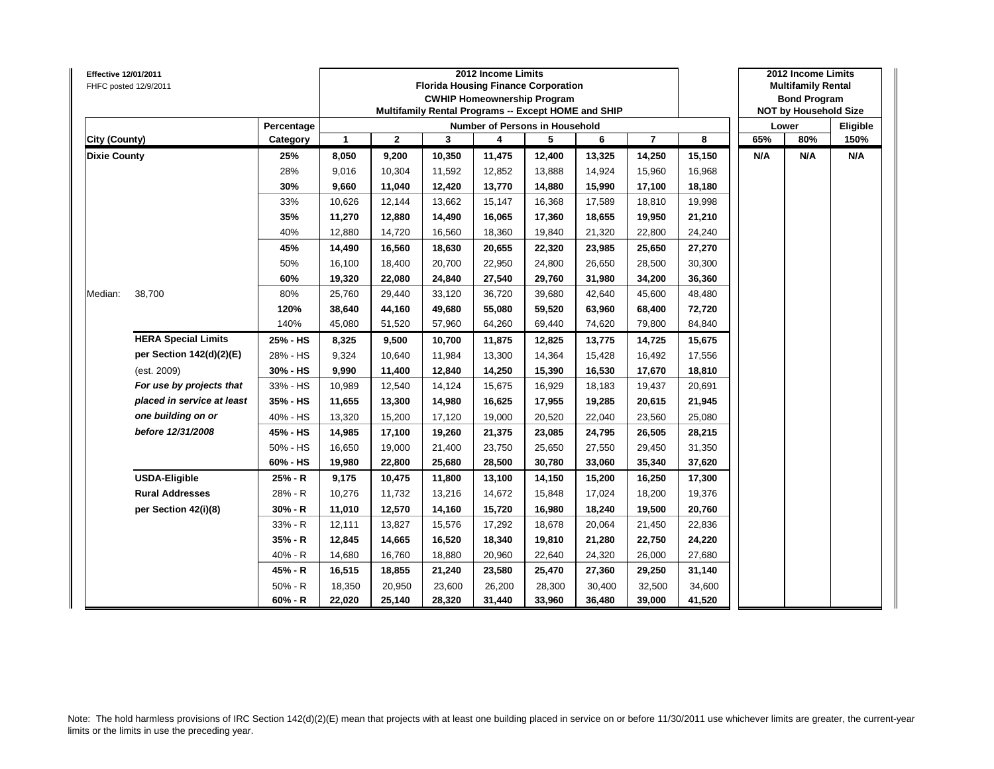| <b>Effective 12/01/2011</b> | FHFC posted 12/9/2011      |            |              |              |        | 2012 Income Limits<br><b>Florida Housing Finance Corporation</b><br><b>CWHIP Homeownership Program</b><br>Multifamily Rental Programs -- Except HOME and SHIP |        |        |                |        |     | 2012 Income Limits<br><b>Multifamily Rental</b><br><b>Bond Program</b><br><b>NOT by Household Size</b> |          |
|-----------------------------|----------------------------|------------|--------------|--------------|--------|---------------------------------------------------------------------------------------------------------------------------------------------------------------|--------|--------|----------------|--------|-----|--------------------------------------------------------------------------------------------------------|----------|
|                             |                            | Percentage |              |              |        | <b>Number of Persons in Household</b>                                                                                                                         |        |        |                |        |     | Lower                                                                                                  | Eligible |
| City (County)               |                            | Category   | $\mathbf{1}$ | $\mathbf{2}$ | 3      | 4                                                                                                                                                             | 5      | 6      | $\overline{7}$ | 8      | 65% | 80%                                                                                                    | 150%     |
| <b>Dixie County</b>         |                            | 25%        | 8,050        | 9,200        | 10,350 | 11,475                                                                                                                                                        | 12,400 | 13,325 | 14,250         | 15,150 | N/A | N/A                                                                                                    | N/A      |
|                             |                            | 28%        | 9,016        | 10,304       | 11,592 | 12,852                                                                                                                                                        | 13,888 | 14,924 | 15,960         | 16,968 |     |                                                                                                        |          |
|                             |                            | 30%        | 9,660        | 11,040       | 12,420 | 13,770                                                                                                                                                        | 14,880 | 15,990 | 17,100         | 18,180 |     |                                                                                                        |          |
|                             |                            | 33%        | 10,626       | 12,144       | 13,662 | 15,147                                                                                                                                                        | 16,368 | 17,589 | 18,810         | 19,998 |     |                                                                                                        |          |
|                             |                            | 35%        | 11,270       | 12,880       | 14,490 | 16,065                                                                                                                                                        | 17,360 | 18,655 | 19,950         | 21,210 |     |                                                                                                        |          |
|                             |                            | 40%        | 12,880       | 14,720       | 16,560 | 18,360                                                                                                                                                        | 19,840 | 21,320 | 22,800         | 24,240 |     |                                                                                                        |          |
|                             |                            | 45%        | 14,490       | 16,560       | 18,630 | 20,655                                                                                                                                                        | 22,320 | 23,985 | 25,650         | 27,270 |     |                                                                                                        |          |
|                             |                            | 50%        | 16,100       | 18,400       | 20,700 | 22,950                                                                                                                                                        | 24,800 | 26,650 | 28,500         | 30,300 |     |                                                                                                        |          |
|                             |                            | 60%        | 19,320       | 22,080       | 24,840 | 27,540                                                                                                                                                        | 29,760 | 31,980 | 34,200         | 36,360 |     |                                                                                                        |          |
| Median:                     | 38,700                     | 80%        | 25,760       | 29,440       | 33,120 | 36,720                                                                                                                                                        | 39,680 | 42,640 | 45,600         | 48,480 |     |                                                                                                        |          |
|                             |                            | 120%       | 38,640       | 44,160       | 49,680 | 55,080                                                                                                                                                        | 59,520 | 63,960 | 68,400         | 72,720 |     |                                                                                                        |          |
|                             |                            | 140%       | 45,080       | 51,520       | 57,960 | 64,260                                                                                                                                                        | 69,440 | 74,620 | 79,800         | 84,840 |     |                                                                                                        |          |
|                             | <b>HERA Special Limits</b> | 25% - HS   | 8,325        | 9,500        | 10,700 | 11,875                                                                                                                                                        | 12,825 | 13,775 | 14,725         | 15,675 |     |                                                                                                        |          |
|                             | per Section 142(d)(2)(E)   | 28% - HS   | 9,324        | 10,640       | 11,984 | 13,300                                                                                                                                                        | 14,364 | 15,428 | 16,492         | 17,556 |     |                                                                                                        |          |
|                             | (est. 2009)                | 30% - HS   | 9,990        | 11,400       | 12,840 | 14,250                                                                                                                                                        | 15,390 | 16,530 | 17,670         | 18,810 |     |                                                                                                        |          |
|                             | For use by projects that   | 33% - HS   | 10,989       | 12,540       | 14,124 | 15,675                                                                                                                                                        | 16,929 | 18,183 | 19,437         | 20,691 |     |                                                                                                        |          |
|                             | placed in service at least | 35% - HS   | 11,655       | 13,300       | 14,980 | 16,625                                                                                                                                                        | 17,955 | 19,285 | 20,615         | 21,945 |     |                                                                                                        |          |
|                             | one building on or         | 40% - HS   | 13,320       | 15,200       | 17,120 | 19,000                                                                                                                                                        | 20,520 | 22,040 | 23,560         | 25,080 |     |                                                                                                        |          |
|                             | before 12/31/2008          | 45% - HS   | 14,985       | 17,100       | 19,260 | 21,375                                                                                                                                                        | 23,085 | 24,795 | 26,505         | 28,215 |     |                                                                                                        |          |
|                             |                            | 50% - HS   | 16,650       | 19,000       | 21,400 | 23,750                                                                                                                                                        | 25,650 | 27,550 | 29,450         | 31,350 |     |                                                                                                        |          |
|                             |                            | 60% - HS   | 19,980       | 22,800       | 25,680 | 28,500                                                                                                                                                        | 30,780 | 33,060 | 35,340         | 37,620 |     |                                                                                                        |          |
|                             | <b>USDA-Eligible</b>       | 25% - R    | 9,175        | 10,475       | 11,800 | 13,100                                                                                                                                                        | 14,150 | 15,200 | 16,250         | 17,300 |     |                                                                                                        |          |
|                             | <b>Rural Addresses</b>     | 28% - R    | 10,276       | 11,732       | 13,216 | 14,672                                                                                                                                                        | 15,848 | 17,024 | 18,200         | 19,376 |     |                                                                                                        |          |
|                             | per Section 42(i)(8)       | $30% - R$  | 11,010       | 12,570       | 14,160 | 15,720                                                                                                                                                        | 16,980 | 18,240 | 19,500         | 20,760 |     |                                                                                                        |          |
|                             |                            | 33% - R    | 12,111       | 13,827       | 15,576 | 17,292                                                                                                                                                        | 18,678 | 20,064 | 21,450         | 22,836 |     |                                                                                                        |          |
|                             |                            | 35% - R    | 12,845       | 14,665       | 16,520 | 18,340                                                                                                                                                        | 19,810 | 21,280 | 22,750         | 24,220 |     |                                                                                                        |          |
|                             |                            | 40% - R    | 14,680       | 16,760       | 18,880 | 20,960                                                                                                                                                        | 22,640 | 24,320 | 26,000         | 27,680 |     |                                                                                                        |          |
|                             |                            | 45% - R    | 16,515       | 18,855       | 21,240 | 23,580                                                                                                                                                        | 25,470 | 27,360 | 29,250         | 31,140 |     |                                                                                                        |          |
|                             |                            | $50% - R$  | 18,350       | 20,950       | 23,600 | 26,200                                                                                                                                                        | 28,300 | 30,400 | 32,500         | 34,600 |     |                                                                                                        |          |
|                             |                            | $60% - R$  | 22,020       | 25,140       | 28,320 | 31,440                                                                                                                                                        | 33,960 | 36,480 | 39,000         | 41,520 |     |                                                                                                        |          |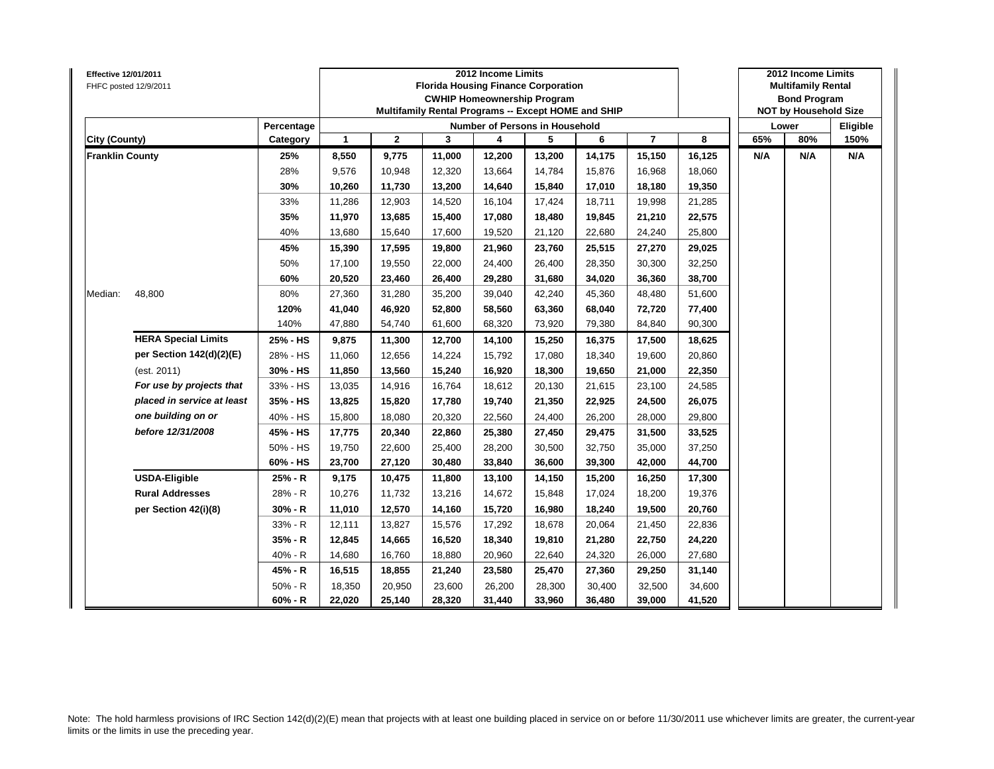| Effective 12/01/2011   | FHFC posted 12/9/2011      |            |              |              |        | 2012 Income Limits<br><b>Florida Housing Finance Corporation</b><br><b>CWHIP Homeownership Program</b><br>Multifamily Rental Programs -- Except HOME and SHIP |        |        |                |        |     | 2012 Income Limits<br><b>Multifamily Rental</b><br><b>Bond Program</b><br><b>NOT by Household Size</b> |          |
|------------------------|----------------------------|------------|--------------|--------------|--------|---------------------------------------------------------------------------------------------------------------------------------------------------------------|--------|--------|----------------|--------|-----|--------------------------------------------------------------------------------------------------------|----------|
|                        |                            | Percentage |              |              |        | Number of Persons in Household                                                                                                                                |        |        |                |        |     | Lower                                                                                                  | Eligible |
| <b>City (County)</b>   |                            | Category   | $\mathbf{1}$ | $\mathbf{2}$ | 3      | 4                                                                                                                                                             | 5      | 6      | $\overline{7}$ | 8      | 65% | 80%                                                                                                    | 150%     |
| <b>Franklin County</b> |                            | 25%        | 8,550        | 9,775        | 11,000 | 12,200                                                                                                                                                        | 13,200 | 14,175 | 15,150         | 16,125 | N/A | N/A                                                                                                    | N/A      |
|                        |                            | 28%        | 9,576        | 10,948       | 12,320 | 13,664                                                                                                                                                        | 14,784 | 15,876 | 16,968         | 18,060 |     |                                                                                                        |          |
|                        |                            | 30%        | 10,260       | 11,730       | 13,200 | 14,640                                                                                                                                                        | 15,840 | 17,010 | 18,180         | 19,350 |     |                                                                                                        |          |
|                        |                            | 33%        | 11,286       | 12,903       | 14,520 | 16,104                                                                                                                                                        | 17,424 | 18,711 | 19,998         | 21,285 |     |                                                                                                        |          |
|                        |                            | 35%        | 11,970       | 13,685       | 15,400 | 17,080                                                                                                                                                        | 18,480 | 19,845 | 21,210         | 22,575 |     |                                                                                                        |          |
|                        |                            | 40%        | 13,680       | 15,640       | 17,600 | 19,520                                                                                                                                                        | 21,120 | 22,680 | 24,240         | 25,800 |     |                                                                                                        |          |
|                        |                            | 45%        | 15,390       | 17,595       | 19,800 | 21,960                                                                                                                                                        | 23,760 | 25,515 | 27,270         | 29,025 |     |                                                                                                        |          |
|                        |                            | 50%        | 17,100       | 19,550       | 22,000 | 24,400                                                                                                                                                        | 26,400 | 28,350 | 30,300         | 32,250 |     |                                                                                                        |          |
|                        |                            | 60%        | 20,520       | 23,460       | 26,400 | 29,280                                                                                                                                                        | 31,680 | 34,020 | 36,360         | 38,700 |     |                                                                                                        |          |
| Median:                | 48,800                     | 80%        | 27,360       | 31,280       | 35,200 | 39,040                                                                                                                                                        | 42,240 | 45,360 | 48,480         | 51,600 |     |                                                                                                        |          |
|                        |                            | 120%       | 41,040       | 46,920       | 52,800 | 58,560                                                                                                                                                        | 63,360 | 68,040 | 72,720         | 77,400 |     |                                                                                                        |          |
|                        |                            | 140%       | 47,880       | 54,740       | 61,600 | 68,320                                                                                                                                                        | 73,920 | 79,380 | 84,840         | 90,300 |     |                                                                                                        |          |
|                        | <b>HERA Special Limits</b> | 25% - HS   | 9,875        | 11,300       | 12,700 | 14,100                                                                                                                                                        | 15,250 | 16,375 | 17,500         | 18,625 |     |                                                                                                        |          |
|                        | per Section 142(d)(2)(E)   | 28% - HS   | 11,060       | 12,656       | 14,224 | 15,792                                                                                                                                                        | 17,080 | 18,340 | 19,600         | 20,860 |     |                                                                                                        |          |
|                        | (est. 2011)                | 30% - HS   | 11,850       | 13,560       | 15,240 | 16,920                                                                                                                                                        | 18,300 | 19,650 | 21,000         | 22,350 |     |                                                                                                        |          |
|                        | For use by projects that   | 33% - HS   | 13,035       | 14,916       | 16,764 | 18,612                                                                                                                                                        | 20,130 | 21,615 | 23,100         | 24,585 |     |                                                                                                        |          |
|                        | placed in service at least | 35% - HS   | 13,825       | 15,820       | 17,780 | 19,740                                                                                                                                                        | 21,350 | 22,925 | 24,500         | 26,075 |     |                                                                                                        |          |
|                        | one building on or         | 40% - HS   | 15,800       | 18,080       | 20,320 | 22,560                                                                                                                                                        | 24,400 | 26,200 | 28,000         | 29,800 |     |                                                                                                        |          |
|                        | before 12/31/2008          | 45% - HS   | 17,775       | 20,340       | 22,860 | 25,380                                                                                                                                                        | 27,450 | 29,475 | 31,500         | 33,525 |     |                                                                                                        |          |
|                        |                            | 50% - HS   | 19,750       | 22,600       | 25,400 | 28,200                                                                                                                                                        | 30,500 | 32,750 | 35,000         | 37,250 |     |                                                                                                        |          |
|                        |                            | 60% - HS   | 23,700       | 27,120       | 30,480 | 33,840                                                                                                                                                        | 36,600 | 39,300 | 42,000         | 44,700 |     |                                                                                                        |          |
|                        | <b>USDA-Eligible</b>       | 25% - R    | 9,175        | 10,475       | 11,800 | 13,100                                                                                                                                                        | 14,150 | 15,200 | 16,250         | 17,300 |     |                                                                                                        |          |
|                        | <b>Rural Addresses</b>     | 28% - R    | 10,276       | 11,732       | 13,216 | 14,672                                                                                                                                                        | 15,848 | 17,024 | 18,200         | 19,376 |     |                                                                                                        |          |
|                        | per Section 42(i)(8)       | $30% - R$  | 11,010       | 12,570       | 14,160 | 15,720                                                                                                                                                        | 16,980 | 18,240 | 19,500         | 20,760 |     |                                                                                                        |          |
|                        |                            | 33% - R    | 12,111       | 13,827       | 15,576 | 17,292                                                                                                                                                        | 18,678 | 20,064 | 21,450         | 22,836 |     |                                                                                                        |          |
|                        |                            | 35% - R    | 12,845       | 14,665       | 16,520 | 18,340                                                                                                                                                        | 19,810 | 21,280 | 22,750         | 24,220 |     |                                                                                                        |          |
|                        |                            | 40% - R    | 14,680       | 16,760       | 18,880 | 20,960                                                                                                                                                        | 22,640 | 24,320 | 26,000         | 27,680 |     |                                                                                                        |          |
|                        |                            | 45% - R    | 16,515       | 18,855       | 21,240 | 23,580                                                                                                                                                        | 25,470 | 27,360 | 29,250         | 31,140 |     |                                                                                                        |          |
|                        |                            | 50% - R    | 18,350       | 20,950       | 23,600 | 26,200                                                                                                                                                        | 28,300 | 30,400 | 32,500         | 34,600 |     |                                                                                                        |          |
|                        |                            | $60% - R$  | 22,020       | 25,140       | 28,320 | 31,440                                                                                                                                                        | 33,960 | 36,480 | 39,000         | 41,520 |     |                                                                                                        |          |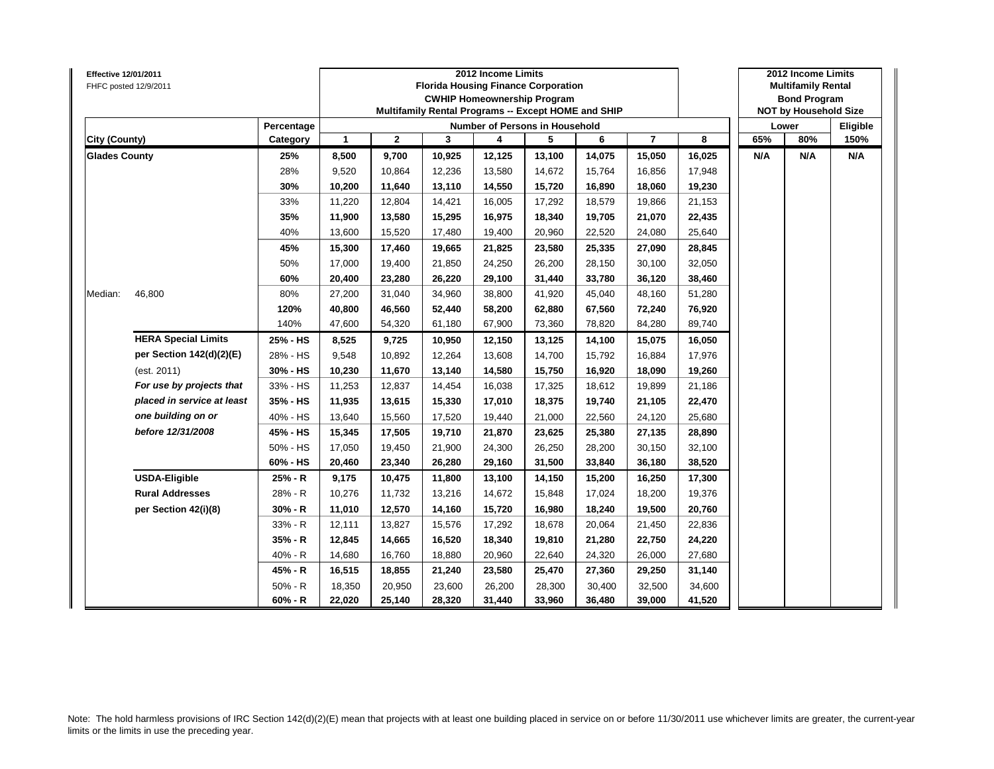| <b>Effective 12/01/2011</b> | FHFC posted 12/9/2011      |            |              |              |        | 2012 Income Limits<br><b>Florida Housing Finance Corporation</b><br><b>CWHIP Homeownership Program</b><br>Multifamily Rental Programs -- Except HOME and SHIP |        |        |                |        |     | 2012 Income Limits<br><b>Multifamily Rental</b><br><b>Bond Program</b><br><b>NOT by Household Size</b> |          |
|-----------------------------|----------------------------|------------|--------------|--------------|--------|---------------------------------------------------------------------------------------------------------------------------------------------------------------|--------|--------|----------------|--------|-----|--------------------------------------------------------------------------------------------------------|----------|
|                             |                            | Percentage |              |              |        | <b>Number of Persons in Household</b>                                                                                                                         |        |        |                |        |     | Lower                                                                                                  | Eligible |
| City (County)               |                            | Category   | $\mathbf{1}$ | $\mathbf{2}$ | 3      | 4                                                                                                                                                             | 5      | 6      | $\overline{7}$ | 8      | 65% | 80%                                                                                                    | 150%     |
| <b>Glades County</b>        |                            | 25%        | 8,500        | 9,700        | 10,925 | 12,125                                                                                                                                                        | 13,100 | 14,075 | 15,050         | 16,025 | N/A | N/A                                                                                                    | N/A      |
|                             |                            | 28%        | 9,520        | 10,864       | 12,236 | 13,580                                                                                                                                                        | 14,672 | 15,764 | 16,856         | 17,948 |     |                                                                                                        |          |
|                             |                            | 30%        | 10,200       | 11,640       | 13,110 | 14,550                                                                                                                                                        | 15,720 | 16,890 | 18,060         | 19,230 |     |                                                                                                        |          |
|                             |                            | 33%        | 11,220       | 12,804       | 14,421 | 16,005                                                                                                                                                        | 17,292 | 18,579 | 19,866         | 21,153 |     |                                                                                                        |          |
|                             |                            | 35%        | 11,900       | 13,580       | 15,295 | 16,975                                                                                                                                                        | 18,340 | 19,705 | 21,070         | 22,435 |     |                                                                                                        |          |
|                             |                            | 40%        | 13,600       | 15,520       | 17,480 | 19,400                                                                                                                                                        | 20,960 | 22,520 | 24,080         | 25,640 |     |                                                                                                        |          |
|                             |                            | 45%        | 15,300       | 17,460       | 19,665 | 21,825                                                                                                                                                        | 23,580 | 25,335 | 27,090         | 28,845 |     |                                                                                                        |          |
|                             |                            | 50%        | 17,000       | 19,400       | 21,850 | 24,250                                                                                                                                                        | 26,200 | 28,150 | 30,100         | 32,050 |     |                                                                                                        |          |
|                             |                            | 60%        | 20,400       | 23,280       | 26,220 | 29,100                                                                                                                                                        | 31,440 | 33,780 | 36,120         | 38,460 |     |                                                                                                        |          |
| Median:                     | 46,800                     | 80%        | 27,200       | 31,040       | 34,960 | 38,800                                                                                                                                                        | 41,920 | 45,040 | 48,160         | 51,280 |     |                                                                                                        |          |
|                             |                            | 120%       | 40,800       | 46,560       | 52,440 | 58,200                                                                                                                                                        | 62,880 | 67,560 | 72,240         | 76,920 |     |                                                                                                        |          |
|                             |                            | 140%       | 47,600       | 54,320       | 61,180 | 67,900                                                                                                                                                        | 73,360 | 78,820 | 84,280         | 89,740 |     |                                                                                                        |          |
|                             | <b>HERA Special Limits</b> | 25% - HS   | 8,525        | 9,725        | 10,950 | 12,150                                                                                                                                                        | 13,125 | 14,100 | 15,075         | 16,050 |     |                                                                                                        |          |
|                             | per Section 142(d)(2)(E)   | 28% - HS   | 9,548        | 10,892       | 12,264 | 13,608                                                                                                                                                        | 14,700 | 15,792 | 16,884         | 17,976 |     |                                                                                                        |          |
|                             | (est. 2011)                | 30% - HS   | 10,230       | 11,670       | 13,140 | 14,580                                                                                                                                                        | 15,750 | 16,920 | 18,090         | 19,260 |     |                                                                                                        |          |
|                             | For use by projects that   | 33% - HS   | 11,253       | 12,837       | 14,454 | 16,038                                                                                                                                                        | 17,325 | 18,612 | 19,899         | 21,186 |     |                                                                                                        |          |
|                             | placed in service at least | 35% - HS   | 11,935       | 13,615       | 15,330 | 17,010                                                                                                                                                        | 18,375 | 19,740 | 21,105         | 22,470 |     |                                                                                                        |          |
|                             | one building on or         | 40% - HS   | 13,640       | 15,560       | 17,520 | 19,440                                                                                                                                                        | 21,000 | 22,560 | 24,120         | 25,680 |     |                                                                                                        |          |
|                             | before 12/31/2008          | 45% - HS   | 15,345       | 17,505       | 19,710 | 21,870                                                                                                                                                        | 23,625 | 25,380 | 27,135         | 28,890 |     |                                                                                                        |          |
|                             |                            | 50% - HS   | 17,050       | 19,450       | 21,900 | 24,300                                                                                                                                                        | 26,250 | 28,200 | 30,150         | 32,100 |     |                                                                                                        |          |
|                             |                            | 60% - HS   | 20,460       | 23,340       | 26,280 | 29,160                                                                                                                                                        | 31,500 | 33,840 | 36,180         | 38,520 |     |                                                                                                        |          |
|                             | <b>USDA-Eligible</b>       | 25% - R    | 9,175        | 10,475       | 11,800 | 13,100                                                                                                                                                        | 14,150 | 15,200 | 16,250         | 17,300 |     |                                                                                                        |          |
|                             | <b>Rural Addresses</b>     | 28% - R    | 10,276       | 11,732       | 13,216 | 14,672                                                                                                                                                        | 15,848 | 17,024 | 18,200         | 19,376 |     |                                                                                                        |          |
|                             | per Section 42(i)(8)       | $30% - R$  | 11,010       | 12,570       | 14,160 | 15,720                                                                                                                                                        | 16,980 | 18,240 | 19,500         | 20,760 |     |                                                                                                        |          |
|                             |                            | 33% - R    | 12,111       | 13,827       | 15,576 | 17,292                                                                                                                                                        | 18,678 | 20,064 | 21,450         | 22,836 |     |                                                                                                        |          |
|                             |                            | 35% - R    | 12,845       | 14,665       | 16,520 | 18,340                                                                                                                                                        | 19,810 | 21,280 | 22,750         | 24,220 |     |                                                                                                        |          |
|                             |                            | 40% - R    | 14,680       | 16,760       | 18,880 | 20,960                                                                                                                                                        | 22,640 | 24,320 | 26,000         | 27,680 |     |                                                                                                        |          |
|                             |                            | 45% - R    | 16,515       | 18,855       | 21,240 | 23,580                                                                                                                                                        | 25,470 | 27,360 | 29,250         | 31,140 |     |                                                                                                        |          |
|                             |                            | $50% - R$  | 18,350       | 20,950       | 23,600 | 26,200                                                                                                                                                        | 28,300 | 30,400 | 32,500         | 34,600 |     |                                                                                                        |          |
|                             |                            | $60% - R$  | 22,020       | 25,140       | 28,320 | 31,440                                                                                                                                                        | 33,960 | 36,480 | 39,000         | 41,520 |     |                                                                                                        |          |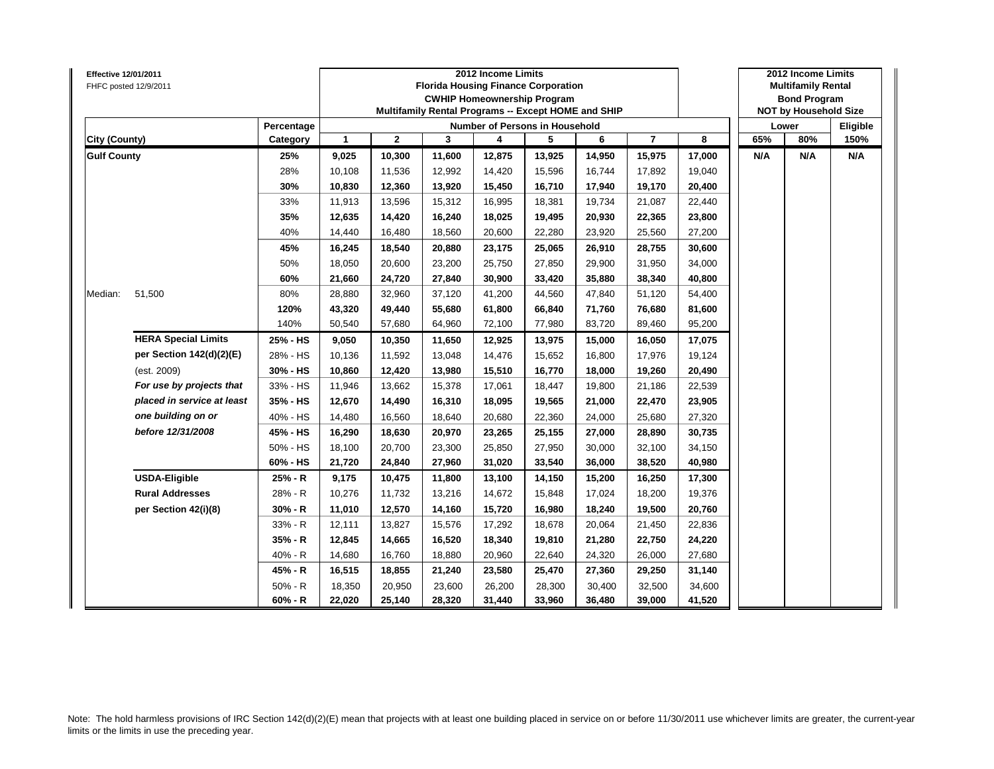| <b>Effective 12/01/2011</b> | FHFC posted 12/9/2011      |            |              |              | <b>Florida Housing Finance Corporation</b><br>Multifamily Rental Programs -- Except HOME and SHIP | 2012 Income Limits | <b>CWHIP Homeownership Program</b> |        |                |        |     | 2012 Income Limits<br><b>Multifamily Rental</b><br><b>Bond Program</b><br><b>NOT by Household Size</b> |          |
|-----------------------------|----------------------------|------------|--------------|--------------|---------------------------------------------------------------------------------------------------|--------------------|------------------------------------|--------|----------------|--------|-----|--------------------------------------------------------------------------------------------------------|----------|
|                             |                            | Percentage |              |              |                                                                                                   |                    | Number of Persons in Household     |        |                |        |     | Lower                                                                                                  | Eligible |
| City (County)               |                            | Category   | $\mathbf{1}$ | $\mathbf{2}$ | 3                                                                                                 | 4                  | 5                                  | 6      | $\overline{7}$ | 8      | 65% | 80%                                                                                                    | 150%     |
| <b>Gulf County</b>          |                            | 25%        | 9,025        | 10,300       | 11,600                                                                                            | 12,875             | 13,925                             | 14,950 | 15,975         | 17,000 | N/A | N/A                                                                                                    | N/A      |
|                             |                            | 28%        | 10,108       | 11,536       | 12,992                                                                                            | 14,420             | 15,596                             | 16,744 | 17,892         | 19,040 |     |                                                                                                        |          |
|                             |                            | 30%        | 10,830       | 12,360       | 13,920                                                                                            | 15,450             | 16,710                             | 17,940 | 19,170         | 20,400 |     |                                                                                                        |          |
|                             |                            | 33%        | 11,913       | 13,596       | 15,312                                                                                            | 16,995             | 18,381                             | 19,734 | 21,087         | 22,440 |     |                                                                                                        |          |
|                             |                            | 35%        | 12,635       | 14,420       | 16,240                                                                                            | 18,025             | 19,495                             | 20,930 | 22,365         | 23,800 |     |                                                                                                        |          |
|                             |                            | 40%        | 14,440       | 16,480       | 18,560                                                                                            | 20,600             | 22,280                             | 23,920 | 25,560         | 27,200 |     |                                                                                                        |          |
|                             |                            | 45%        | 16,245       | 18,540       | 20,880                                                                                            | 23,175             | 25,065                             | 26,910 | 28,755         | 30,600 |     |                                                                                                        |          |
|                             |                            | 50%        | 18,050       | 20,600       | 23,200                                                                                            | 25,750             | 27,850                             | 29,900 | 31,950         | 34,000 |     |                                                                                                        |          |
|                             |                            | 60%        | 21,660       | 24,720       | 27,840                                                                                            | 30,900             | 33,420                             | 35,880 | 38,340         | 40,800 |     |                                                                                                        |          |
| Median:                     | 51,500                     | 80%        | 28,880       | 32,960       | 37,120                                                                                            | 41,200             | 44,560                             | 47,840 | 51,120         | 54,400 |     |                                                                                                        |          |
|                             |                            | 120%       | 43,320       | 49,440       | 55,680                                                                                            | 61,800             | 66,840                             | 71,760 | 76,680         | 81,600 |     |                                                                                                        |          |
|                             |                            | 140%       | 50,540       | 57,680       | 64,960                                                                                            | 72,100             | 77,980                             | 83,720 | 89,460         | 95,200 |     |                                                                                                        |          |
|                             | <b>HERA Special Limits</b> | 25% - HS   | 9,050        | 10,350       | 11,650                                                                                            | 12,925             | 13,975                             | 15,000 | 16,050         | 17,075 |     |                                                                                                        |          |
|                             | per Section 142(d)(2)(E)   | 28% - HS   | 10,136       | 11,592       | 13,048                                                                                            | 14,476             | 15,652                             | 16,800 | 17,976         | 19,124 |     |                                                                                                        |          |
|                             | (est. 2009)                | 30% - HS   | 10,860       | 12,420       | 13,980                                                                                            | 15,510             | 16,770                             | 18,000 | 19,260         | 20,490 |     |                                                                                                        |          |
|                             | For use by projects that   | 33% - HS   | 11,946       | 13,662       | 15,378                                                                                            | 17,061             | 18,447                             | 19,800 | 21,186         | 22,539 |     |                                                                                                        |          |
|                             | placed in service at least | 35% - HS   | 12,670       | 14,490       | 16,310                                                                                            | 18,095             | 19,565                             | 21,000 | 22,470         | 23,905 |     |                                                                                                        |          |
|                             | one building on or         | 40% - HS   | 14,480       | 16,560       | 18,640                                                                                            | 20,680             | 22,360                             | 24,000 | 25,680         | 27,320 |     |                                                                                                        |          |
|                             | before 12/31/2008          | 45% - HS   | 16,290       | 18,630       | 20,970                                                                                            | 23,265             | 25,155                             | 27,000 | 28,890         | 30,735 |     |                                                                                                        |          |
|                             |                            | 50% - HS   | 18,100       | 20,700       | 23,300                                                                                            | 25,850             | 27,950                             | 30.000 | 32,100         | 34,150 |     |                                                                                                        |          |
|                             |                            | 60% - HS   | 21,720       | 24,840       | 27,960                                                                                            | 31,020             | 33,540                             | 36,000 | 38,520         | 40,980 |     |                                                                                                        |          |
|                             | <b>USDA-Eligible</b>       | 25% - R    | 9,175        | 10,475       | 11,800                                                                                            | 13,100             | 14,150                             | 15,200 | 16,250         | 17,300 |     |                                                                                                        |          |
|                             | <b>Rural Addresses</b>     | 28% - R    | 10,276       | 11,732       | 13,216                                                                                            | 14,672             | 15,848                             | 17,024 | 18,200         | 19,376 |     |                                                                                                        |          |
|                             | per Section 42(i)(8)       | $30% - R$  | 11,010       | 12,570       | 14,160                                                                                            | 15,720             | 16,980                             | 18,240 | 19,500         | 20,760 |     |                                                                                                        |          |
|                             |                            | 33% - R    | 12,111       | 13,827       | 15,576                                                                                            | 17,292             | 18,678                             | 20,064 | 21,450         | 22,836 |     |                                                                                                        |          |
|                             |                            | $35% - R$  | 12,845       | 14,665       | 16,520                                                                                            | 18,340             | 19,810                             | 21,280 | 22,750         | 24,220 |     |                                                                                                        |          |
|                             |                            | 40% - R    | 14,680       | 16,760       | 18,880                                                                                            | 20,960             | 22,640                             | 24,320 | 26,000         | 27,680 |     |                                                                                                        |          |
|                             |                            | 45% - R    | 16,515       | 18,855       | 21,240                                                                                            | 23,580             | 25,470                             | 27,360 | 29,250         | 31,140 |     |                                                                                                        |          |
|                             |                            | $50% - R$  | 18,350       | 20,950       | 23,600                                                                                            | 26,200             | 28,300                             | 30,400 | 32,500         | 34,600 |     |                                                                                                        |          |
|                             |                            | 60% - R    | 22,020       | 25,140       | 28,320                                                                                            | 31,440             | 33,960                             | 36,480 | 39,000         | 41,520 |     |                                                                                                        |          |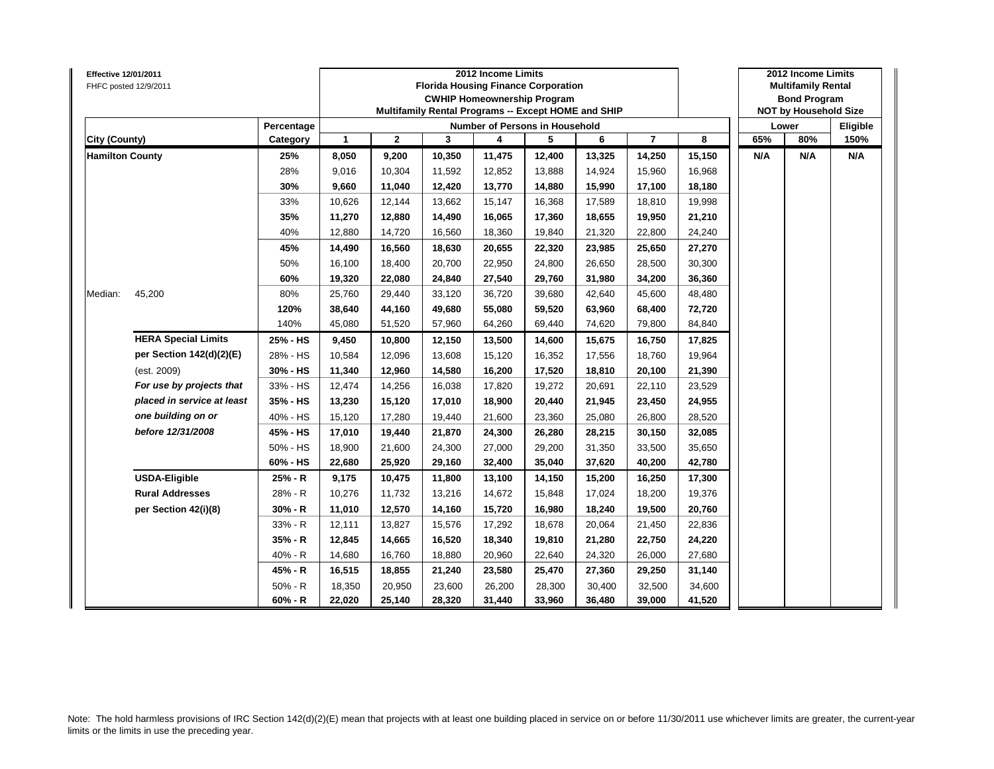| Effective 12/01/2011   | FHFC posted 12/9/2011      |            |              |              |        | 2012 Income Limits<br><b>Florida Housing Finance Corporation</b><br><b>CWHIP Homeownership Program</b><br>Multifamily Rental Programs -- Except HOME and SHIP |        |        |                |        |     | 2012 Income Limits<br><b>Multifamily Rental</b><br><b>Bond Program</b><br><b>NOT by Household Size</b> |          |
|------------------------|----------------------------|------------|--------------|--------------|--------|---------------------------------------------------------------------------------------------------------------------------------------------------------------|--------|--------|----------------|--------|-----|--------------------------------------------------------------------------------------------------------|----------|
|                        |                            | Percentage |              |              |        | Number of Persons in Household                                                                                                                                |        |        |                |        |     | Lower                                                                                                  | Eligible |
| <b>City (County)</b>   |                            | Category   | $\mathbf{1}$ | $\mathbf{2}$ | 3      | 4                                                                                                                                                             | 5      | 6      | $\overline{7}$ | 8      | 65% | 80%                                                                                                    | 150%     |
| <b>Hamilton County</b> |                            | 25%        | 8,050        | 9,200        | 10,350 | 11,475                                                                                                                                                        | 12,400 | 13,325 | 14,250         | 15,150 | N/A | N/A                                                                                                    | N/A      |
|                        |                            | 28%        | 9,016        | 10,304       | 11,592 | 12,852                                                                                                                                                        | 13,888 | 14,924 | 15,960         | 16,968 |     |                                                                                                        |          |
|                        |                            | 30%        | 9,660        | 11,040       | 12,420 | 13,770                                                                                                                                                        | 14,880 | 15,990 | 17,100         | 18,180 |     |                                                                                                        |          |
|                        |                            | 33%        | 10,626       | 12,144       | 13,662 | 15,147                                                                                                                                                        | 16,368 | 17,589 | 18,810         | 19,998 |     |                                                                                                        |          |
|                        |                            | 35%        | 11,270       | 12,880       | 14,490 | 16,065                                                                                                                                                        | 17,360 | 18,655 | 19,950         | 21,210 |     |                                                                                                        |          |
|                        |                            | 40%        | 12,880       | 14,720       | 16,560 | 18,360                                                                                                                                                        | 19,840 | 21,320 | 22,800         | 24,240 |     |                                                                                                        |          |
|                        |                            | 45%        | 14,490       | 16,560       | 18,630 | 20,655                                                                                                                                                        | 22,320 | 23,985 | 25,650         | 27,270 |     |                                                                                                        |          |
|                        |                            | 50%        | 16,100       | 18,400       | 20,700 | 22,950                                                                                                                                                        | 24,800 | 26,650 | 28,500         | 30,300 |     |                                                                                                        |          |
|                        |                            | 60%        | 19,320       | 22,080       | 24,840 | 27,540                                                                                                                                                        | 29,760 | 31,980 | 34,200         | 36,360 |     |                                                                                                        |          |
| Median:                | 45,200                     | 80%        | 25,760       | 29,440       | 33,120 | 36,720                                                                                                                                                        | 39,680 | 42,640 | 45,600         | 48,480 |     |                                                                                                        |          |
|                        |                            | 120%       | 38,640       | 44,160       | 49,680 | 55,080                                                                                                                                                        | 59,520 | 63,960 | 68,400         | 72,720 |     |                                                                                                        |          |
|                        |                            | 140%       | 45,080       | 51,520       | 57,960 | 64,260                                                                                                                                                        | 69,440 | 74,620 | 79,800         | 84,840 |     |                                                                                                        |          |
|                        | <b>HERA Special Limits</b> | 25% - HS   | 9,450        | 10,800       | 12,150 | 13,500                                                                                                                                                        | 14,600 | 15,675 | 16,750         | 17,825 |     |                                                                                                        |          |
|                        | per Section 142(d)(2)(E)   | 28% - HS   | 10,584       | 12,096       | 13,608 | 15,120                                                                                                                                                        | 16,352 | 17,556 | 18,760         | 19,964 |     |                                                                                                        |          |
|                        | (est. 2009)                | 30% - HS   | 11,340       | 12,960       | 14,580 | 16,200                                                                                                                                                        | 17,520 | 18,810 | 20,100         | 21,390 |     |                                                                                                        |          |
|                        | For use by projects that   | 33% - HS   | 12,474       | 14,256       | 16,038 | 17,820                                                                                                                                                        | 19,272 | 20,691 | 22,110         | 23,529 |     |                                                                                                        |          |
|                        | placed in service at least | 35% - HS   | 13,230       | 15,120       | 17,010 | 18,900                                                                                                                                                        | 20,440 | 21,945 | 23,450         | 24,955 |     |                                                                                                        |          |
|                        | one building on or         | 40% - HS   | 15,120       | 17,280       | 19,440 | 21,600                                                                                                                                                        | 23,360 | 25,080 | 26,800         | 28,520 |     |                                                                                                        |          |
|                        | before 12/31/2008          | 45% - HS   | 17,010       | 19,440       | 21,870 | 24,300                                                                                                                                                        | 26,280 | 28,215 | 30,150         | 32,085 |     |                                                                                                        |          |
|                        |                            | 50% - HS   | 18,900       | 21,600       | 24,300 | 27,000                                                                                                                                                        | 29,200 | 31,350 | 33,500         | 35,650 |     |                                                                                                        |          |
|                        |                            | 60% - HS   | 22,680       | 25,920       | 29,160 | 32,400                                                                                                                                                        | 35,040 | 37,620 | 40,200         | 42,780 |     |                                                                                                        |          |
|                        | <b>USDA-Eligible</b>       | 25% - R    | 9,175        | 10,475       | 11,800 | 13,100                                                                                                                                                        | 14,150 | 15,200 | 16,250         | 17,300 |     |                                                                                                        |          |
|                        | <b>Rural Addresses</b>     | 28% - R    | 10,276       | 11,732       | 13,216 | 14,672                                                                                                                                                        | 15,848 | 17,024 | 18,200         | 19,376 |     |                                                                                                        |          |
|                        | per Section 42(i)(8)       | $30% - R$  | 11,010       | 12,570       | 14,160 | 15,720                                                                                                                                                        | 16,980 | 18,240 | 19,500         | 20,760 |     |                                                                                                        |          |
|                        |                            | 33% - R    | 12,111       | 13,827       | 15,576 | 17,292                                                                                                                                                        | 18,678 | 20,064 | 21,450         | 22,836 |     |                                                                                                        |          |
|                        |                            | 35% - R    | 12,845       | 14,665       | 16,520 | 18,340                                                                                                                                                        | 19,810 | 21,280 | 22,750         | 24,220 |     |                                                                                                        |          |
|                        |                            | 40% - R    | 14,680       | 16,760       | 18,880 | 20,960                                                                                                                                                        | 22,640 | 24,320 | 26,000         | 27,680 |     |                                                                                                        |          |
|                        |                            | 45% - R    | 16,515       | 18,855       | 21,240 | 23,580                                                                                                                                                        | 25,470 | 27,360 | 29,250         | 31,140 |     |                                                                                                        |          |
|                        |                            | 50% - R    | 18,350       | 20,950       | 23,600 | 26,200                                                                                                                                                        | 28,300 | 30,400 | 32,500         | 34,600 |     |                                                                                                        |          |
|                        |                            | $60% - R$  | 22,020       | 25,140       | 28,320 | 31,440                                                                                                                                                        | 33,960 | 36,480 | 39,000         | 41,520 |     |                                                                                                        |          |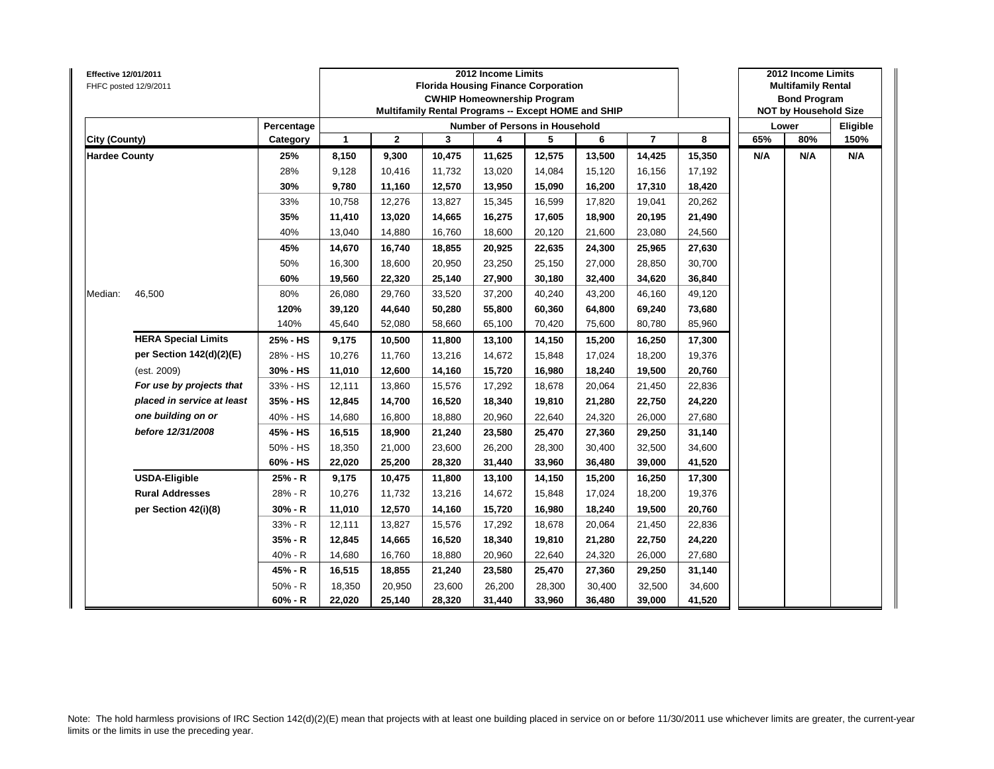| <b>Effective 12/01/2011</b> | FHFC posted 12/9/2011      |            |              |              |        | 2012 Income Limits<br><b>Florida Housing Finance Corporation</b><br><b>CWHIP Homeownership Program</b><br>Multifamily Rental Programs -- Except HOME and SHIP |        |        |                |        |     | 2012 Income Limits<br><b>Multifamily Rental</b><br><b>Bond Program</b><br><b>NOT by Household Size</b> |          |
|-----------------------------|----------------------------|------------|--------------|--------------|--------|---------------------------------------------------------------------------------------------------------------------------------------------------------------|--------|--------|----------------|--------|-----|--------------------------------------------------------------------------------------------------------|----------|
|                             |                            | Percentage |              |              |        | <b>Number of Persons in Household</b>                                                                                                                         |        |        |                |        |     | Lower                                                                                                  | Eligible |
| City (County)               |                            | Category   | $\mathbf{1}$ | $\mathbf{2}$ | 3      | 4                                                                                                                                                             | 5      | 6      | $\overline{7}$ | 8      | 65% | 80%                                                                                                    | 150%     |
| <b>Hardee County</b>        |                            | 25%        | 8,150        | 9,300        | 10,475 | 11,625                                                                                                                                                        | 12,575 | 13,500 | 14,425         | 15,350 | N/A | N/A                                                                                                    | N/A      |
|                             |                            | 28%        | 9,128        | 10,416       | 11,732 | 13,020                                                                                                                                                        | 14,084 | 15,120 | 16,156         | 17,192 |     |                                                                                                        |          |
|                             |                            | 30%        | 9,780        | 11,160       | 12,570 | 13,950                                                                                                                                                        | 15,090 | 16,200 | 17,310         | 18,420 |     |                                                                                                        |          |
|                             |                            | 33%        | 10,758       | 12,276       | 13,827 | 15,345                                                                                                                                                        | 16,599 | 17,820 | 19,041         | 20,262 |     |                                                                                                        |          |
|                             |                            | 35%        | 11,410       | 13,020       | 14,665 | 16,275                                                                                                                                                        | 17,605 | 18,900 | 20,195         | 21,490 |     |                                                                                                        |          |
|                             |                            | 40%        | 13,040       | 14,880       | 16,760 | 18,600                                                                                                                                                        | 20,120 | 21,600 | 23,080         | 24,560 |     |                                                                                                        |          |
|                             |                            | 45%        | 14,670       | 16,740       | 18,855 | 20,925                                                                                                                                                        | 22,635 | 24,300 | 25,965         | 27,630 |     |                                                                                                        |          |
|                             |                            | 50%        | 16,300       | 18,600       | 20,950 | 23,250                                                                                                                                                        | 25,150 | 27,000 | 28,850         | 30,700 |     |                                                                                                        |          |
|                             |                            | 60%        | 19,560       | 22,320       | 25,140 | 27,900                                                                                                                                                        | 30,180 | 32,400 | 34,620         | 36,840 |     |                                                                                                        |          |
| Median:                     | 46,500                     | 80%        | 26,080       | 29,760       | 33,520 | 37,200                                                                                                                                                        | 40,240 | 43,200 | 46,160         | 49,120 |     |                                                                                                        |          |
|                             |                            | 120%       | 39,120       | 44,640       | 50,280 | 55,800                                                                                                                                                        | 60,360 | 64,800 | 69,240         | 73,680 |     |                                                                                                        |          |
|                             |                            | 140%       | 45,640       | 52,080       | 58,660 | 65,100                                                                                                                                                        | 70,420 | 75,600 | 80,780         | 85,960 |     |                                                                                                        |          |
|                             | <b>HERA Special Limits</b> | 25% - HS   | 9,175        | 10,500       | 11,800 | 13,100                                                                                                                                                        | 14,150 | 15,200 | 16,250         | 17,300 |     |                                                                                                        |          |
|                             | per Section 142(d)(2)(E)   | 28% - HS   | 10,276       | 11,760       | 13,216 | 14,672                                                                                                                                                        | 15,848 | 17,024 | 18,200         | 19,376 |     |                                                                                                        |          |
|                             | (est. 2009)                | 30% - HS   | 11,010       | 12,600       | 14,160 | 15,720                                                                                                                                                        | 16,980 | 18,240 | 19,500         | 20,760 |     |                                                                                                        |          |
|                             | For use by projects that   | 33% - HS   | 12,111       | 13,860       | 15,576 | 17,292                                                                                                                                                        | 18,678 | 20,064 | 21,450         | 22,836 |     |                                                                                                        |          |
|                             | placed in service at least | 35% - HS   | 12,845       | 14,700       | 16,520 | 18,340                                                                                                                                                        | 19,810 | 21,280 | 22,750         | 24,220 |     |                                                                                                        |          |
|                             | one building on or         | 40% - HS   | 14,680       | 16,800       | 18,880 | 20,960                                                                                                                                                        | 22,640 | 24,320 | 26,000         | 27,680 |     |                                                                                                        |          |
|                             | before 12/31/2008          | 45% - HS   | 16,515       | 18,900       | 21,240 | 23,580                                                                                                                                                        | 25,470 | 27,360 | 29,250         | 31,140 |     |                                                                                                        |          |
|                             |                            | 50% - HS   | 18,350       | 21,000       | 23,600 | 26,200                                                                                                                                                        | 28,300 | 30,400 | 32,500         | 34,600 |     |                                                                                                        |          |
|                             |                            | 60% - HS   | 22,020       | 25,200       | 28,320 | 31,440                                                                                                                                                        | 33,960 | 36,480 | 39,000         | 41,520 |     |                                                                                                        |          |
|                             | <b>USDA-Eligible</b>       | 25% - R    | 9,175        | 10,475       | 11,800 | 13,100                                                                                                                                                        | 14,150 | 15,200 | 16,250         | 17,300 |     |                                                                                                        |          |
|                             | <b>Rural Addresses</b>     | 28% - R    | 10,276       | 11,732       | 13,216 | 14,672                                                                                                                                                        | 15,848 | 17,024 | 18,200         | 19,376 |     |                                                                                                        |          |
|                             | per Section 42(i)(8)       | $30% - R$  | 11,010       | 12,570       | 14,160 | 15,720                                                                                                                                                        | 16,980 | 18,240 | 19,500         | 20,760 |     |                                                                                                        |          |
|                             |                            | 33% - R    | 12,111       | 13,827       | 15,576 | 17,292                                                                                                                                                        | 18,678 | 20,064 | 21,450         | 22,836 |     |                                                                                                        |          |
|                             |                            | 35% - R    | 12,845       | 14,665       | 16,520 | 18,340                                                                                                                                                        | 19,810 | 21,280 | 22,750         | 24,220 |     |                                                                                                        |          |
|                             |                            | 40% - R    | 14,680       | 16,760       | 18,880 | 20,960                                                                                                                                                        | 22,640 | 24,320 | 26,000         | 27,680 |     |                                                                                                        |          |
|                             |                            | 45% - R    | 16,515       | 18,855       | 21,240 | 23,580                                                                                                                                                        | 25,470 | 27,360 | 29,250         | 31,140 |     |                                                                                                        |          |
|                             |                            | $50% - R$  | 18,350       | 20,950       | 23,600 | 26,200                                                                                                                                                        | 28,300 | 30,400 | 32,500         | 34,600 |     |                                                                                                        |          |
|                             |                            | $60% - R$  | 22,020       | 25,140       | 28,320 | 31,440                                                                                                                                                        | 33,960 | 36,480 | 39,000         | 41,520 |     |                                                                                                        |          |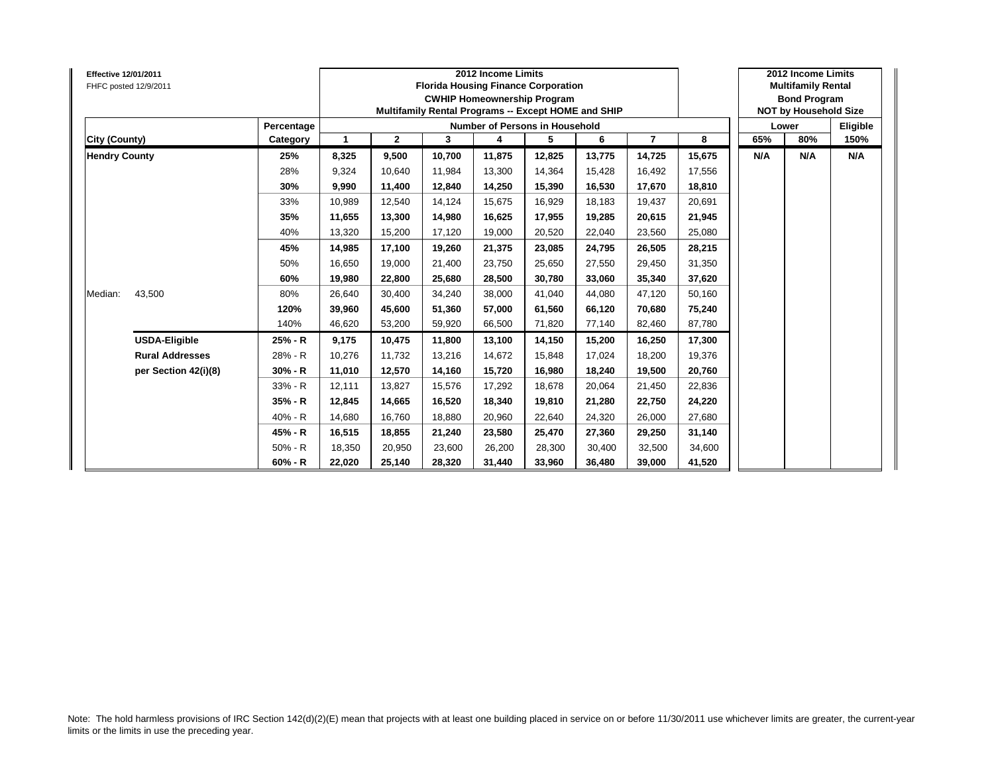| Effective 12/01/2011<br>FHFC posted 12/9/2011 |                        |            |             |              | <b>Florida Housing Finance Corporation</b><br>Multifamily Rental Programs -- Except HOME and SHIP | 2012 Income Limits<br><b>CWHIP Homeownership Program</b> |        |        |                |        |     | 2012 Income Limits<br><b>Multifamily Rental</b><br><b>Bond Program</b><br><b>NOT by Household Size</b> |          |
|-----------------------------------------------|------------------------|------------|-------------|--------------|---------------------------------------------------------------------------------------------------|----------------------------------------------------------|--------|--------|----------------|--------|-----|--------------------------------------------------------------------------------------------------------|----------|
|                                               |                        | Percentage |             |              |                                                                                                   | Number of Persons in Household                           |        |        |                |        |     | Lower                                                                                                  | Eligible |
| City (County)                                 |                        | Category   | $\mathbf 1$ | $\mathbf{2}$ | 3                                                                                                 | 4                                                        | 5      | 6      | $\overline{7}$ | 8      | 65% | 80%                                                                                                    | 150%     |
| <b>Hendry County</b>                          |                        | 25%        | 8,325       | 9,500        | 10,700                                                                                            | 11,875                                                   | 12,825 | 13,775 | 14,725         | 15,675 | N/A | N/A                                                                                                    | N/A      |
|                                               |                        | 28%        | 9,324       | 10.640       | 11.984                                                                                            | 13,300                                                   | 14.364 | 15.428 | 16,492         | 17,556 |     |                                                                                                        |          |
|                                               |                        | 30%        | 9,990       | 11,400       | 12,840                                                                                            | 14,250                                                   | 15,390 | 16,530 | 17,670         | 18,810 |     |                                                                                                        |          |
|                                               |                        | 33%        | 10,989      | 12,540       | 14,124                                                                                            | 15,675                                                   | 16,929 | 18,183 | 19,437         | 20,691 |     |                                                                                                        |          |
|                                               |                        | 35%        | 11,655      | 13,300       | 14,980                                                                                            | 16,625                                                   | 17,955 | 19.285 | 20,615         | 21,945 |     |                                                                                                        |          |
|                                               |                        | 40%        | 13,320      | 15,200       | 17,120                                                                                            | 19,000                                                   | 20,520 | 22.040 | 23,560         | 25,080 |     |                                                                                                        |          |
|                                               |                        | 45%        | 14.985      | 17,100       | 19.260                                                                                            | 21,375                                                   | 23,085 | 24.795 | 26,505         | 28,215 |     |                                                                                                        |          |
|                                               |                        | 50%        | 16,650      | 19,000       | 21,400                                                                                            | 23,750                                                   | 25,650 | 27,550 | 29,450         | 31,350 |     |                                                                                                        |          |
|                                               |                        | 60%        | 19,980      | 22,800       | 25,680                                                                                            | 28,500                                                   | 30,780 | 33.060 | 35,340         | 37,620 |     |                                                                                                        |          |
| Median:                                       | 43,500                 | 80%        | 26,640      | 30,400       | 34,240                                                                                            | 38,000                                                   | 41,040 | 44.080 | 47,120         | 50,160 |     |                                                                                                        |          |
|                                               |                        | 120%       | 39.960      | 45,600       | 51.360                                                                                            | 57,000                                                   | 61,560 | 66.120 | 70,680         | 75,240 |     |                                                                                                        |          |
|                                               |                        | 140%       | 46.620      | 53,200       | 59,920                                                                                            | 66,500                                                   | 71,820 | 77.140 | 82,460         | 87,780 |     |                                                                                                        |          |
|                                               | <b>USDA-Eligible</b>   | 25% - R    | 9,175       | 10,475       | 11,800                                                                                            | 13,100                                                   | 14,150 | 15,200 | 16,250         | 17,300 |     |                                                                                                        |          |
|                                               | <b>Rural Addresses</b> | 28% - R    | 10,276      | 11.732       | 13,216                                                                                            | 14,672                                                   | 15,848 | 17.024 | 18,200         | 19,376 |     |                                                                                                        |          |
|                                               | per Section 42(i)(8)   | $30% - R$  | 11,010      | 12,570       | 14,160                                                                                            | 15,720                                                   | 16,980 | 18.240 | 19,500         | 20,760 |     |                                                                                                        |          |
|                                               |                        | 33% - R    | 12.111      | 13,827       | 15.576                                                                                            | 17,292                                                   | 18,678 | 20.064 | 21,450         | 22,836 |     |                                                                                                        |          |
|                                               |                        | 35% - R    | 12,845      | 14,665       | 16,520                                                                                            | 18,340                                                   | 19,810 | 21,280 | 22,750         | 24,220 |     |                                                                                                        |          |
|                                               |                        | 40% - R    | 14,680      | 16,760       | 18,880                                                                                            | 20,960                                                   | 22,640 | 24,320 | 26,000         | 27,680 |     |                                                                                                        |          |
|                                               |                        | 45% - R    | 16,515      | 18,855       | 21,240                                                                                            | 23,580                                                   | 25,470 | 27,360 | 29,250         | 31,140 |     |                                                                                                        |          |
|                                               |                        | 50% - R    | 18,350      | 20,950       | 23,600                                                                                            | 26,200                                                   | 28,300 | 30.400 | 32,500         | 34,600 |     |                                                                                                        |          |
|                                               |                        | $60% - R$  | 22,020      | 25,140       | 28,320                                                                                            | 31,440                                                   | 33,960 | 36,480 | 39,000         | 41,520 |     |                                                                                                        |          |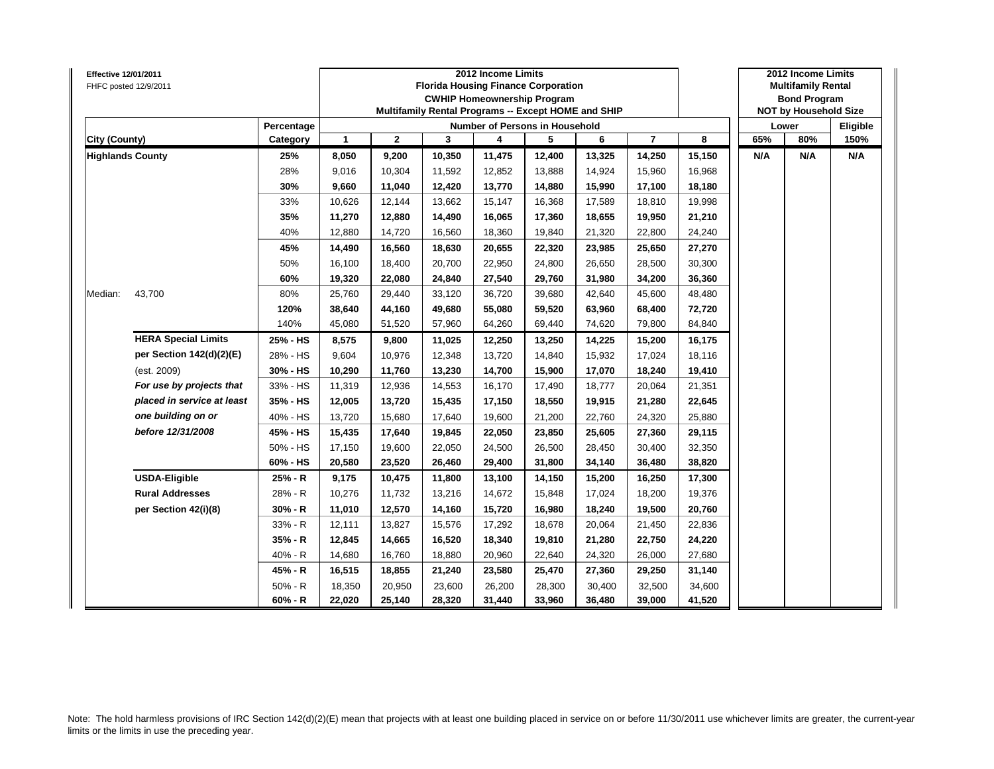| Effective 12/01/2011    | FHFC posted 12/9/2011      |            |              |              |        | 2012 Income Limits<br><b>Florida Housing Finance Corporation</b><br><b>CWHIP Homeownership Program</b><br>Multifamily Rental Programs -- Except HOME and SHIP |        |        |                |        |     | 2012 Income Limits<br><b>Multifamily Rental</b><br><b>Bond Program</b><br><b>NOT by Household Size</b> |          |
|-------------------------|----------------------------|------------|--------------|--------------|--------|---------------------------------------------------------------------------------------------------------------------------------------------------------------|--------|--------|----------------|--------|-----|--------------------------------------------------------------------------------------------------------|----------|
|                         |                            | Percentage |              |              |        | Number of Persons in Household                                                                                                                                |        |        |                |        |     | Lower                                                                                                  | Eligible |
| <b>City (County)</b>    |                            | Category   | $\mathbf{1}$ | $\mathbf{2}$ | 3      | 4                                                                                                                                                             | 5      | 6      | $\overline{7}$ | 8      | 65% | 80%                                                                                                    | 150%     |
| <b>Highlands County</b> |                            | 25%        | 8,050        | 9,200        | 10,350 | 11,475                                                                                                                                                        | 12,400 | 13,325 | 14,250         | 15,150 | N/A | N/A                                                                                                    | N/A      |
|                         |                            | 28%        | 9,016        | 10,304       | 11,592 | 12,852                                                                                                                                                        | 13,888 | 14,924 | 15,960         | 16,968 |     |                                                                                                        |          |
|                         |                            | 30%        | 9,660        | 11,040       | 12,420 | 13,770                                                                                                                                                        | 14,880 | 15,990 | 17,100         | 18,180 |     |                                                                                                        |          |
|                         |                            | 33%        | 10,626       | 12,144       | 13,662 | 15,147                                                                                                                                                        | 16,368 | 17,589 | 18,810         | 19,998 |     |                                                                                                        |          |
|                         |                            | 35%        | 11,270       | 12,880       | 14,490 | 16,065                                                                                                                                                        | 17,360 | 18,655 | 19,950         | 21,210 |     |                                                                                                        |          |
|                         |                            | 40%        | 12,880       | 14,720       | 16,560 | 18,360                                                                                                                                                        | 19,840 | 21,320 | 22,800         | 24,240 |     |                                                                                                        |          |
|                         |                            | 45%        | 14,490       | 16,560       | 18,630 | 20,655                                                                                                                                                        | 22,320 | 23,985 | 25,650         | 27,270 |     |                                                                                                        |          |
|                         |                            | 50%        | 16,100       | 18,400       | 20,700 | 22,950                                                                                                                                                        | 24,800 | 26,650 | 28,500         | 30,300 |     |                                                                                                        |          |
|                         |                            | 60%        | 19,320       | 22,080       | 24,840 | 27,540                                                                                                                                                        | 29,760 | 31,980 | 34,200         | 36,360 |     |                                                                                                        |          |
| Median:                 | 43,700                     | 80%        | 25,760       | 29,440       | 33,120 | 36,720                                                                                                                                                        | 39,680 | 42,640 | 45,600         | 48,480 |     |                                                                                                        |          |
|                         |                            | 120%       | 38,640       | 44,160       | 49,680 | 55,080                                                                                                                                                        | 59,520 | 63,960 | 68,400         | 72,720 |     |                                                                                                        |          |
|                         |                            | 140%       | 45,080       | 51,520       | 57,960 | 64,260                                                                                                                                                        | 69,440 | 74,620 | 79,800         | 84,840 |     |                                                                                                        |          |
|                         | <b>HERA Special Limits</b> | 25% - HS   | 8,575        | 9,800        | 11,025 | 12,250                                                                                                                                                        | 13,250 | 14,225 | 15,200         | 16,175 |     |                                                                                                        |          |
|                         | per Section 142(d)(2)(E)   | 28% - HS   | 9,604        | 10,976       | 12,348 | 13,720                                                                                                                                                        | 14,840 | 15,932 | 17,024         | 18,116 |     |                                                                                                        |          |
|                         | (est. 2009)                | 30% - HS   | 10,290       | 11,760       | 13,230 | 14,700                                                                                                                                                        | 15,900 | 17,070 | 18,240         | 19,410 |     |                                                                                                        |          |
|                         | For use by projects that   | 33% - HS   | 11,319       | 12,936       | 14,553 | 16,170                                                                                                                                                        | 17,490 | 18,777 | 20,064         | 21,351 |     |                                                                                                        |          |
|                         | placed in service at least | 35% - HS   | 12,005       | 13,720       | 15,435 | 17,150                                                                                                                                                        | 18,550 | 19,915 | 21,280         | 22,645 |     |                                                                                                        |          |
|                         | one building on or         | 40% - HS   | 13,720       | 15,680       | 17,640 | 19,600                                                                                                                                                        | 21,200 | 22,760 | 24,320         | 25,880 |     |                                                                                                        |          |
|                         | before 12/31/2008          | 45% - HS   | 15,435       | 17,640       | 19,845 | 22,050                                                                                                                                                        | 23,850 | 25,605 | 27,360         | 29,115 |     |                                                                                                        |          |
|                         |                            | 50% - HS   | 17,150       | 19,600       | 22,050 | 24,500                                                                                                                                                        | 26,500 | 28,450 | 30,400         | 32,350 |     |                                                                                                        |          |
|                         |                            | 60% - HS   | 20,580       | 23,520       | 26,460 | 29,400                                                                                                                                                        | 31,800 | 34,140 | 36,480         | 38,820 |     |                                                                                                        |          |
|                         | <b>USDA-Eligible</b>       | 25% - R    | 9,175        | 10,475       | 11,800 | 13,100                                                                                                                                                        | 14,150 | 15,200 | 16,250         | 17,300 |     |                                                                                                        |          |
|                         | <b>Rural Addresses</b>     | 28% - R    | 10,276       | 11,732       | 13,216 | 14,672                                                                                                                                                        | 15,848 | 17,024 | 18,200         | 19,376 |     |                                                                                                        |          |
|                         | per Section 42(i)(8)       | $30% - R$  | 11,010       | 12,570       | 14,160 | 15,720                                                                                                                                                        | 16,980 | 18,240 | 19,500         | 20,760 |     |                                                                                                        |          |
|                         |                            | 33% - R    | 12,111       | 13,827       | 15,576 | 17,292                                                                                                                                                        | 18,678 | 20,064 | 21,450         | 22,836 |     |                                                                                                        |          |
|                         |                            | 35% - R    | 12,845       | 14,665       | 16,520 | 18,340                                                                                                                                                        | 19,810 | 21,280 | 22,750         | 24,220 |     |                                                                                                        |          |
|                         |                            | 40% - R    | 14,680       | 16,760       | 18,880 | 20,960                                                                                                                                                        | 22,640 | 24,320 | 26,000         | 27,680 |     |                                                                                                        |          |
|                         |                            | 45% - R    | 16,515       | 18,855       | 21,240 | 23,580                                                                                                                                                        | 25,470 | 27,360 | 29,250         | 31,140 |     |                                                                                                        |          |
|                         |                            | $50% - R$  | 18,350       | 20,950       | 23,600 | 26,200                                                                                                                                                        | 28,300 | 30,400 | 32,500         | 34,600 |     |                                                                                                        |          |
|                         |                            | $60% - R$  | 22,020       | 25,140       | 28,320 | 31,440                                                                                                                                                        | 33,960 | 36,480 | 39,000         | 41,520 |     |                                                                                                        |          |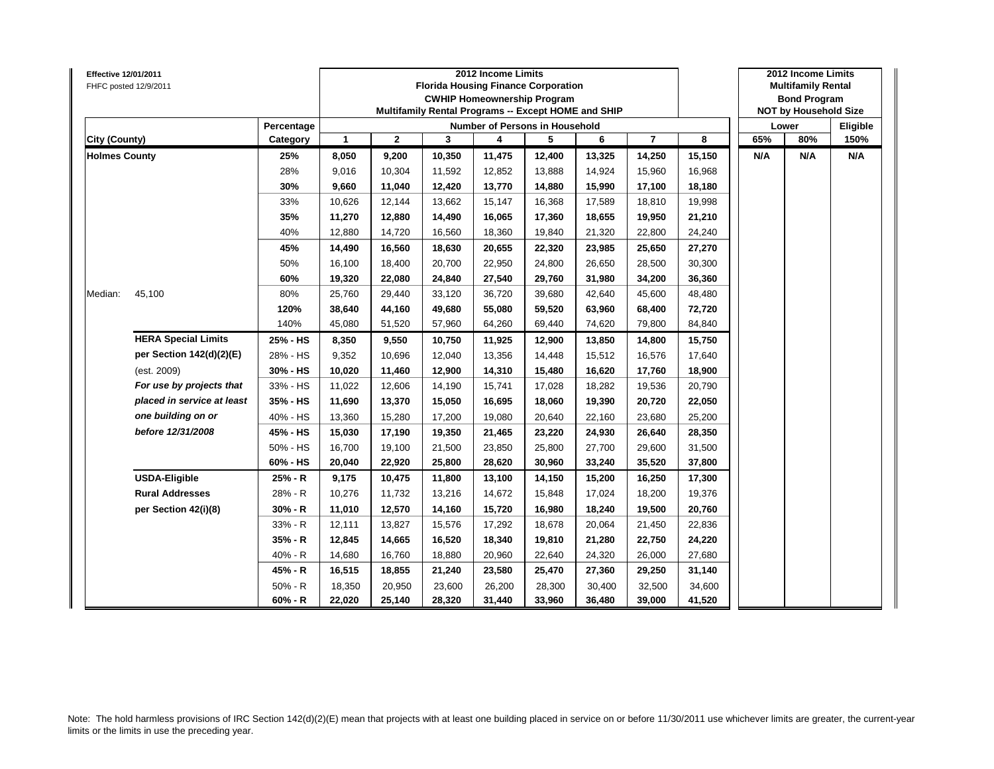| <b>Effective 12/01/2011</b> | FHFC posted 12/9/2011      |            |              |              |        | 2012 Income Limits<br><b>Florida Housing Finance Corporation</b><br><b>CWHIP Homeownership Program</b><br>Multifamily Rental Programs -- Except HOME and SHIP |        |        |                |        |     | 2012 Income Limits<br><b>Multifamily Rental</b><br><b>Bond Program</b><br><b>NOT by Household Size</b> |          |
|-----------------------------|----------------------------|------------|--------------|--------------|--------|---------------------------------------------------------------------------------------------------------------------------------------------------------------|--------|--------|----------------|--------|-----|--------------------------------------------------------------------------------------------------------|----------|
|                             |                            | Percentage |              |              |        | <b>Number of Persons in Household</b>                                                                                                                         |        |        |                |        |     | Lower                                                                                                  | Eligible |
| City (County)               |                            | Category   | $\mathbf{1}$ | $\mathbf{2}$ | 3      | 4                                                                                                                                                             | 5      | 6      | $\overline{7}$ | 8      | 65% | 80%                                                                                                    | 150%     |
| <b>Holmes County</b>        |                            | 25%        | 8,050        | 9,200        | 10,350 | 11,475                                                                                                                                                        | 12,400 | 13,325 | 14,250         | 15,150 | N/A | N/A                                                                                                    | N/A      |
|                             |                            | 28%        | 9,016        | 10,304       | 11,592 | 12,852                                                                                                                                                        | 13,888 | 14,924 | 15,960         | 16,968 |     |                                                                                                        |          |
|                             |                            | 30%        | 9,660        | 11,040       | 12,420 | 13,770                                                                                                                                                        | 14,880 | 15,990 | 17,100         | 18,180 |     |                                                                                                        |          |
|                             |                            | 33%        | 10,626       | 12,144       | 13,662 | 15,147                                                                                                                                                        | 16,368 | 17,589 | 18,810         | 19,998 |     |                                                                                                        |          |
|                             |                            | 35%        | 11,270       | 12,880       | 14,490 | 16,065                                                                                                                                                        | 17,360 | 18,655 | 19,950         | 21,210 |     |                                                                                                        |          |
|                             |                            | 40%        | 12,880       | 14,720       | 16,560 | 18,360                                                                                                                                                        | 19,840 | 21,320 | 22,800         | 24,240 |     |                                                                                                        |          |
|                             |                            | 45%        | 14,490       | 16,560       | 18,630 | 20,655                                                                                                                                                        | 22,320 | 23,985 | 25,650         | 27,270 |     |                                                                                                        |          |
|                             |                            | 50%        | 16,100       | 18,400       | 20,700 | 22,950                                                                                                                                                        | 24,800 | 26,650 | 28,500         | 30,300 |     |                                                                                                        |          |
|                             |                            | 60%        | 19,320       | 22,080       | 24,840 | 27,540                                                                                                                                                        | 29,760 | 31,980 | 34,200         | 36,360 |     |                                                                                                        |          |
| Median:                     | 45,100                     | 80%        | 25,760       | 29,440       | 33,120 | 36,720                                                                                                                                                        | 39,680 | 42,640 | 45,600         | 48,480 |     |                                                                                                        |          |
|                             |                            | 120%       | 38,640       | 44,160       | 49,680 | 55,080                                                                                                                                                        | 59,520 | 63,960 | 68,400         | 72,720 |     |                                                                                                        |          |
|                             |                            | 140%       | 45,080       | 51,520       | 57,960 | 64,260                                                                                                                                                        | 69,440 | 74,620 | 79,800         | 84,840 |     |                                                                                                        |          |
|                             | <b>HERA Special Limits</b> | 25% - HS   | 8,350        | 9,550        | 10,750 | 11,925                                                                                                                                                        | 12,900 | 13,850 | 14,800         | 15,750 |     |                                                                                                        |          |
|                             | per Section 142(d)(2)(E)   | 28% - HS   | 9,352        | 10,696       | 12,040 | 13,356                                                                                                                                                        | 14,448 | 15,512 | 16,576         | 17,640 |     |                                                                                                        |          |
|                             | (est. 2009)                | 30% - HS   | 10,020       | 11,460       | 12,900 | 14,310                                                                                                                                                        | 15,480 | 16,620 | 17,760         | 18,900 |     |                                                                                                        |          |
|                             | For use by projects that   | 33% - HS   | 11,022       | 12,606       | 14,190 | 15,741                                                                                                                                                        | 17,028 | 18,282 | 19,536         | 20,790 |     |                                                                                                        |          |
|                             | placed in service at least | 35% - HS   | 11,690       | 13,370       | 15,050 | 16,695                                                                                                                                                        | 18,060 | 19,390 | 20,720         | 22,050 |     |                                                                                                        |          |
|                             | one building on or         | 40% - HS   | 13,360       | 15,280       | 17,200 | 19,080                                                                                                                                                        | 20,640 | 22,160 | 23,680         | 25,200 |     |                                                                                                        |          |
|                             | before 12/31/2008          | 45% - HS   | 15,030       | 17,190       | 19,350 | 21,465                                                                                                                                                        | 23,220 | 24,930 | 26,640         | 28,350 |     |                                                                                                        |          |
|                             |                            | 50% - HS   | 16,700       | 19,100       | 21,500 | 23,850                                                                                                                                                        | 25,800 | 27,700 | 29,600         | 31,500 |     |                                                                                                        |          |
|                             |                            | 60% - HS   | 20,040       | 22,920       | 25,800 | 28,620                                                                                                                                                        | 30,960 | 33,240 | 35,520         | 37,800 |     |                                                                                                        |          |
|                             | <b>USDA-Eligible</b>       | 25% - R    | 9,175        | 10,475       | 11,800 | 13,100                                                                                                                                                        | 14,150 | 15,200 | 16,250         | 17,300 |     |                                                                                                        |          |
|                             | <b>Rural Addresses</b>     | 28% - R    | 10,276       | 11,732       | 13,216 | 14,672                                                                                                                                                        | 15,848 | 17,024 | 18,200         | 19,376 |     |                                                                                                        |          |
|                             | per Section 42(i)(8)       | $30% - R$  | 11,010       | 12,570       | 14,160 | 15,720                                                                                                                                                        | 16,980 | 18,240 | 19,500         | 20,760 |     |                                                                                                        |          |
|                             |                            | 33% - R    | 12,111       | 13,827       | 15,576 | 17,292                                                                                                                                                        | 18,678 | 20,064 | 21,450         | 22,836 |     |                                                                                                        |          |
|                             |                            | 35% - R    | 12,845       | 14,665       | 16,520 | 18,340                                                                                                                                                        | 19,810 | 21,280 | 22,750         | 24,220 |     |                                                                                                        |          |
|                             |                            | 40% - R    | 14,680       | 16,760       | 18,880 | 20,960                                                                                                                                                        | 22,640 | 24,320 | 26,000         | 27,680 |     |                                                                                                        |          |
|                             |                            | 45% - R    | 16,515       | 18,855       | 21,240 | 23,580                                                                                                                                                        | 25,470 | 27,360 | 29,250         | 31,140 |     |                                                                                                        |          |
|                             |                            | $50% - R$  | 18,350       | 20,950       | 23,600 | 26,200                                                                                                                                                        | 28,300 | 30,400 | 32,500         | 34,600 |     |                                                                                                        |          |
|                             |                            | $60% - R$  | 22,020       | 25,140       | 28,320 | 31,440                                                                                                                                                        | 33,960 | 36,480 | 39,000         | 41,520 |     |                                                                                                        |          |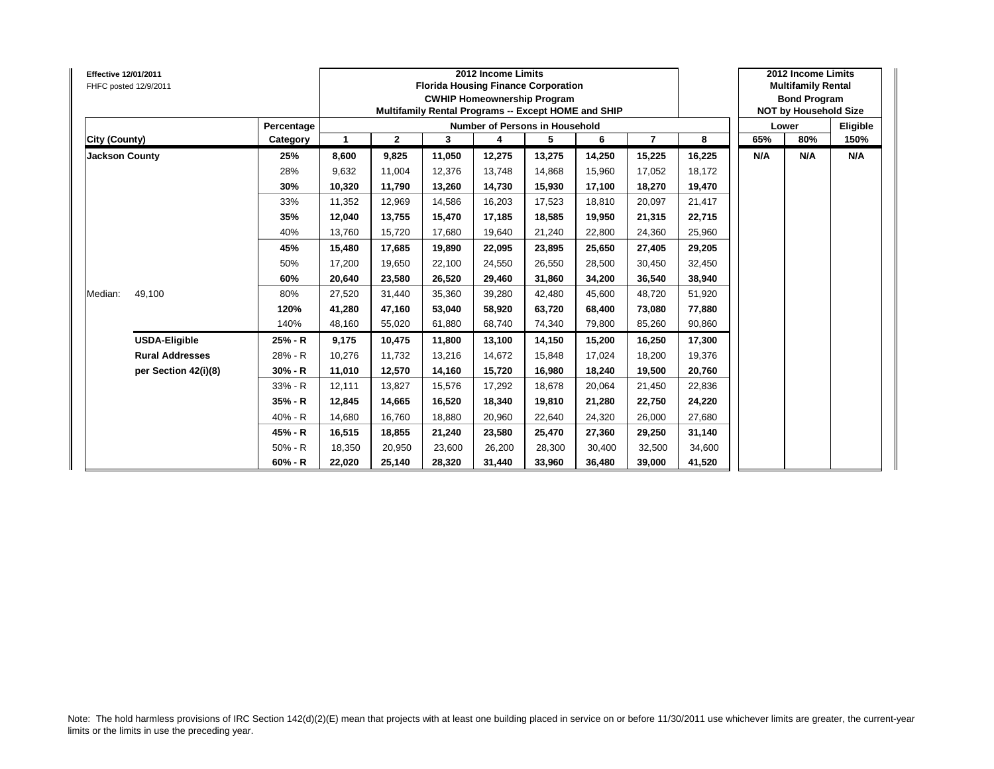| Effective 12/01/2011<br>FHFC posted 12/9/2011 |                      |            |             |              |        | 2012 Income Limits<br><b>Florida Housing Finance Corporation</b><br><b>CWHIP Homeownership Program</b><br>Multifamily Rental Programs -- Except HOME and SHIP |        |        |                |        |     | 2012 Income Limits<br><b>Multifamily Rental</b><br><b>Bond Program</b><br><b>NOT by Household Size</b> |          |
|-----------------------------------------------|----------------------|------------|-------------|--------------|--------|---------------------------------------------------------------------------------------------------------------------------------------------------------------|--------|--------|----------------|--------|-----|--------------------------------------------------------------------------------------------------------|----------|
|                                               |                      | Percentage |             |              |        | Number of Persons in Household                                                                                                                                |        |        |                |        |     | Lower                                                                                                  | Eligible |
| City (County)                                 |                      | Category   | $\mathbf 1$ | $\mathbf{2}$ | 3      | 4                                                                                                                                                             | 5      | 6      | $\overline{7}$ | 8      | 65% | 80%                                                                                                    | 150%     |
| <b>Jackson County</b>                         |                      | 25%        | 8,600       | 9,825        | 11,050 | 12,275                                                                                                                                                        | 13,275 | 14,250 | 15,225         | 16,225 | N/A | N/A                                                                                                    | N/A      |
|                                               |                      | 28%        | 9,632       | 11.004       | 12.376 | 13,748                                                                                                                                                        | 14.868 | 15.960 | 17,052         | 18,172 |     |                                                                                                        |          |
|                                               |                      | 30%        | 10,320      | 11,790       | 13,260 | 14,730                                                                                                                                                        | 15,930 | 17,100 | 18,270         | 19,470 |     |                                                                                                        |          |
|                                               |                      | 33%        | 11,352      | 12,969       | 14,586 | 16,203                                                                                                                                                        | 17,523 | 18,810 | 20,097         | 21,417 |     |                                                                                                        |          |
|                                               |                      | 35%        | 12,040      | 13,755       | 15,470 | 17,185                                                                                                                                                        | 18,585 | 19.950 | 21,315         | 22,715 |     |                                                                                                        |          |
|                                               |                      | 40%        | 13,760      | 15.720       | 17.680 | 19,640                                                                                                                                                        | 21,240 | 22.800 | 24,360         | 25,960 |     |                                                                                                        |          |
|                                               |                      | 45%        | 15.480      | 17,685       | 19.890 | 22,095                                                                                                                                                        | 23,895 | 25.650 | 27,405         | 29,205 |     |                                                                                                        |          |
|                                               |                      | 50%        | 17,200      | 19,650       | 22,100 | 24,550                                                                                                                                                        | 26,550 | 28,500 | 30,450         | 32,450 |     |                                                                                                        |          |
|                                               |                      | 60%        | 20,640      | 23,580       | 26,520 | 29,460                                                                                                                                                        | 31,860 | 34,200 | 36,540         | 38,940 |     |                                                                                                        |          |
| 49,100<br>Median:                             |                      | 80%        | 27,520      | 31,440       | 35,360 | 39,280                                                                                                                                                        | 42,480 | 45.600 | 48,720         | 51,920 |     |                                                                                                        |          |
|                                               |                      | 120%       | 41,280      | 47,160       | 53.040 | 58,920                                                                                                                                                        | 63,720 | 68.400 | 73,080         | 77,880 |     |                                                                                                        |          |
|                                               |                      | 140%       | 48.160      | 55,020       | 61.880 | 68,740                                                                                                                                                        | 74,340 | 79.800 | 85,260         | 90,860 |     |                                                                                                        |          |
| <b>USDA-Eligible</b>                          |                      | 25% - R    | 9,175       | 10,475       | 11,800 | 13,100                                                                                                                                                        | 14,150 | 15,200 | 16,250         | 17,300 |     |                                                                                                        |          |
| <b>Rural Addresses</b>                        |                      | 28% - R    | 10,276      | 11.732       | 13,216 | 14,672                                                                                                                                                        | 15,848 | 17.024 | 18,200         | 19,376 |     |                                                                                                        |          |
|                                               | per Section 42(i)(8) | $30% - R$  | 11,010      | 12,570       | 14,160 | 15,720                                                                                                                                                        | 16,980 | 18.240 | 19,500         | 20,760 |     |                                                                                                        |          |
|                                               |                      | 33% - R    | 12.111      | 13,827       | 15.576 | 17,292                                                                                                                                                        | 18,678 | 20.064 | 21,450         | 22,836 |     |                                                                                                        |          |
|                                               |                      | 35% - R    | 12,845      | 14,665       | 16,520 | 18,340                                                                                                                                                        | 19,810 | 21,280 | 22,750         | 24,220 |     |                                                                                                        |          |
|                                               |                      | 40% - R    | 14,680      | 16,760       | 18,880 | 20,960                                                                                                                                                        | 22,640 | 24,320 | 26,000         | 27,680 |     |                                                                                                        |          |
|                                               |                      | 45% - R    | 16,515      | 18,855       | 21,240 | 23,580                                                                                                                                                        | 25,470 | 27,360 | 29,250         | 31,140 |     |                                                                                                        |          |
|                                               |                      | $50% - R$  | 18,350      | 20,950       | 23,600 | 26,200                                                                                                                                                        | 28,300 | 30.400 | 32,500         | 34,600 |     |                                                                                                        |          |
|                                               |                      | $60% - R$  | 22,020      | 25,140       | 28,320 | 31,440                                                                                                                                                        | 33,960 | 36,480 | 39,000         | 41,520 |     |                                                                                                        |          |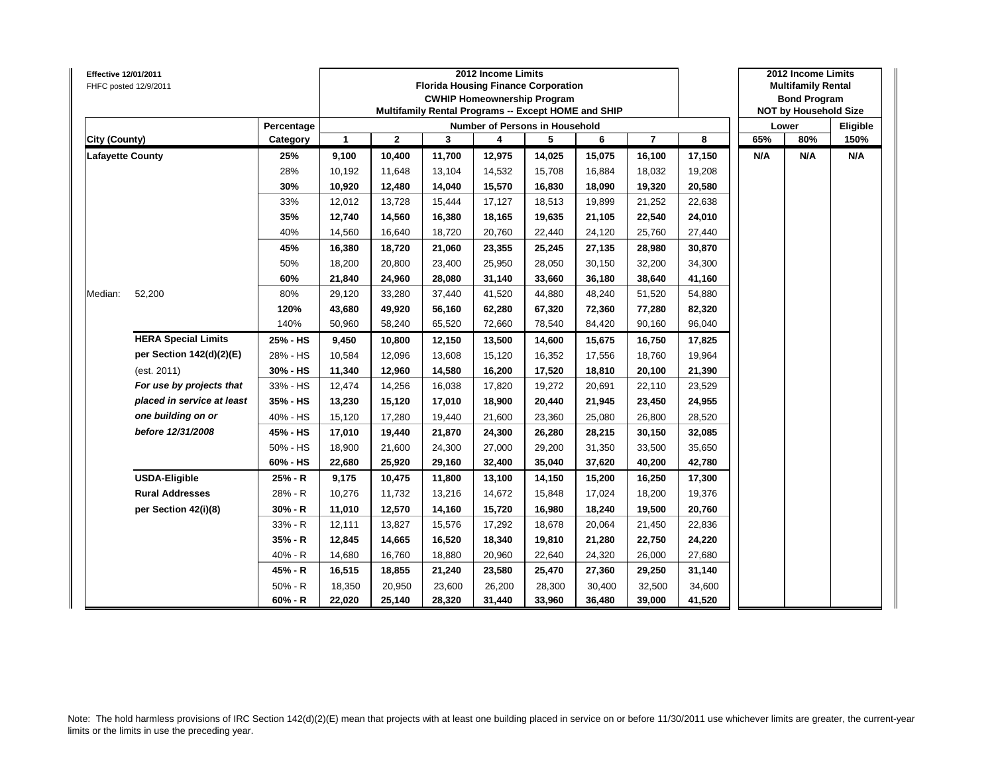| Effective 12/01/2011    | FHFC posted 12/9/2011      |            |              |              |        | 2012 Income Limits<br><b>Florida Housing Finance Corporation</b><br><b>CWHIP Homeownership Program</b><br>Multifamily Rental Programs -- Except HOME and SHIP |        |        |                |        |     | 2012 Income Limits<br><b>Multifamily Rental</b><br><b>Bond Program</b><br><b>NOT by Household Size</b> |          |
|-------------------------|----------------------------|------------|--------------|--------------|--------|---------------------------------------------------------------------------------------------------------------------------------------------------------------|--------|--------|----------------|--------|-----|--------------------------------------------------------------------------------------------------------|----------|
|                         |                            | Percentage |              |              |        | Number of Persons in Household                                                                                                                                |        |        |                |        |     | Lower                                                                                                  | Eligible |
| <b>City (County)</b>    |                            | Category   | $\mathbf{1}$ | $\mathbf{2}$ | 3      | 4                                                                                                                                                             | 5      | 6      | $\overline{7}$ | 8      | 65% | 80%                                                                                                    | 150%     |
| <b>Lafayette County</b> |                            | 25%        | 9,100        | 10,400       | 11,700 | 12,975                                                                                                                                                        | 14,025 | 15,075 | 16,100         | 17,150 | N/A | N/A                                                                                                    | N/A      |
|                         |                            | 28%        | 10,192       | 11,648       | 13,104 | 14,532                                                                                                                                                        | 15,708 | 16,884 | 18,032         | 19,208 |     |                                                                                                        |          |
|                         |                            | 30%        | 10,920       | 12,480       | 14,040 | 15,570                                                                                                                                                        | 16,830 | 18,090 | 19,320         | 20,580 |     |                                                                                                        |          |
|                         |                            | 33%        | 12,012       | 13,728       | 15,444 | 17,127                                                                                                                                                        | 18,513 | 19,899 | 21,252         | 22,638 |     |                                                                                                        |          |
|                         |                            | 35%        | 12,740       | 14,560       | 16,380 | 18,165                                                                                                                                                        | 19,635 | 21,105 | 22,540         | 24,010 |     |                                                                                                        |          |
|                         |                            | 40%        | 14,560       | 16,640       | 18,720 | 20,760                                                                                                                                                        | 22,440 | 24,120 | 25,760         | 27,440 |     |                                                                                                        |          |
|                         |                            | 45%        | 16,380       | 18,720       | 21,060 | 23,355                                                                                                                                                        | 25,245 | 27,135 | 28,980         | 30,870 |     |                                                                                                        |          |
|                         |                            | 50%        | 18,200       | 20,800       | 23,400 | 25,950                                                                                                                                                        | 28,050 | 30,150 | 32,200         | 34,300 |     |                                                                                                        |          |
|                         |                            | 60%        | 21,840       | 24,960       | 28,080 | 31,140                                                                                                                                                        | 33,660 | 36,180 | 38,640         | 41,160 |     |                                                                                                        |          |
| Median:                 | 52,200                     | 80%        | 29,120       | 33,280       | 37,440 | 41,520                                                                                                                                                        | 44,880 | 48,240 | 51,520         | 54,880 |     |                                                                                                        |          |
|                         |                            | 120%       | 43,680       | 49,920       | 56,160 | 62,280                                                                                                                                                        | 67,320 | 72,360 | 77,280         | 82,320 |     |                                                                                                        |          |
|                         |                            | 140%       | 50,960       | 58,240       | 65,520 | 72,660                                                                                                                                                        | 78,540 | 84,420 | 90,160         | 96,040 |     |                                                                                                        |          |
|                         | <b>HERA Special Limits</b> | 25% - HS   | 9,450        | 10,800       | 12,150 | 13,500                                                                                                                                                        | 14,600 | 15,675 | 16,750         | 17,825 |     |                                                                                                        |          |
|                         | per Section 142(d)(2)(E)   | 28% - HS   | 10,584       | 12,096       | 13,608 | 15,120                                                                                                                                                        | 16,352 | 17,556 | 18,760         | 19,964 |     |                                                                                                        |          |
|                         | (est. 2011)                | 30% - HS   | 11,340       | 12,960       | 14,580 | 16,200                                                                                                                                                        | 17,520 | 18,810 | 20,100         | 21,390 |     |                                                                                                        |          |
|                         | For use by projects that   | 33% - HS   | 12,474       | 14,256       | 16,038 | 17,820                                                                                                                                                        | 19,272 | 20,691 | 22,110         | 23,529 |     |                                                                                                        |          |
|                         | placed in service at least | 35% - HS   | 13,230       | 15,120       | 17,010 | 18,900                                                                                                                                                        | 20,440 | 21,945 | 23,450         | 24,955 |     |                                                                                                        |          |
|                         | one building on or         | 40% - HS   | 15,120       | 17,280       | 19,440 | 21,600                                                                                                                                                        | 23,360 | 25,080 | 26,800         | 28,520 |     |                                                                                                        |          |
|                         | before 12/31/2008          | 45% - HS   | 17,010       | 19,440       | 21,870 | 24,300                                                                                                                                                        | 26,280 | 28,215 | 30,150         | 32,085 |     |                                                                                                        |          |
|                         |                            | 50% - HS   | 18,900       | 21,600       | 24,300 | 27,000                                                                                                                                                        | 29,200 | 31,350 | 33,500         | 35,650 |     |                                                                                                        |          |
|                         |                            | 60% - HS   | 22,680       | 25,920       | 29,160 | 32,400                                                                                                                                                        | 35,040 | 37,620 | 40,200         | 42,780 |     |                                                                                                        |          |
|                         | <b>USDA-Eligible</b>       | 25% - R    | 9,175        | 10,475       | 11,800 | 13,100                                                                                                                                                        | 14,150 | 15,200 | 16,250         | 17,300 |     |                                                                                                        |          |
|                         | <b>Rural Addresses</b>     | 28% - R    | 10,276       | 11,732       | 13,216 | 14,672                                                                                                                                                        | 15,848 | 17,024 | 18,200         | 19,376 |     |                                                                                                        |          |
|                         | per Section 42(i)(8)       | $30% - R$  | 11,010       | 12,570       | 14,160 | 15,720                                                                                                                                                        | 16,980 | 18,240 | 19,500         | 20,760 |     |                                                                                                        |          |
|                         |                            | 33% - R    | 12,111       | 13,827       | 15,576 | 17,292                                                                                                                                                        | 18,678 | 20,064 | 21,450         | 22,836 |     |                                                                                                        |          |
|                         |                            | 35% - R    | 12,845       | 14,665       | 16,520 | 18,340                                                                                                                                                        | 19,810 | 21,280 | 22,750         | 24,220 |     |                                                                                                        |          |
|                         |                            | 40% - R    | 14,680       | 16,760       | 18,880 | 20,960                                                                                                                                                        | 22,640 | 24,320 | 26,000         | 27,680 |     |                                                                                                        |          |
|                         |                            | 45% - R    | 16,515       | 18,855       | 21,240 | 23,580                                                                                                                                                        | 25,470 | 27,360 | 29,250         | 31,140 |     |                                                                                                        |          |
|                         |                            | $50% - R$  | 18,350       | 20,950       | 23,600 | 26,200                                                                                                                                                        | 28,300 | 30,400 | 32,500         | 34,600 |     |                                                                                                        |          |
|                         |                            | $60% - R$  | 22,020       | 25,140       | 28,320 | 31,440                                                                                                                                                        | 33,960 | 36,480 | 39,000         | 41,520 |     |                                                                                                        |          |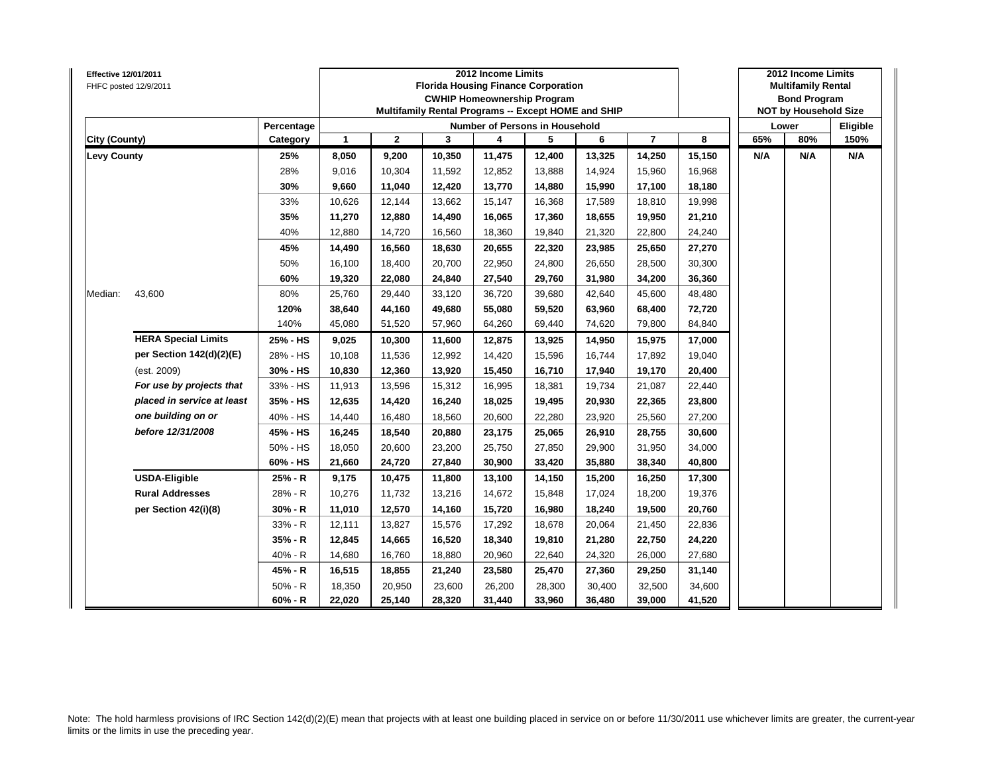| <b>Effective 12/01/2011</b> | FHFC posted 12/9/2011      |            |              |              | <b>Florida Housing Finance Corporation</b><br>Multifamily Rental Programs -- Except HOME and SHIP | 2012 Income Limits | <b>CWHIP Homeownership Program</b>    |        |                |        |     | 2012 Income Limits<br><b>Multifamily Rental</b><br><b>Bond Program</b><br><b>NOT by Household Size</b> |          |
|-----------------------------|----------------------------|------------|--------------|--------------|---------------------------------------------------------------------------------------------------|--------------------|---------------------------------------|--------|----------------|--------|-----|--------------------------------------------------------------------------------------------------------|----------|
|                             |                            | Percentage |              |              |                                                                                                   |                    | <b>Number of Persons in Household</b> |        |                |        |     | Lower                                                                                                  | Eligible |
| City (County)               |                            | Category   | $\mathbf{1}$ | $\mathbf{2}$ | 3                                                                                                 | 4                  | 5                                     | 6      | $\overline{7}$ | 8      | 65% | 80%                                                                                                    | 150%     |
| <b>Levy County</b>          |                            | 25%        | 8,050        | 9,200        | 10,350                                                                                            | 11,475             | 12,400                                | 13,325 | 14,250         | 15,150 | N/A | N/A                                                                                                    | N/A      |
|                             |                            | 28%        | 9,016        | 10,304       | 11,592                                                                                            | 12,852             | 13,888                                | 14,924 | 15,960         | 16,968 |     |                                                                                                        |          |
|                             |                            | 30%        | 9,660        | 11,040       | 12,420                                                                                            | 13,770             | 14,880                                | 15,990 | 17,100         | 18,180 |     |                                                                                                        |          |
|                             |                            | 33%        | 10,626       | 12,144       | 13,662                                                                                            | 15,147             | 16,368                                | 17,589 | 18,810         | 19,998 |     |                                                                                                        |          |
|                             |                            | 35%        | 11,270       | 12,880       | 14,490                                                                                            | 16,065             | 17,360                                | 18,655 | 19,950         | 21,210 |     |                                                                                                        |          |
|                             |                            | 40%        | 12,880       | 14,720       | 16,560                                                                                            | 18,360             | 19,840                                | 21,320 | 22,800         | 24,240 |     |                                                                                                        |          |
|                             |                            | 45%        | 14,490       | 16,560       | 18,630                                                                                            | 20,655             | 22,320                                | 23,985 | 25,650         | 27,270 |     |                                                                                                        |          |
|                             |                            | 50%        | 16,100       | 18,400       | 20,700                                                                                            | 22,950             | 24,800                                | 26,650 | 28,500         | 30,300 |     |                                                                                                        |          |
|                             |                            | 60%        | 19,320       | 22,080       | 24,840                                                                                            | 27,540             | 29,760                                | 31,980 | 34,200         | 36,360 |     |                                                                                                        |          |
| Median:                     | 43,600                     | 80%        | 25,760       | 29,440       | 33,120                                                                                            | 36,720             | 39,680                                | 42,640 | 45,600         | 48,480 |     |                                                                                                        |          |
|                             |                            | 120%       | 38,640       | 44,160       | 49,680                                                                                            | 55,080             | 59,520                                | 63,960 | 68,400         | 72,720 |     |                                                                                                        |          |
|                             |                            | 140%       | 45,080       | 51,520       | 57,960                                                                                            | 64,260             | 69,440                                | 74,620 | 79,800         | 84,840 |     |                                                                                                        |          |
|                             | <b>HERA Special Limits</b> | 25% - HS   | 9,025        | 10,300       | 11,600                                                                                            | 12,875             | 13,925                                | 14,950 | 15,975         | 17,000 |     |                                                                                                        |          |
|                             | per Section 142(d)(2)(E)   | 28% - HS   | 10,108       | 11,536       | 12,992                                                                                            | 14,420             | 15,596                                | 16,744 | 17,892         | 19,040 |     |                                                                                                        |          |
|                             | (est. 2009)                | 30% - HS   | 10,830       | 12,360       | 13,920                                                                                            | 15,450             | 16,710                                | 17,940 | 19,170         | 20,400 |     |                                                                                                        |          |
|                             | For use by projects that   | 33% - HS   | 11,913       | 13,596       | 15,312                                                                                            | 16,995             | 18,381                                | 19,734 | 21,087         | 22,440 |     |                                                                                                        |          |
|                             | placed in service at least | 35% - HS   | 12,635       | 14,420       | 16,240                                                                                            | 18,025             | 19,495                                | 20,930 | 22,365         | 23,800 |     |                                                                                                        |          |
|                             | one building on or         | 40% - HS   | 14,440       | 16,480       | 18,560                                                                                            | 20,600             | 22,280                                | 23,920 | 25,560         | 27,200 |     |                                                                                                        |          |
|                             | before 12/31/2008          | 45% - HS   | 16,245       | 18,540       | 20,880                                                                                            | 23,175             | 25,065                                | 26,910 | 28,755         | 30,600 |     |                                                                                                        |          |
|                             |                            | 50% - HS   | 18,050       | 20,600       | 23,200                                                                                            | 25,750             | 27,850                                | 29,900 | 31,950         | 34,000 |     |                                                                                                        |          |
|                             |                            | 60% - HS   | 21,660       | 24,720       | 27,840                                                                                            | 30,900             | 33,420                                | 35,880 | 38,340         | 40,800 |     |                                                                                                        |          |
|                             | <b>USDA-Eligible</b>       | 25% - R    | 9,175        | 10,475       | 11,800                                                                                            | 13,100             | 14,150                                | 15,200 | 16,250         | 17,300 |     |                                                                                                        |          |
|                             | <b>Rural Addresses</b>     | 28% - R    | 10,276       | 11,732       | 13,216                                                                                            | 14,672             | 15,848                                | 17,024 | 18,200         | 19,376 |     |                                                                                                        |          |
|                             | per Section 42(i)(8)       | $30% - R$  | 11,010       | 12,570       | 14,160                                                                                            | 15,720             | 16,980                                | 18,240 | 19,500         | 20,760 |     |                                                                                                        |          |
|                             |                            | 33% - R    | 12,111       | 13,827       | 15,576                                                                                            | 17,292             | 18,678                                | 20,064 | 21,450         | 22,836 |     |                                                                                                        |          |
|                             |                            | 35% - R    | 12,845       | 14,665       | 16,520                                                                                            | 18,340             | 19,810                                | 21,280 | 22,750         | 24,220 |     |                                                                                                        |          |
|                             |                            | 40% - R    | 14,680       | 16,760       | 18,880                                                                                            | 20,960             | 22,640                                | 24,320 | 26,000         | 27,680 |     |                                                                                                        |          |
|                             |                            | 45% - R    | 16,515       | 18,855       | 21,240                                                                                            | 23,580             | 25,470                                | 27,360 | 29,250         | 31,140 |     |                                                                                                        |          |
|                             |                            | $50% - R$  | 18,350       | 20,950       | 23,600                                                                                            | 26,200             | 28,300                                | 30,400 | 32,500         | 34,600 |     |                                                                                                        |          |
|                             |                            | $60% - R$  | 22,020       | 25,140       | 28,320                                                                                            | 31,440             | 33,960                                | 36,480 | 39,000         | 41,520 |     |                                                                                                        |          |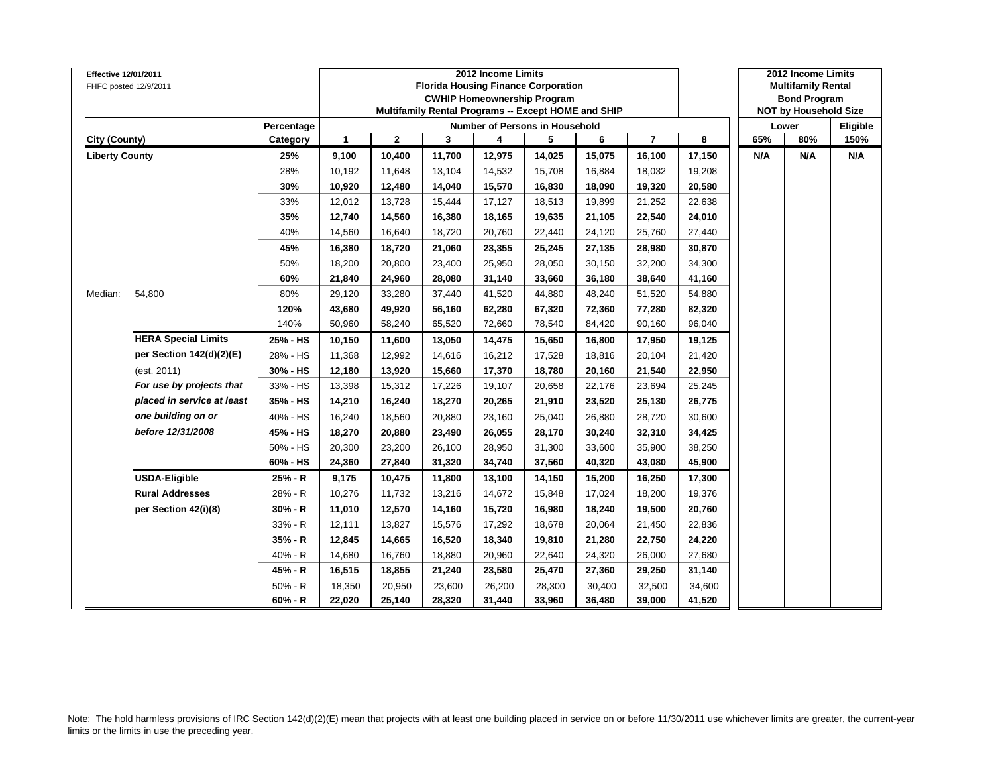| <b>Effective 12/01/2011</b> | FHFC posted 12/9/2011      |            |              |              |        | 2012 Income Limits<br><b>Florida Housing Finance Corporation</b><br><b>CWHIP Homeownership Program</b><br>Multifamily Rental Programs -- Except HOME and SHIP |        |        |                |        |     | 2012 Income Limits<br><b>Multifamily Rental</b><br><b>Bond Program</b><br><b>NOT by Household Size</b> |          |
|-----------------------------|----------------------------|------------|--------------|--------------|--------|---------------------------------------------------------------------------------------------------------------------------------------------------------------|--------|--------|----------------|--------|-----|--------------------------------------------------------------------------------------------------------|----------|
|                             |                            | Percentage |              |              |        | <b>Number of Persons in Household</b>                                                                                                                         |        |        |                |        |     | Lower                                                                                                  | Eligible |
| City (County)               |                            | Category   | $\mathbf{1}$ | $\mathbf{2}$ | 3      | 4                                                                                                                                                             | 5      | 6      | $\overline{7}$ | 8      | 65% | 80%                                                                                                    | 150%     |
| <b>Liberty County</b>       |                            | 25%        | 9,100        | 10,400       | 11,700 | 12,975                                                                                                                                                        | 14,025 | 15,075 | 16,100         | 17,150 | N/A | N/A                                                                                                    | N/A      |
|                             |                            | 28%        | 10,192       | 11,648       | 13,104 | 14,532                                                                                                                                                        | 15,708 | 16,884 | 18,032         | 19,208 |     |                                                                                                        |          |
|                             |                            | 30%        | 10,920       | 12,480       | 14,040 | 15,570                                                                                                                                                        | 16,830 | 18,090 | 19,320         | 20,580 |     |                                                                                                        |          |
|                             |                            | 33%        | 12,012       | 13,728       | 15,444 | 17,127                                                                                                                                                        | 18,513 | 19,899 | 21,252         | 22,638 |     |                                                                                                        |          |
|                             |                            | 35%        | 12,740       | 14,560       | 16,380 | 18,165                                                                                                                                                        | 19,635 | 21,105 | 22,540         | 24,010 |     |                                                                                                        |          |
|                             |                            | 40%        | 14,560       | 16,640       | 18,720 | 20,760                                                                                                                                                        | 22,440 | 24,120 | 25,760         | 27,440 |     |                                                                                                        |          |
|                             |                            | 45%        | 16,380       | 18,720       | 21,060 | 23,355                                                                                                                                                        | 25,245 | 27,135 | 28,980         | 30,870 |     |                                                                                                        |          |
|                             |                            | 50%        | 18,200       | 20,800       | 23,400 | 25,950                                                                                                                                                        | 28,050 | 30,150 | 32,200         | 34,300 |     |                                                                                                        |          |
|                             |                            | 60%        | 21,840       | 24,960       | 28,080 | 31,140                                                                                                                                                        | 33,660 | 36,180 | 38,640         | 41,160 |     |                                                                                                        |          |
| Median:                     | 54,800                     | 80%        | 29,120       | 33,280       | 37,440 | 41,520                                                                                                                                                        | 44,880 | 48,240 | 51,520         | 54,880 |     |                                                                                                        |          |
|                             |                            | 120%       | 43,680       | 49,920       | 56,160 | 62,280                                                                                                                                                        | 67,320 | 72,360 | 77,280         | 82,320 |     |                                                                                                        |          |
|                             |                            | 140%       | 50,960       | 58,240       | 65,520 | 72,660                                                                                                                                                        | 78,540 | 84,420 | 90,160         | 96,040 |     |                                                                                                        |          |
|                             | <b>HERA Special Limits</b> | 25% - HS   | 10,150       | 11,600       | 13,050 | 14,475                                                                                                                                                        | 15,650 | 16,800 | 17,950         | 19,125 |     |                                                                                                        |          |
|                             | per Section 142(d)(2)(E)   | 28% - HS   | 11,368       | 12,992       | 14,616 | 16,212                                                                                                                                                        | 17,528 | 18,816 | 20,104         | 21,420 |     |                                                                                                        |          |
|                             | (est. 2011)                | 30% - HS   | 12,180       | 13,920       | 15,660 | 17,370                                                                                                                                                        | 18,780 | 20,160 | 21,540         | 22,950 |     |                                                                                                        |          |
|                             | For use by projects that   | 33% - HS   | 13,398       | 15,312       | 17,226 | 19,107                                                                                                                                                        | 20,658 | 22,176 | 23,694         | 25,245 |     |                                                                                                        |          |
|                             | placed in service at least | 35% - HS   | 14,210       | 16,240       | 18,270 | 20,265                                                                                                                                                        | 21,910 | 23,520 | 25,130         | 26,775 |     |                                                                                                        |          |
|                             | one building on or         | 40% - HS   | 16,240       | 18,560       | 20,880 | 23,160                                                                                                                                                        | 25,040 | 26,880 | 28,720         | 30,600 |     |                                                                                                        |          |
|                             | before 12/31/2008          | 45% - HS   | 18,270       | 20,880       | 23,490 | 26,055                                                                                                                                                        | 28,170 | 30,240 | 32,310         | 34,425 |     |                                                                                                        |          |
|                             |                            | 50% - HS   | 20,300       | 23,200       | 26,100 | 28,950                                                                                                                                                        | 31,300 | 33,600 | 35,900         | 38,250 |     |                                                                                                        |          |
|                             |                            | 60% - HS   | 24,360       | 27,840       | 31,320 | 34,740                                                                                                                                                        | 37,560 | 40,320 | 43,080         | 45,900 |     |                                                                                                        |          |
|                             | <b>USDA-Eligible</b>       | 25% - R    | 9,175        | 10,475       | 11,800 | 13,100                                                                                                                                                        | 14,150 | 15,200 | 16,250         | 17,300 |     |                                                                                                        |          |
|                             | <b>Rural Addresses</b>     | 28% - R    | 10,276       | 11,732       | 13,216 | 14,672                                                                                                                                                        | 15,848 | 17,024 | 18,200         | 19,376 |     |                                                                                                        |          |
|                             | per Section 42(i)(8)       | $30% - R$  | 11,010       | 12,570       | 14,160 | 15,720                                                                                                                                                        | 16,980 | 18,240 | 19,500         | 20,760 |     |                                                                                                        |          |
|                             |                            | 33% - R    | 12,111       | 13,827       | 15,576 | 17,292                                                                                                                                                        | 18,678 | 20,064 | 21,450         | 22,836 |     |                                                                                                        |          |
|                             |                            | 35% - R    | 12,845       | 14,665       | 16,520 | 18,340                                                                                                                                                        | 19,810 | 21,280 | 22,750         | 24,220 |     |                                                                                                        |          |
|                             |                            | 40% - R    | 14,680       | 16,760       | 18,880 | 20,960                                                                                                                                                        | 22,640 | 24,320 | 26,000         | 27,680 |     |                                                                                                        |          |
|                             |                            | 45% - R    | 16,515       | 18,855       | 21,240 | 23,580                                                                                                                                                        | 25,470 | 27,360 | 29,250         | 31,140 |     |                                                                                                        |          |
|                             |                            | $50% - R$  | 18,350       | 20,950       | 23,600 | 26,200                                                                                                                                                        | 28,300 | 30,400 | 32,500         | 34,600 |     |                                                                                                        |          |
|                             |                            | $60% - R$  | 22,020       | 25,140       | 28,320 | 31,440                                                                                                                                                        | 33,960 | 36,480 | 39,000         | 41,520 |     |                                                                                                        |          |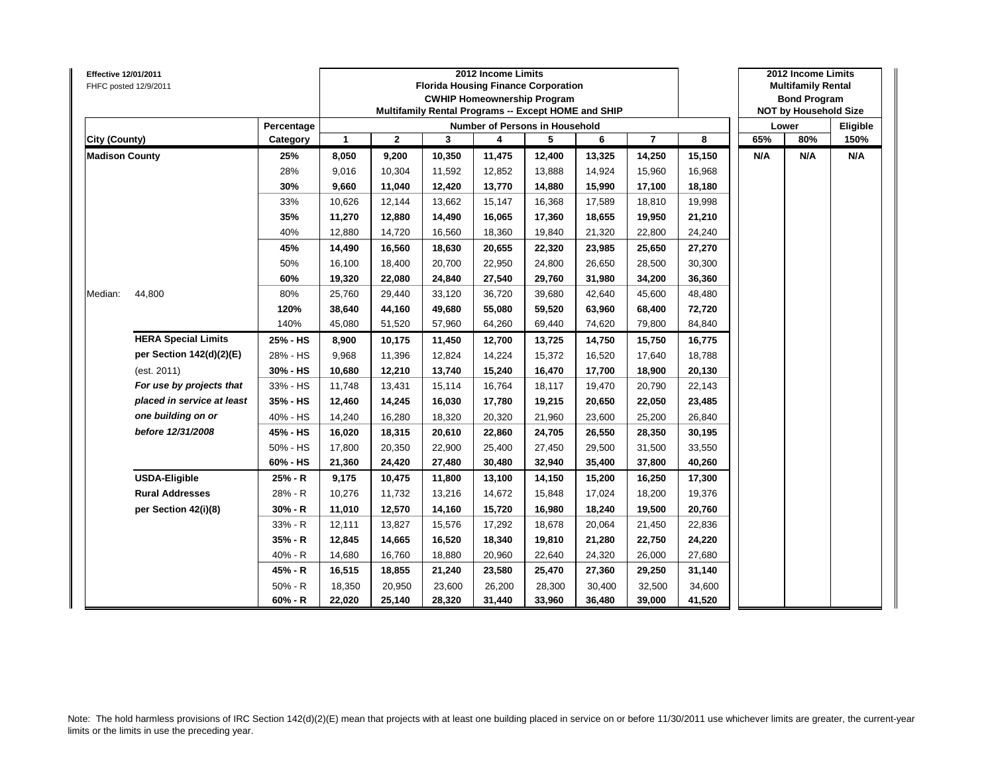| Effective 12/01/2011  | FHFC posted 12/9/2011      |            |              |              |        | 2012 Income Limits<br><b>Florida Housing Finance Corporation</b><br><b>CWHIP Homeownership Program</b><br>Multifamily Rental Programs -- Except HOME and SHIP |        |        |                |        |     | 2012 Income Limits<br><b>Multifamily Rental</b><br><b>Bond Program</b><br><b>NOT by Household Size</b> |          |
|-----------------------|----------------------------|------------|--------------|--------------|--------|---------------------------------------------------------------------------------------------------------------------------------------------------------------|--------|--------|----------------|--------|-----|--------------------------------------------------------------------------------------------------------|----------|
|                       |                            | Percentage |              |              |        | Number of Persons in Household                                                                                                                                |        |        |                |        |     | Lower                                                                                                  | Eligible |
| City (County)         |                            | Category   | $\mathbf{1}$ | $\mathbf{2}$ | 3      | 4                                                                                                                                                             | 5      | 6      | $\overline{7}$ | 8      | 65% | 80%                                                                                                    | 150%     |
| <b>Madison County</b> |                            | 25%        | 8,050        | 9,200        | 10,350 | 11,475                                                                                                                                                        | 12,400 | 13,325 | 14,250         | 15,150 | N/A | N/A                                                                                                    | N/A      |
|                       |                            | 28%        | 9,016        | 10,304       | 11,592 | 12,852                                                                                                                                                        | 13,888 | 14,924 | 15,960         | 16,968 |     |                                                                                                        |          |
|                       |                            | 30%        | 9,660        | 11,040       | 12,420 | 13,770                                                                                                                                                        | 14,880 | 15,990 | 17,100         | 18,180 |     |                                                                                                        |          |
|                       |                            | 33%        | 10,626       | 12,144       | 13,662 | 15,147                                                                                                                                                        | 16,368 | 17,589 | 18,810         | 19,998 |     |                                                                                                        |          |
|                       |                            | 35%        | 11,270       | 12,880       | 14,490 | 16,065                                                                                                                                                        | 17,360 | 18,655 | 19,950         | 21,210 |     |                                                                                                        |          |
|                       |                            | 40%        | 12,880       | 14,720       | 16,560 | 18,360                                                                                                                                                        | 19,840 | 21,320 | 22,800         | 24,240 |     |                                                                                                        |          |
|                       |                            | 45%        | 14,490       | 16,560       | 18,630 | 20,655                                                                                                                                                        | 22,320 | 23,985 | 25,650         | 27,270 |     |                                                                                                        |          |
|                       |                            | 50%        | 16,100       | 18,400       | 20,700 | 22,950                                                                                                                                                        | 24,800 | 26,650 | 28,500         | 30,300 |     |                                                                                                        |          |
|                       |                            | 60%        | 19,320       | 22,080       | 24,840 | 27,540                                                                                                                                                        | 29,760 | 31,980 | 34,200         | 36,360 |     |                                                                                                        |          |
| Median:               | 44,800                     | 80%        | 25,760       | 29,440       | 33,120 | 36,720                                                                                                                                                        | 39,680 | 42,640 | 45,600         | 48,480 |     |                                                                                                        |          |
|                       |                            | 120%       | 38,640       | 44,160       | 49,680 | 55,080                                                                                                                                                        | 59,520 | 63,960 | 68,400         | 72,720 |     |                                                                                                        |          |
|                       |                            | 140%       | 45,080       | 51,520       | 57,960 | 64,260                                                                                                                                                        | 69,440 | 74,620 | 79,800         | 84,840 |     |                                                                                                        |          |
|                       | <b>HERA Special Limits</b> | 25% - HS   | 8,900        | 10,175       | 11,450 | 12,700                                                                                                                                                        | 13,725 | 14,750 | 15,750         | 16,775 |     |                                                                                                        |          |
|                       | per Section 142(d)(2)(E)   | 28% - HS   | 9,968        | 11,396       | 12,824 | 14,224                                                                                                                                                        | 15,372 | 16,520 | 17,640         | 18,788 |     |                                                                                                        |          |
|                       | (est. 2011)                | 30% - HS   | 10,680       | 12,210       | 13,740 | 15,240                                                                                                                                                        | 16,470 | 17,700 | 18,900         | 20,130 |     |                                                                                                        |          |
|                       | For use by projects that   | 33% - HS   | 11,748       | 13,431       | 15,114 | 16,764                                                                                                                                                        | 18,117 | 19,470 | 20,790         | 22,143 |     |                                                                                                        |          |
|                       | placed in service at least | 35% - HS   | 12,460       | 14,245       | 16,030 | 17,780                                                                                                                                                        | 19,215 | 20,650 | 22,050         | 23,485 |     |                                                                                                        |          |
|                       | one building on or         | 40% - HS   | 14,240       | 16,280       | 18,320 | 20,320                                                                                                                                                        | 21,960 | 23,600 | 25,200         | 26,840 |     |                                                                                                        |          |
|                       | before 12/31/2008          | 45% - HS   | 16,020       | 18,315       | 20,610 | 22,860                                                                                                                                                        | 24,705 | 26,550 | 28,350         | 30,195 |     |                                                                                                        |          |
|                       |                            | 50% - HS   | 17,800       | 20,350       | 22,900 | 25,400                                                                                                                                                        | 27,450 | 29.500 | 31,500         | 33,550 |     |                                                                                                        |          |
|                       |                            | 60% - HS   | 21,360       | 24,420       | 27,480 | 30,480                                                                                                                                                        | 32,940 | 35,400 | 37,800         | 40,260 |     |                                                                                                        |          |
|                       | <b>USDA-Eligible</b>       | 25% - R    | 9,175        | 10,475       | 11,800 | 13,100                                                                                                                                                        | 14,150 | 15,200 | 16,250         | 17,300 |     |                                                                                                        |          |
|                       | <b>Rural Addresses</b>     | 28% - R    | 10,276       | 11,732       | 13,216 | 14,672                                                                                                                                                        | 15,848 | 17,024 | 18,200         | 19,376 |     |                                                                                                        |          |
|                       | per Section 42(i)(8)       | 30% - R    | 11,010       | 12,570       | 14,160 | 15,720                                                                                                                                                        | 16,980 | 18,240 | 19,500         | 20,760 |     |                                                                                                        |          |
|                       |                            | 33% - R    | 12,111       | 13,827       | 15,576 | 17,292                                                                                                                                                        | 18,678 | 20,064 | 21,450         | 22,836 |     |                                                                                                        |          |
|                       |                            | 35% - R    | 12,845       | 14,665       | 16,520 | 18,340                                                                                                                                                        | 19,810 | 21,280 | 22,750         | 24,220 |     |                                                                                                        |          |
|                       |                            | $40% - R$  | 14,680       | 16,760       | 18,880 | 20,960                                                                                                                                                        | 22,640 | 24,320 | 26,000         | 27,680 |     |                                                                                                        |          |
|                       |                            | 45% - R    | 16,515       | 18,855       | 21,240 | 23,580                                                                                                                                                        | 25,470 | 27,360 | 29,250         | 31,140 |     |                                                                                                        |          |
|                       |                            | $50% - R$  | 18,350       | 20,950       | 23,600 | 26,200                                                                                                                                                        | 28,300 | 30,400 | 32,500         | 34,600 |     |                                                                                                        |          |
|                       |                            | $60% - R$  | 22,020       | 25,140       | 28,320 | 31,440                                                                                                                                                        | 33,960 | 36,480 | 39,000         | 41,520 |     |                                                                                                        |          |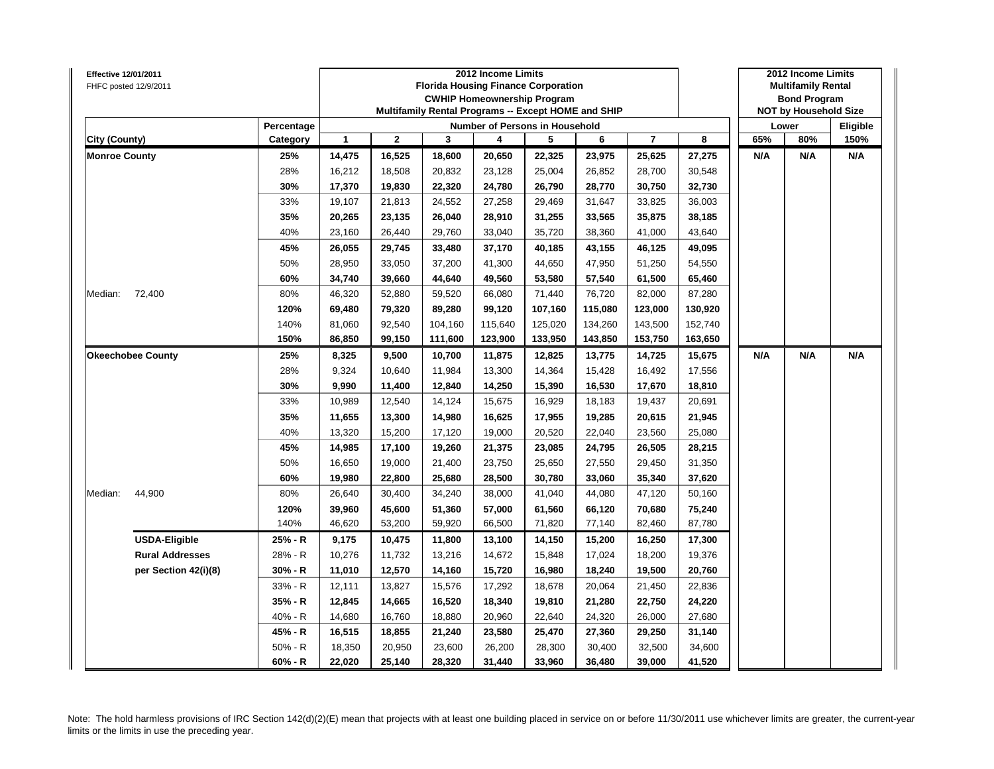| <b>Effective 12/01/2011</b><br>FHFC posted 12/9/2011 |                          |            |              |              | <b>Florida Housing Finance Corporation</b><br>Multifamily Rental Programs -- Except HOME and SHIP | 2012 Income Limits | <b>CWHIP Homeownership Program</b> |         |                |         |     | 2012 Income Limits<br><b>Multifamily Rental</b><br><b>Bond Program</b><br><b>NOT by Household Size</b> |          |
|------------------------------------------------------|--------------------------|------------|--------------|--------------|---------------------------------------------------------------------------------------------------|--------------------|------------------------------------|---------|----------------|---------|-----|--------------------------------------------------------------------------------------------------------|----------|
|                                                      |                          | Percentage |              |              |                                                                                                   |                    | Number of Persons in Household     |         |                |         |     | Lower                                                                                                  | Eligible |
| City (County)                                        |                          | Category   | $\mathbf{1}$ | $\mathbf{2}$ | 3                                                                                                 | 4                  | 5                                  | 6       | $\overline{7}$ | 8       | 65% | 80%                                                                                                    | 150%     |
| <b>Monroe County</b>                                 |                          | 25%        | 14,475       | 16,525       | 18,600                                                                                            | 20,650             | 22,325                             | 23,975  | 25,625         | 27,275  | N/A | N/A                                                                                                    | N/A      |
|                                                      |                          | 28%        | 16,212       | 18,508       | 20,832                                                                                            | 23,128             | 25,004                             | 26,852  | 28,700         | 30,548  |     |                                                                                                        |          |
|                                                      |                          | 30%        | 17,370       | 19,830       | 22,320                                                                                            | 24,780             | 26,790                             | 28,770  | 30,750         | 32,730  |     |                                                                                                        |          |
|                                                      |                          | 33%        | 19,107       | 21,813       | 24,552                                                                                            | 27,258             | 29,469                             | 31,647  | 33,825         | 36,003  |     |                                                                                                        |          |
|                                                      |                          | 35%        | 20,265       | 23,135       | 26,040                                                                                            | 28,910             | 31,255                             | 33,565  | 35,875         | 38,185  |     |                                                                                                        |          |
|                                                      |                          | 40%        | 23,160       | 26,440       | 29,760                                                                                            | 33,040             | 35,720                             | 38,360  | 41,000         | 43,640  |     |                                                                                                        |          |
|                                                      |                          | 45%        | 26,055       | 29,745       | 33,480                                                                                            | 37,170             | 40,185                             | 43,155  | 46,125         | 49,095  |     |                                                                                                        |          |
|                                                      |                          | 50%        | 28,950       | 33,050       | 37,200                                                                                            | 41,300             | 44,650                             | 47.950  | 51,250         | 54,550  |     |                                                                                                        |          |
|                                                      |                          | 60%        | 34,740       | 39,660       | 44,640                                                                                            | 49,560             | 53,580                             | 57,540  | 61,500         | 65,460  |     |                                                                                                        |          |
| Median:                                              | 72,400                   | 80%        | 46,320       | 52,880       | 59,520                                                                                            | 66,080             | 71,440                             | 76,720  | 82,000         | 87,280  |     |                                                                                                        |          |
|                                                      |                          | 120%       | 69,480       | 79,320       | 89,280                                                                                            | 99,120             | 107,160                            | 115,080 | 123,000        | 130,920 |     |                                                                                                        |          |
|                                                      |                          | 140%       | 81,060       | 92,540       | 104,160                                                                                           | 115,640            | 125,020                            | 134,260 | 143,500        | 152,740 |     |                                                                                                        |          |
|                                                      |                          | 150%       | 86,850       | 99,150       | 111,600                                                                                           | 123,900            | 133,950                            | 143,850 | 153,750        | 163,650 |     |                                                                                                        |          |
|                                                      | <b>Okeechobee County</b> | 25%        | 8,325        | 9,500        | 10,700                                                                                            | 11,875             | 12,825                             | 13,775  | 14,725         | 15,675  | N/A | N/A                                                                                                    | N/A      |
|                                                      |                          | 28%        | 9,324        | 10,640       | 11,984                                                                                            | 13,300             | 14,364                             | 15,428  | 16,492         | 17,556  |     |                                                                                                        |          |
|                                                      |                          | 30%        | 9,990        | 11,400       | 12,840                                                                                            | 14,250             | 15,390                             | 16,530  | 17,670         | 18,810  |     |                                                                                                        |          |
|                                                      |                          | 33%        | 10,989       | 12,540       | 14,124                                                                                            | 15,675             | 16,929                             | 18,183  | 19,437         | 20,691  |     |                                                                                                        |          |
|                                                      |                          | 35%        | 11,655       | 13,300       | 14,980                                                                                            | 16,625             | 17,955                             | 19,285  | 20,615         | 21,945  |     |                                                                                                        |          |
|                                                      |                          | 40%        | 13,320       | 15,200       | 17,120                                                                                            | 19,000             | 20,520                             | 22,040  | 23,560         | 25,080  |     |                                                                                                        |          |
|                                                      |                          | 45%        | 14,985       | 17,100       | 19,260                                                                                            | 21,375             | 23,085                             | 24,795  | 26,505         | 28,215  |     |                                                                                                        |          |
|                                                      |                          | 50%        | 16,650       | 19,000       | 21,400                                                                                            | 23,750             | 25,650                             | 27,550  | 29,450         | 31,350  |     |                                                                                                        |          |
|                                                      |                          | 60%        | 19,980       | 22,800       | 25,680                                                                                            | 28,500             | 30,780                             | 33,060  | 35,340         | 37,620  |     |                                                                                                        |          |
| Median:                                              | 44,900                   | 80%        | 26,640       | 30,400       | 34,240                                                                                            | 38,000             | 41,040                             | 44,080  | 47,120         | 50,160  |     |                                                                                                        |          |
|                                                      |                          | 120%       | 39,960       | 45,600       | 51,360                                                                                            | 57,000             | 61,560                             | 66,120  | 70,680         | 75,240  |     |                                                                                                        |          |
|                                                      |                          | 140%       | 46,620       | 53,200       | 59,920                                                                                            | 66,500             | 71,820                             | 77,140  | 82,460         | 87,780  |     |                                                                                                        |          |
|                                                      | <b>USDA-Eligible</b>     | 25% - R    | 9,175        | 10,475       | 11,800                                                                                            | 13,100             | 14,150                             | 15,200  | 16,250         | 17,300  |     |                                                                                                        |          |
|                                                      | <b>Rural Addresses</b>   | 28% - R    | 10,276       | 11,732       | 13,216                                                                                            | 14,672             | 15,848                             | 17,024  | 18,200         | 19,376  |     |                                                                                                        |          |
|                                                      | per Section 42(i)(8)     | $30% - R$  | 11,010       | 12,570       | 14,160                                                                                            | 15,720             | 16,980                             | 18,240  | 19,500         | 20,760  |     |                                                                                                        |          |
|                                                      |                          | 33% - R    | 12,111       | 13,827       | 15,576                                                                                            | 17,292             | 18,678                             | 20,064  | 21,450         | 22,836  |     |                                                                                                        |          |
|                                                      |                          | 35% - R    | 12,845       | 14,665       | 16,520                                                                                            | 18,340             | 19,810                             | 21,280  | 22,750         | 24,220  |     |                                                                                                        |          |
|                                                      |                          | 40% - R    | 14,680       | 16,760       | 18,880                                                                                            | 20,960             | 22,640                             | 24,320  | 26,000         | 27,680  |     |                                                                                                        |          |
|                                                      |                          | 45% - R    | 16,515       | 18,855       | 21,240                                                                                            | 23,580             | 25,470                             | 27,360  | 29,250         | 31,140  |     |                                                                                                        |          |
|                                                      |                          | $50% - R$  | 18,350       | 20,950       | 23,600                                                                                            | 26,200             | 28,300                             | 30,400  | 32,500         | 34,600  |     |                                                                                                        |          |
|                                                      |                          | 60% - R    | 22,020       | 25,140       | 28,320                                                                                            | 31,440             | 33,960                             | 36,480  | 39,000         | 41,520  |     |                                                                                                        |          |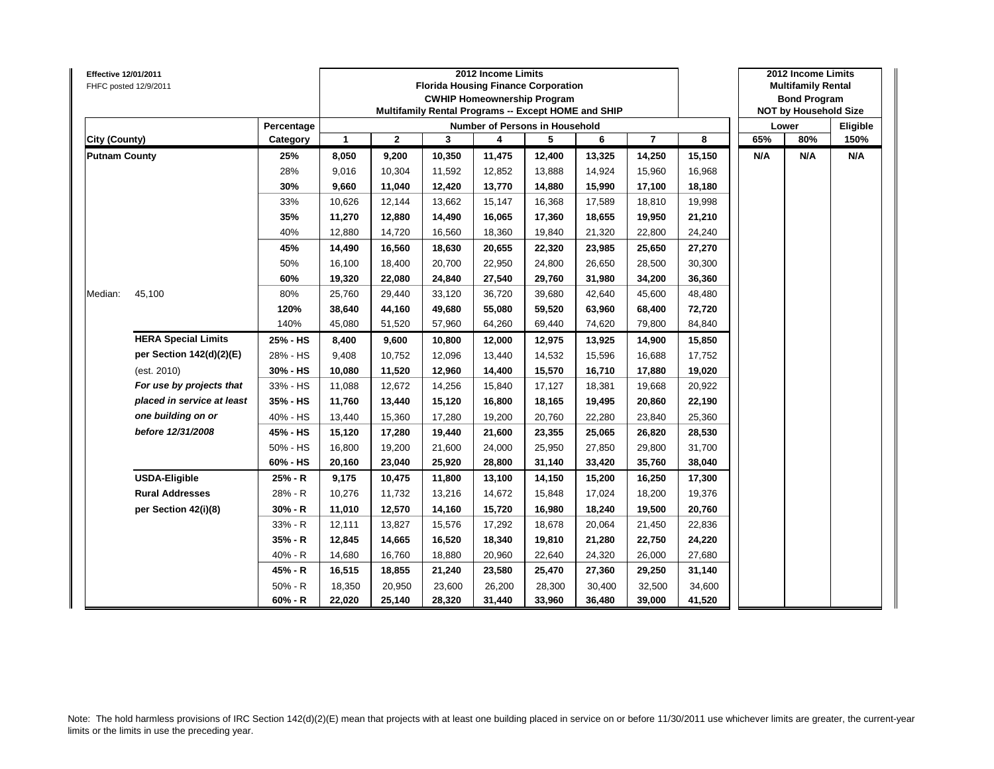| <b>Effective 12/01/2011</b> | FHFC posted 12/9/2011      |            |              |              | <b>Florida Housing Finance Corporation</b><br>Multifamily Rental Programs -- Except HOME and SHIP | 2012 Income Limits | <b>CWHIP Homeownership Program</b>    |        |                |        |     | 2012 Income Limits<br><b>Multifamily Rental</b><br><b>Bond Program</b><br><b>NOT by Household Size</b> |          |
|-----------------------------|----------------------------|------------|--------------|--------------|---------------------------------------------------------------------------------------------------|--------------------|---------------------------------------|--------|----------------|--------|-----|--------------------------------------------------------------------------------------------------------|----------|
|                             |                            | Percentage |              |              |                                                                                                   |                    | <b>Number of Persons in Household</b> |        |                |        |     | Lower                                                                                                  | Eligible |
| City (County)               |                            | Category   | $\mathbf{1}$ | $\mathbf{2}$ | 3                                                                                                 | 4                  | 5                                     | 6      | $\overline{7}$ | 8      | 65% | 80%                                                                                                    | 150%     |
| <b>Putnam County</b>        |                            | 25%        | 8,050        | 9,200        | 10,350                                                                                            | 11,475             | 12,400                                | 13,325 | 14,250         | 15,150 | N/A | N/A                                                                                                    | N/A      |
|                             |                            | 28%        | 9,016        | 10,304       | 11,592                                                                                            | 12,852             | 13,888                                | 14,924 | 15,960         | 16,968 |     |                                                                                                        |          |
|                             |                            | 30%        | 9,660        | 11,040       | 12,420                                                                                            | 13,770             | 14,880                                | 15,990 | 17,100         | 18,180 |     |                                                                                                        |          |
|                             |                            | 33%        | 10,626       | 12,144       | 13,662                                                                                            | 15,147             | 16,368                                | 17,589 | 18,810         | 19,998 |     |                                                                                                        |          |
|                             |                            | 35%        | 11,270       | 12,880       | 14,490                                                                                            | 16,065             | 17,360                                | 18,655 | 19,950         | 21,210 |     |                                                                                                        |          |
|                             |                            | 40%        | 12,880       | 14,720       | 16,560                                                                                            | 18,360             | 19,840                                | 21,320 | 22,800         | 24,240 |     |                                                                                                        |          |
|                             |                            | 45%        | 14,490       | 16,560       | 18,630                                                                                            | 20,655             | 22,320                                | 23,985 | 25,650         | 27,270 |     |                                                                                                        |          |
|                             |                            | 50%        | 16,100       | 18,400       | 20,700                                                                                            | 22,950             | 24,800                                | 26,650 | 28,500         | 30,300 |     |                                                                                                        |          |
|                             |                            | 60%        | 19,320       | 22,080       | 24,840                                                                                            | 27,540             | 29,760                                | 31,980 | 34,200         | 36,360 |     |                                                                                                        |          |
| Median:                     | 45,100                     | 80%        | 25,760       | 29,440       | 33,120                                                                                            | 36,720             | 39,680                                | 42,640 | 45,600         | 48,480 |     |                                                                                                        |          |
|                             |                            | 120%       | 38,640       | 44,160       | 49,680                                                                                            | 55,080             | 59,520                                | 63,960 | 68,400         | 72,720 |     |                                                                                                        |          |
|                             |                            | 140%       | 45,080       | 51,520       | 57,960                                                                                            | 64,260             | 69,440                                | 74,620 | 79,800         | 84,840 |     |                                                                                                        |          |
|                             | <b>HERA Special Limits</b> | 25% - HS   | 8,400        | 9,600        | 10,800                                                                                            | 12,000             | 12,975                                | 13,925 | 14,900         | 15,850 |     |                                                                                                        |          |
|                             | per Section 142(d)(2)(E)   | 28% - HS   | 9,408        | 10,752       | 12,096                                                                                            | 13,440             | 14,532                                | 15,596 | 16,688         | 17,752 |     |                                                                                                        |          |
|                             | (est. 2010)                | 30% - HS   | 10,080       | 11,520       | 12,960                                                                                            | 14,400             | 15,570                                | 16,710 | 17,880         | 19,020 |     |                                                                                                        |          |
|                             | For use by projects that   | 33% - HS   | 11,088       | 12,672       | 14,256                                                                                            | 15,840             | 17,127                                | 18,381 | 19,668         | 20,922 |     |                                                                                                        |          |
|                             | placed in service at least | 35% - HS   | 11,760       | 13,440       | 15,120                                                                                            | 16,800             | 18,165                                | 19,495 | 20,860         | 22,190 |     |                                                                                                        |          |
|                             | one building on or         | 40% - HS   | 13,440       | 15,360       | 17,280                                                                                            | 19,200             | 20,760                                | 22,280 | 23,840         | 25,360 |     |                                                                                                        |          |
|                             | before 12/31/2008          | 45% - HS   | 15,120       | 17,280       | 19,440                                                                                            | 21,600             | 23,355                                | 25,065 | 26,820         | 28,530 |     |                                                                                                        |          |
|                             |                            | 50% - HS   | 16,800       | 19,200       | 21,600                                                                                            | 24,000             | 25,950                                | 27,850 | 29,800         | 31,700 |     |                                                                                                        |          |
|                             |                            | 60% - HS   | 20,160       | 23,040       | 25,920                                                                                            | 28,800             | 31,140                                | 33,420 | 35,760         | 38,040 |     |                                                                                                        |          |
|                             | <b>USDA-Eligible</b>       | 25% - R    | 9,175        | 10,475       | 11,800                                                                                            | 13,100             | 14,150                                | 15,200 | 16,250         | 17,300 |     |                                                                                                        |          |
|                             | <b>Rural Addresses</b>     | 28% - R    | 10,276       | 11,732       | 13,216                                                                                            | 14,672             | 15,848                                | 17,024 | 18,200         | 19,376 |     |                                                                                                        |          |
|                             | per Section 42(i)(8)       | $30% - R$  | 11,010       | 12,570       | 14,160                                                                                            | 15,720             | 16,980                                | 18,240 | 19,500         | 20,760 |     |                                                                                                        |          |
|                             |                            | 33% - R    | 12,111       | 13,827       | 15,576                                                                                            | 17,292             | 18,678                                | 20,064 | 21,450         | 22,836 |     |                                                                                                        |          |
|                             |                            | 35% - R    | 12,845       | 14,665       | 16,520                                                                                            | 18,340             | 19,810                                | 21,280 | 22,750         | 24,220 |     |                                                                                                        |          |
|                             |                            | 40% - R    | 14,680       | 16,760       | 18,880                                                                                            | 20,960             | 22,640                                | 24,320 | 26,000         | 27,680 |     |                                                                                                        |          |
|                             |                            | 45% - R    | 16,515       | 18,855       | 21,240                                                                                            | 23,580             | 25,470                                | 27,360 | 29,250         | 31,140 |     |                                                                                                        |          |
|                             |                            | $50% - R$  | 18,350       | 20,950       | 23,600                                                                                            | 26,200             | 28,300                                | 30,400 | 32,500         | 34,600 |     |                                                                                                        |          |
|                             |                            | $60% - R$  | 22,020       | 25,140       | 28,320                                                                                            | 31,440             | 33,960                                | 36,480 | 39,000         | 41,520 |     |                                                                                                        |          |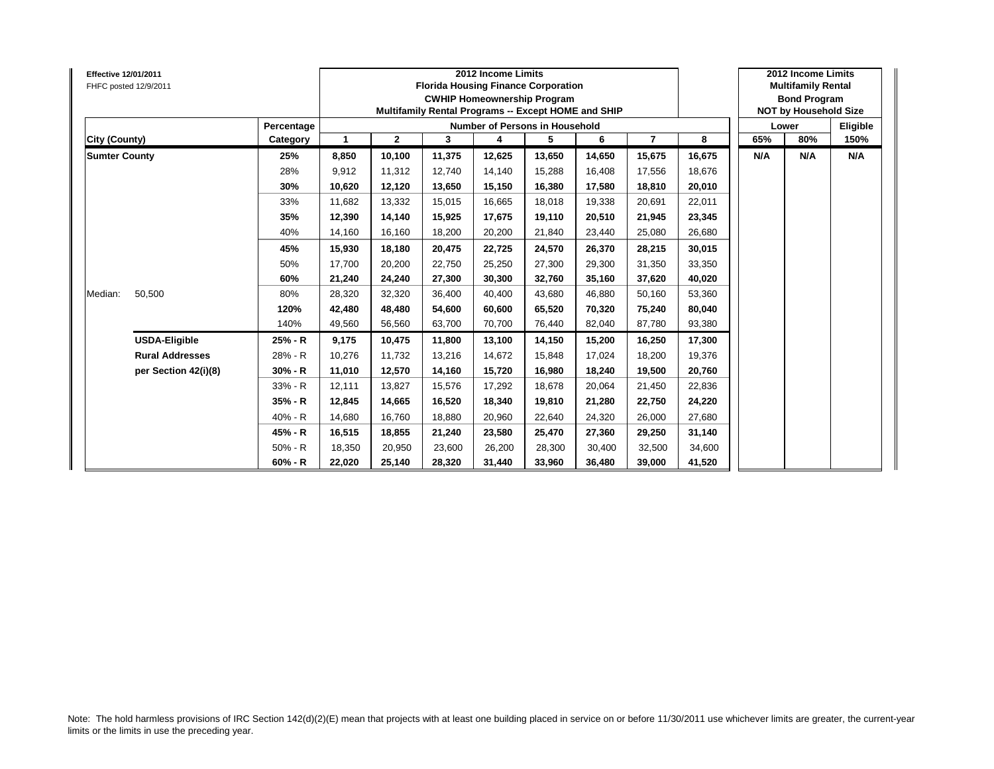| Effective 12/01/2011 | FHFC posted 12/9/2011  |            |             | 2012 Income Limits<br><b>Florida Housing Finance Corporation</b><br><b>CWHIP Homeownership Program</b><br>Multifamily Rental Programs -- Except HOME and SHIP |        | 2012 Income Limits<br><b>Multifamily Rental</b><br><b>Bond Program</b><br><b>NOT by Household Size</b> |        |                     |        |        |     |       |     |
|----------------------|------------------------|------------|-------------|---------------------------------------------------------------------------------------------------------------------------------------------------------------|--------|--------------------------------------------------------------------------------------------------------|--------|---------------------|--------|--------|-----|-------|-----|
|                      |                        | Percentage |             |                                                                                                                                                               |        | Number of Persons in Household                                                                         |        |                     |        |        |     | Lower |     |
| City (County)        |                        | Category   | $\mathbf 1$ | $\overline{2}$                                                                                                                                                | 3      | 4                                                                                                      | 5      | 6<br>$\overline{7}$ | 8      | 65%    | 80% | 150%  |     |
| <b>Sumter County</b> |                        | 25%        | 8,850       | 10,100                                                                                                                                                        | 11,375 | 12,625                                                                                                 | 13,650 | 14,650              | 15,675 | 16,675 | N/A | N/A   | N/A |
|                      |                        | 28%        | 9,912       | 11.312                                                                                                                                                        | 12.740 | 14,140                                                                                                 | 15,288 | 16.408              | 17,556 | 18,676 |     |       |     |
|                      |                        | 30%        | 10,620      | 12,120                                                                                                                                                        | 13,650 | 15,150                                                                                                 | 16,380 | 17,580              | 18,810 | 20,010 |     |       |     |
|                      |                        | 33%        | 11,682      | 13,332                                                                                                                                                        | 15,015 | 16,665                                                                                                 | 18,018 | 19,338              | 20,691 | 22,011 |     |       |     |
|                      |                        | 35%        | 12,390      | 14,140                                                                                                                                                        | 15,925 | 17,675                                                                                                 | 19,110 | 20.510              | 21,945 | 23,345 |     |       |     |
|                      |                        | 40%        | 14.160      | 16,160                                                                                                                                                        | 18,200 | 20,200                                                                                                 | 21,840 | 23.440              | 25,080 | 26,680 |     |       |     |
|                      |                        | 45%        | 15,930      | 18,180                                                                                                                                                        | 20,475 | 22,725                                                                                                 | 24,570 | 26,370              | 28,215 | 30,015 |     |       |     |
|                      |                        | 50%        | 17,700      | 20,200                                                                                                                                                        | 22,750 | 25,250                                                                                                 | 27,300 | 29,300              | 31,350 | 33,350 |     |       |     |
|                      |                        | 60%        | 21,240      | 24,240                                                                                                                                                        | 27,300 | 30,300                                                                                                 | 32,760 | 35.160              | 37,620 | 40,020 |     |       |     |
| Median:              | 50,500                 | 80%        | 28,320      | 32,320                                                                                                                                                        | 36,400 | 40,400                                                                                                 | 43,680 | 46.880              | 50,160 | 53,360 |     |       |     |
|                      |                        | 120%       | 42,480      | 48,480                                                                                                                                                        | 54.600 | 60,600                                                                                                 | 65,520 | 70.320              | 75,240 | 80,040 |     |       |     |
|                      |                        | 140%       | 49,560      | 56,560                                                                                                                                                        | 63.700 | 70.700                                                                                                 | 76,440 | 82.040              | 87,780 | 93,380 |     |       |     |
|                      | <b>USDA-Eligible</b>   | 25% - R    | 9,175       | 10,475                                                                                                                                                        | 11,800 | 13,100                                                                                                 | 14,150 | 15,200              | 16,250 | 17,300 |     |       |     |
|                      | <b>Rural Addresses</b> | 28% - R    | 10,276      | 11.732                                                                                                                                                        | 13,216 | 14,672                                                                                                 | 15,848 | 17.024              | 18,200 | 19,376 |     |       |     |
|                      | per Section 42(i)(8)   | $30% - R$  | 11,010      | 12,570                                                                                                                                                        | 14,160 | 15,720                                                                                                 | 16,980 | 18.240              | 19,500 | 20,760 |     |       |     |
|                      |                        | 33% - R    | 12.111      | 13,827                                                                                                                                                        | 15.576 | 17,292                                                                                                 | 18,678 | 20.064              | 21,450 | 22,836 |     |       |     |
|                      |                        | 35% - R    | 12,845      | 14,665                                                                                                                                                        | 16,520 | 18,340                                                                                                 | 19,810 | 21,280              | 22,750 | 24,220 |     |       |     |
|                      |                        | 40% - R    | 14,680      | 16,760                                                                                                                                                        | 18,880 | 20,960                                                                                                 | 22,640 | 24,320              | 26,000 | 27,680 |     |       |     |
|                      |                        | 45% - R    | 16,515      | 18,855                                                                                                                                                        | 21,240 | 23,580                                                                                                 | 25,470 | 27,360              | 29,250 | 31,140 |     |       |     |
|                      |                        | 50% - R    | 18,350      | 20,950                                                                                                                                                        | 23,600 | 26,200                                                                                                 | 28,300 | 30.400              | 32,500 | 34,600 |     |       |     |
|                      |                        | $60% - R$  | 22,020      | 25,140                                                                                                                                                        | 28,320 | 31,440                                                                                                 | 33,960 | 36,480              | 39,000 | 41,520 |     |       |     |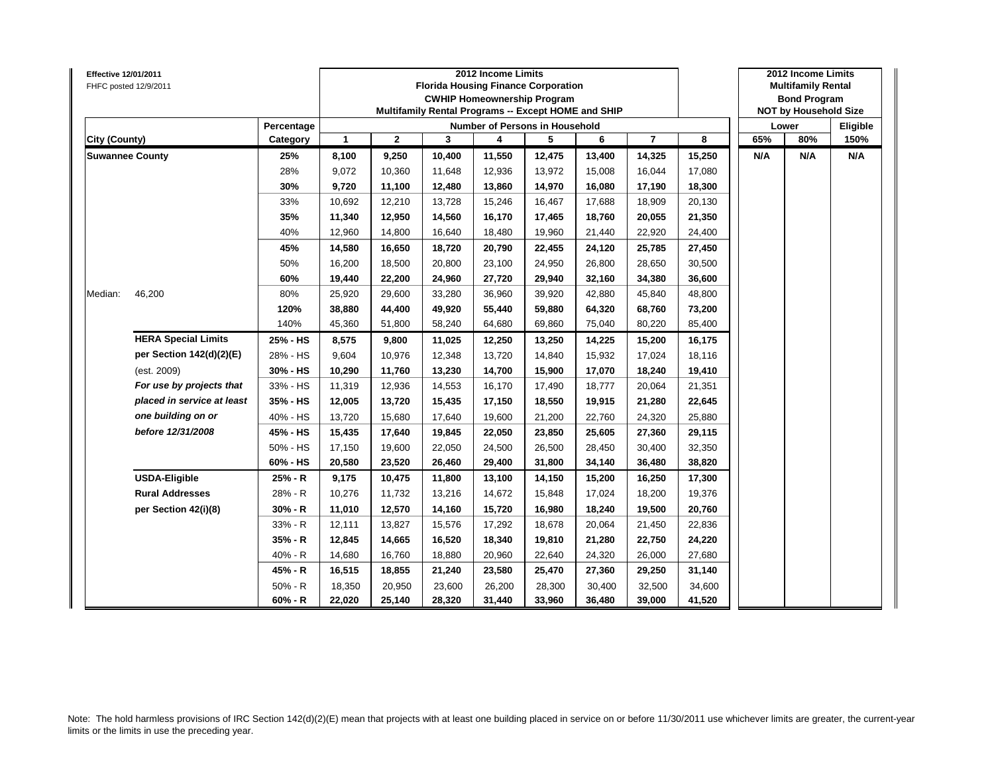| <b>Effective 12/01/2011</b> | FHFC posted 12/9/2011      |            |              | 2012 Income Limits<br><b>Florida Housing Finance Corporation</b><br><b>CWHIP Homeownership Program</b><br>Multifamily Rental Programs -- Except HOME and SHIP |        | 2012 Income Limits<br><b>Multifamily Rental</b><br><b>Bond Program</b><br><b>NOT by Household Size</b> |                                |        |                |        |     |       |      |
|-----------------------------|----------------------------|------------|--------------|---------------------------------------------------------------------------------------------------------------------------------------------------------------|--------|--------------------------------------------------------------------------------------------------------|--------------------------------|--------|----------------|--------|-----|-------|------|
|                             |                            | Percentage |              |                                                                                                                                                               |        |                                                                                                        | Number of Persons in Household |        |                |        |     | Lower |      |
| City (County)               |                            | Category   | $\mathbf{1}$ | $\mathbf{2}$                                                                                                                                                  | 3      | 4                                                                                                      | 5                              | 6      | $\overline{7}$ | 8      | 65% | 80%   | 150% |
|                             | <b>Suwannee County</b>     | 25%        | 8,100        | 9,250                                                                                                                                                         | 10,400 | 11,550                                                                                                 | 12,475                         | 13,400 | 14,325         | 15,250 | N/A | N/A   | N/A  |
|                             |                            | 28%        | 9,072        | 10,360                                                                                                                                                        | 11,648 | 12,936                                                                                                 | 13,972                         | 15,008 | 16,044         | 17,080 |     |       |      |
|                             |                            | 30%        | 9,720        | 11,100                                                                                                                                                        | 12,480 | 13,860                                                                                                 | 14,970                         | 16,080 | 17,190         | 18,300 |     |       |      |
|                             |                            | 33%        | 10,692       | 12,210                                                                                                                                                        | 13,728 | 15,246                                                                                                 | 16,467                         | 17,688 | 18,909         | 20,130 |     |       |      |
|                             |                            | 35%        | 11,340       | 12,950                                                                                                                                                        | 14,560 | 16,170                                                                                                 | 17,465                         | 18,760 | 20,055         | 21,350 |     |       |      |
|                             |                            | 40%        | 12,960       | 14,800                                                                                                                                                        | 16,640 | 18,480                                                                                                 | 19,960                         | 21,440 | 22,920         | 24,400 |     |       |      |
|                             |                            | 45%        | 14,580       | 16,650                                                                                                                                                        | 18,720 | 20,790                                                                                                 | 22,455                         | 24,120 | 25,785         | 27,450 |     |       |      |
|                             |                            | 50%        | 16,200       | 18,500                                                                                                                                                        | 20,800 | 23,100                                                                                                 | 24,950                         | 26,800 | 28,650         | 30,500 |     |       |      |
|                             |                            | 60%        | 19,440       | 22,200                                                                                                                                                        | 24,960 | 27,720                                                                                                 | 29,940                         | 32,160 | 34,380         | 36,600 |     |       |      |
| Median:                     | 46,200                     | 80%        | 25,920       | 29,600                                                                                                                                                        | 33,280 | 36,960                                                                                                 | 39,920                         | 42,880 | 45,840         | 48,800 |     |       |      |
|                             |                            | 120%       | 38,880       | 44,400                                                                                                                                                        | 49,920 | 55,440                                                                                                 | 59,880                         | 64,320 | 68,760         | 73,200 |     |       |      |
|                             |                            | 140%       | 45,360       | 51,800                                                                                                                                                        | 58,240 | 64,680                                                                                                 | 69,860                         | 75,040 | 80,220         | 85,400 |     |       |      |
|                             | <b>HERA Special Limits</b> | 25% - HS   | 8,575        | 9,800                                                                                                                                                         | 11,025 | 12,250                                                                                                 | 13,250                         | 14,225 | 15,200         | 16,175 |     |       |      |
|                             | per Section 142(d)(2)(E)   | 28% - HS   | 9,604        | 10,976                                                                                                                                                        | 12,348 | 13,720                                                                                                 | 14,840                         | 15,932 | 17,024         | 18,116 |     |       |      |
|                             | (est. 2009)                | 30% - HS   | 10,290       | 11,760                                                                                                                                                        | 13,230 | 14,700                                                                                                 | 15,900                         | 17,070 | 18,240         | 19,410 |     |       |      |
|                             | For use by projects that   | 33% - HS   | 11,319       | 12,936                                                                                                                                                        | 14,553 | 16,170                                                                                                 | 17,490                         | 18,777 | 20,064         | 21,351 |     |       |      |
|                             | placed in service at least | 35% - HS   | 12,005       | 13,720                                                                                                                                                        | 15,435 | 17,150                                                                                                 | 18,550                         | 19,915 | 21,280         | 22,645 |     |       |      |
|                             | one building on or         | 40% - HS   | 13,720       | 15,680                                                                                                                                                        | 17,640 | 19,600                                                                                                 | 21,200                         | 22,760 | 24,320         | 25,880 |     |       |      |
|                             | before 12/31/2008          | 45% - HS   | 15,435       | 17,640                                                                                                                                                        | 19,845 | 22,050                                                                                                 | 23,850                         | 25,605 | 27,360         | 29,115 |     |       |      |
|                             |                            | 50% - HS   | 17,150       | 19,600                                                                                                                                                        | 22,050 | 24,500                                                                                                 | 26,500                         | 28.450 | 30,400         | 32,350 |     |       |      |
|                             |                            | 60% - HS   | 20,580       | 23,520                                                                                                                                                        | 26,460 | 29,400                                                                                                 | 31,800                         | 34,140 | 36,480         | 38,820 |     |       |      |
|                             | <b>USDA-Eligible</b>       | 25% - R    | 9,175        | 10,475                                                                                                                                                        | 11,800 | 13,100                                                                                                 | 14,150                         | 15,200 | 16,250         | 17,300 |     |       |      |
|                             | <b>Rural Addresses</b>     | 28% - R    | 10,276       | 11,732                                                                                                                                                        | 13,216 | 14,672                                                                                                 | 15,848                         | 17,024 | 18,200         | 19,376 |     |       |      |
|                             | per Section 42(i)(8)       | $30% - R$  | 11,010       | 12,570                                                                                                                                                        | 14,160 | 15,720                                                                                                 | 16,980                         | 18,240 | 19,500         | 20,760 |     |       |      |
|                             |                            | 33% - R    | 12,111       | 13,827                                                                                                                                                        | 15,576 | 17,292                                                                                                 | 18,678                         | 20,064 | 21,450         | 22,836 |     |       |      |
|                             |                            | $35% - R$  | 12,845       | 14,665                                                                                                                                                        | 16,520 | 18,340                                                                                                 | 19,810                         | 21,280 | 22,750         | 24,220 |     |       |      |
|                             |                            | 40% - R    | 14,680       | 16,760                                                                                                                                                        | 18,880 | 20,960                                                                                                 | 22,640                         | 24,320 | 26,000         | 27,680 |     |       |      |
|                             |                            | 45% - R    | 16,515       | 18,855                                                                                                                                                        | 21,240 | 23,580                                                                                                 | 25,470                         | 27,360 | 29,250         | 31,140 |     |       |      |
|                             |                            | $50% - R$  | 18,350       | 20,950                                                                                                                                                        | 23,600 | 26,200                                                                                                 | 28,300                         | 30,400 | 32,500         | 34,600 |     |       |      |
|                             |                            | 60% - R    | 22,020       | 25,140                                                                                                                                                        | 28,320 | 31,440                                                                                                 | 33,960                         | 36,480 | 39,000         | 41,520 |     |       |      |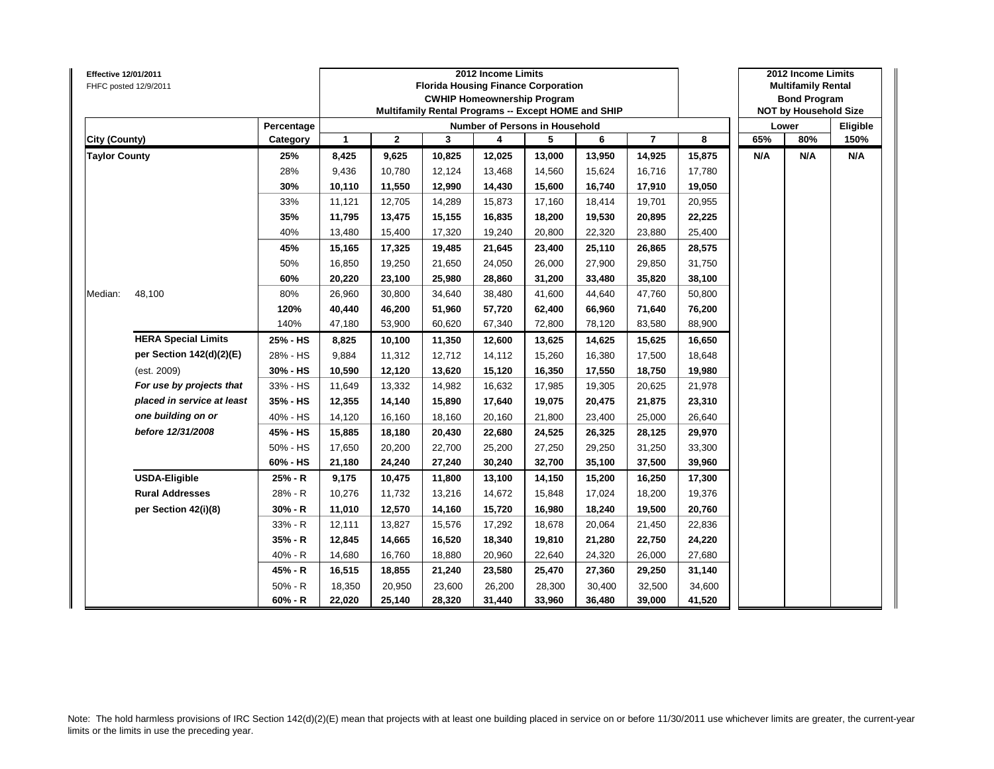| <b>Effective 12/01/2011</b> | FHFC posted 12/9/2011      |            |              | 2012 Income Limits<br><b>Florida Housing Finance Corporation</b><br><b>CWHIP Homeownership Program</b><br>Multifamily Rental Programs -- Except HOME and SHIP |        | 2012 Income Limits<br><b>Multifamily Rental</b><br><b>Bond Program</b><br><b>NOT by Household Size</b> |        |        |                |        |       |     |          |
|-----------------------------|----------------------------|------------|--------------|---------------------------------------------------------------------------------------------------------------------------------------------------------------|--------|--------------------------------------------------------------------------------------------------------|--------|--------|----------------|--------|-------|-----|----------|
|                             |                            | Percentage |              |                                                                                                                                                               |        | Number of Persons in Household                                                                         |        |        |                |        | Lower |     | Eligible |
| City (County)               |                            | Category   | $\mathbf{1}$ | $\mathbf{2}$                                                                                                                                                  | 3      | 4                                                                                                      | 5      | 6      | $\overline{7}$ | 8      | 65%   | 80% | 150%     |
| <b>Taylor County</b>        |                            | 25%        | 8,425        | 9,625                                                                                                                                                         | 10,825 | 12,025                                                                                                 | 13,000 | 13,950 | 14,925         | 15,875 | N/A   | N/A | N/A      |
|                             |                            | 28%        | 9,436        | 10,780                                                                                                                                                        | 12,124 | 13,468                                                                                                 | 14,560 | 15,624 | 16,716         | 17,780 |       |     |          |
|                             |                            | 30%        | 10,110       | 11,550                                                                                                                                                        | 12,990 | 14,430                                                                                                 | 15,600 | 16,740 | 17,910         | 19,050 |       |     |          |
|                             |                            | 33%        | 11,121       | 12,705                                                                                                                                                        | 14,289 | 15,873                                                                                                 | 17,160 | 18,414 | 19,701         | 20,955 |       |     |          |
|                             |                            | 35%        | 11,795       | 13,475                                                                                                                                                        | 15,155 | 16,835                                                                                                 | 18,200 | 19,530 | 20,895         | 22,225 |       |     |          |
|                             |                            | 40%        | 13,480       | 15,400                                                                                                                                                        | 17,320 | 19,240                                                                                                 | 20,800 | 22,320 | 23,880         | 25,400 |       |     |          |
|                             |                            | 45%        | 15,165       | 17,325                                                                                                                                                        | 19,485 | 21,645                                                                                                 | 23,400 | 25,110 | 26,865         | 28,575 |       |     |          |
|                             |                            | 50%        | 16,850       | 19,250                                                                                                                                                        | 21,650 | 24,050                                                                                                 | 26,000 | 27,900 | 29,850         | 31,750 |       |     |          |
|                             |                            | 60%        | 20,220       | 23,100                                                                                                                                                        | 25,980 | 28,860                                                                                                 | 31,200 | 33,480 | 35,820         | 38,100 |       |     |          |
| Median:                     | 48,100                     | 80%        | 26,960       | 30,800                                                                                                                                                        | 34,640 | 38,480                                                                                                 | 41,600 | 44,640 | 47,760         | 50,800 |       |     |          |
|                             |                            | 120%       | 40,440       | 46,200                                                                                                                                                        | 51,960 | 57,720                                                                                                 | 62,400 | 66,960 | 71,640         | 76,200 |       |     |          |
|                             |                            | 140%       | 47,180       | 53,900                                                                                                                                                        | 60,620 | 67,340                                                                                                 | 72,800 | 78,120 | 83,580         | 88,900 |       |     |          |
|                             | <b>HERA Special Limits</b> | 25% - HS   | 8,825        | 10,100                                                                                                                                                        | 11,350 | 12,600                                                                                                 | 13,625 | 14,625 | 15,625         | 16,650 |       |     |          |
|                             | per Section 142(d)(2)(E)   | 28% - HS   | 9,884        | 11,312                                                                                                                                                        | 12,712 | 14,112                                                                                                 | 15,260 | 16,380 | 17,500         | 18,648 |       |     |          |
|                             | (est. 2009)                | 30% - HS   | 10,590       | 12,120                                                                                                                                                        | 13,620 | 15,120                                                                                                 | 16,350 | 17,550 | 18,750         | 19,980 |       |     |          |
|                             | For use by projects that   | 33% - HS   | 11,649       | 13,332                                                                                                                                                        | 14,982 | 16,632                                                                                                 | 17,985 | 19,305 | 20,625         | 21,978 |       |     |          |
|                             | placed in service at least | 35% - HS   | 12,355       | 14,140                                                                                                                                                        | 15,890 | 17,640                                                                                                 | 19,075 | 20,475 | 21,875         | 23,310 |       |     |          |
|                             | one building on or         | 40% - HS   | 14,120       | 16,160                                                                                                                                                        | 18,160 | 20,160                                                                                                 | 21,800 | 23,400 | 25,000         | 26,640 |       |     |          |
|                             | before 12/31/2008          | 45% - HS   | 15,885       | 18,180                                                                                                                                                        | 20,430 | 22,680                                                                                                 | 24,525 | 26,325 | 28,125         | 29,970 |       |     |          |
|                             |                            | 50% - HS   | 17,650       | 20,200                                                                                                                                                        | 22,700 | 25,200                                                                                                 | 27,250 | 29,250 | 31,250         | 33,300 |       |     |          |
|                             |                            | 60% - HS   | 21,180       | 24,240                                                                                                                                                        | 27,240 | 30,240                                                                                                 | 32,700 | 35,100 | 37,500         | 39,960 |       |     |          |
|                             | <b>USDA-Eligible</b>       | 25% - R    | 9,175        | 10,475                                                                                                                                                        | 11,800 | 13,100                                                                                                 | 14,150 | 15,200 | 16,250         | 17,300 |       |     |          |
|                             | <b>Rural Addresses</b>     | 28% - R    | 10,276       | 11,732                                                                                                                                                        | 13,216 | 14,672                                                                                                 | 15,848 | 17,024 | 18,200         | 19,376 |       |     |          |
|                             | per Section 42(i)(8)       | $30% - R$  | 11,010       | 12,570                                                                                                                                                        | 14,160 | 15,720                                                                                                 | 16,980 | 18,240 | 19,500         | 20,760 |       |     |          |
|                             |                            | 33% - R    | 12,111       | 13,827                                                                                                                                                        | 15,576 | 17,292                                                                                                 | 18,678 | 20,064 | 21,450         | 22,836 |       |     |          |
|                             |                            | 35% - R    | 12,845       | 14,665                                                                                                                                                        | 16,520 | 18,340                                                                                                 | 19,810 | 21,280 | 22,750         | 24,220 |       |     |          |
|                             |                            | 40% - R    | 14,680       | 16,760                                                                                                                                                        | 18,880 | 20,960                                                                                                 | 22,640 | 24,320 | 26,000         | 27,680 |       |     |          |
|                             |                            | 45% - R    | 16,515       | 18,855                                                                                                                                                        | 21,240 | 23,580                                                                                                 | 25,470 | 27,360 | 29,250         | 31,140 |       |     |          |
|                             |                            | $50% - R$  | 18,350       | 20,950                                                                                                                                                        | 23,600 | 26,200                                                                                                 | 28,300 | 30,400 | 32,500         | 34,600 |       |     |          |
|                             |                            | $60% - R$  | 22,020       | 25,140                                                                                                                                                        | 28,320 | 31,440                                                                                                 | 33,960 | 36,480 | 39,000         | 41,520 |       |     |          |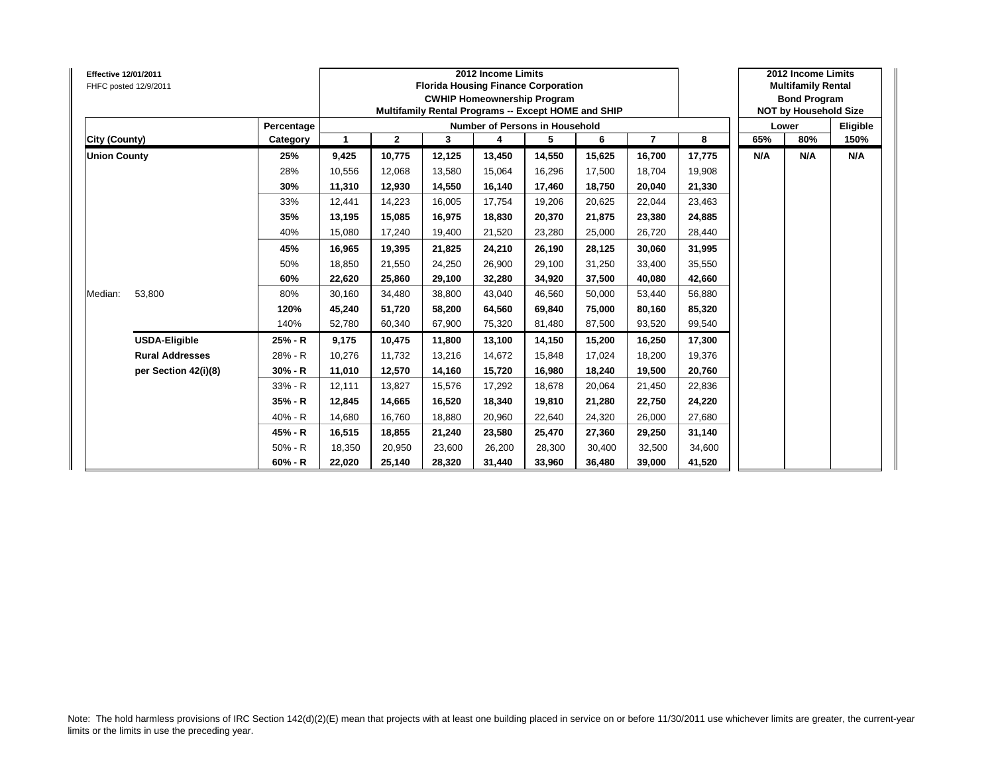| Effective 12/01/2011 | FHFC posted 12/9/2011  |            |             | 2012 Income Limits<br><b>Florida Housing Finance Corporation</b><br><b>CWHIP Homeownership Program</b><br>Multifamily Rental Programs -- Except HOME and SHIP |        | 2012 Income Limits<br><b>Multifamily Rental</b><br><b>Bond Program</b><br><b>NOT by Household Size</b> |        |        |                |        |     |       |      |
|----------------------|------------------------|------------|-------------|---------------------------------------------------------------------------------------------------------------------------------------------------------------|--------|--------------------------------------------------------------------------------------------------------|--------|--------|----------------|--------|-----|-------|------|
|                      |                        | Percentage |             |                                                                                                                                                               |        | Number of Persons in Household                                                                         |        |        |                |        |     | Lower |      |
| City (County)        |                        | Category   | $\mathbf 1$ | $\overline{2}$                                                                                                                                                | 3      | 4                                                                                                      | 5      | 6      | $\overline{7}$ | 8      | 65% | 80%   | 150% |
| <b>Union County</b>  |                        | 25%        | 9,425       | 10,775                                                                                                                                                        | 12,125 | 13,450                                                                                                 | 14,550 | 15,625 | 16,700         | 17,775 | N/A | N/A   | N/A  |
|                      |                        | 28%        | 10,556      | 12,068                                                                                                                                                        | 13.580 | 15,064                                                                                                 | 16,296 | 17.500 | 18,704         | 19,908 |     |       |      |
|                      |                        | 30%        | 11,310      | 12,930                                                                                                                                                        | 14,550 | 16,140                                                                                                 | 17,460 | 18,750 | 20,040         | 21,330 |     |       |      |
|                      |                        | 33%        | 12,441      | 14,223                                                                                                                                                        | 16,005 | 17,754                                                                                                 | 19,206 | 20,625 | 22,044         | 23,463 |     |       |      |
|                      |                        | 35%        | 13,195      | 15,085                                                                                                                                                        | 16,975 | 18,830                                                                                                 | 20,370 | 21.875 | 23,380         | 24,885 |     |       |      |
|                      |                        | 40%        | 15,080      | 17,240                                                                                                                                                        | 19,400 | 21,520                                                                                                 | 23,280 | 25.000 | 26,720         | 28,440 |     |       |      |
|                      |                        | 45%        | 16,965      | 19,395                                                                                                                                                        | 21,825 | 24,210                                                                                                 | 26,190 | 28,125 | 30,060         | 31,995 |     |       |      |
|                      |                        | 50%        | 18,850      | 21,550                                                                                                                                                        | 24,250 | 26,900                                                                                                 | 29,100 | 31,250 | 33,400         | 35,550 |     |       |      |
|                      |                        | 60%        | 22,620      | 25,860                                                                                                                                                        | 29,100 | 32,280                                                                                                 | 34,920 | 37,500 | 40,080         | 42,660 |     |       |      |
| Median:              | 53,800                 | 80%        | 30,160      | 34,480                                                                                                                                                        | 38,800 | 43,040                                                                                                 | 46,560 | 50.000 | 53,440         | 56,880 |     |       |      |
|                      |                        | 120%       | 45,240      | 51,720                                                                                                                                                        | 58.200 | 64,560                                                                                                 | 69,840 | 75.000 | 80,160         | 85,320 |     |       |      |
|                      |                        | 140%       | 52.780      | 60,340                                                                                                                                                        | 67.900 | 75,320                                                                                                 | 81,480 | 87.500 | 93,520         | 99,540 |     |       |      |
|                      | <b>USDA-Eligible</b>   | 25% - R    | 9,175       | 10,475                                                                                                                                                        | 11,800 | 13,100                                                                                                 | 14,150 | 15,200 | 16,250         | 17,300 |     |       |      |
|                      | <b>Rural Addresses</b> | 28% - R    | 10,276      | 11.732                                                                                                                                                        | 13,216 | 14,672                                                                                                 | 15,848 | 17.024 | 18,200         | 19,376 |     |       |      |
|                      | per Section 42(i)(8)   | $30% - R$  | 11,010      | 12,570                                                                                                                                                        | 14,160 | 15,720                                                                                                 | 16,980 | 18.240 | 19,500         | 20,760 |     |       |      |
|                      |                        | 33% - R    | 12.111      | 13,827                                                                                                                                                        | 15.576 | 17,292                                                                                                 | 18,678 | 20.064 | 21,450         | 22,836 |     |       |      |
|                      |                        | 35% - R    | 12,845      | 14,665                                                                                                                                                        | 16,520 | 18,340                                                                                                 | 19,810 | 21,280 | 22,750         | 24,220 |     |       |      |
|                      |                        | 40% - R    | 14,680      | 16,760                                                                                                                                                        | 18,880 | 20,960                                                                                                 | 22,640 | 24,320 | 26,000         | 27,680 |     |       |      |
|                      |                        | 45% - R    | 16,515      | 18,855                                                                                                                                                        | 21,240 | 23,580                                                                                                 | 25,470 | 27,360 | 29,250         | 31,140 |     |       |      |
|                      |                        | 50% - R    | 18,350      | 20,950                                                                                                                                                        | 23,600 | 26,200                                                                                                 | 28,300 | 30.400 | 32,500         | 34,600 |     |       |      |
|                      |                        | $60% - R$  | 22,020      | 25,140                                                                                                                                                        | 28,320 | 31,440                                                                                                 | 33,960 | 36,480 | 39,000         | 41,520 |     |       |      |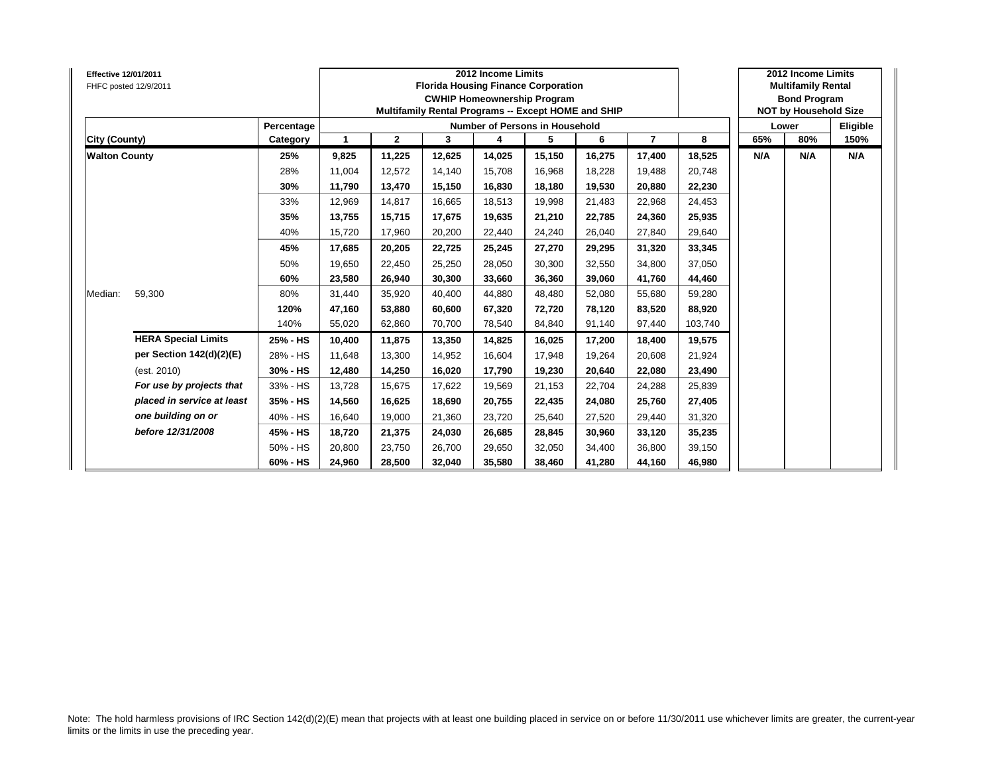| <b>Effective 12/01/2011</b> | FHFC posted 12/9/2011      |            |        | 2012 Income Limits<br><b>Florida Housing Finance Corporation</b><br><b>CWHIP Homeownership Program</b><br>Multifamily Rental Programs -- Except HOME and SHIP |        | 2012 Income Limits<br><b>Multifamily Rental</b><br><b>Bond Program</b><br><b>NOT by Household Size</b> |        |        |                |         |       |     |          |
|-----------------------------|----------------------------|------------|--------|---------------------------------------------------------------------------------------------------------------------------------------------------------------|--------|--------------------------------------------------------------------------------------------------------|--------|--------|----------------|---------|-------|-----|----------|
|                             |                            | Percentage |        |                                                                                                                                                               |        | Number of Persons in Household                                                                         |        |        |                |         | Lower |     | Eligible |
| City (County)               |                            | Category   | 1      | $\mathbf{2}$                                                                                                                                                  | 3      | 4                                                                                                      | 5      | 6      | $\overline{7}$ | 8       | 65%   | 80% | 150%     |
| <b>Walton County</b>        |                            | 25%        | 9,825  | 11,225                                                                                                                                                        | 12,625 | 14,025                                                                                                 | 15,150 | 16,275 | 17,400         | 18,525  | N/A   | N/A | N/A      |
|                             |                            | 28%        | 11,004 | 12,572                                                                                                                                                        | 14.140 | 15,708                                                                                                 | 16,968 | 18.228 | 19,488         | 20,748  |       |     |          |
|                             |                            | 30%        | 11,790 | 13,470                                                                                                                                                        | 15,150 | 16,830                                                                                                 | 18,180 | 19,530 | 20,880         | 22,230  |       |     |          |
|                             |                            | 33%        | 12,969 | 14,817                                                                                                                                                        | 16,665 | 18,513                                                                                                 | 19,998 | 21,483 | 22,968         | 24,453  |       |     |          |
|                             |                            | 35%        | 13,755 | 15,715                                                                                                                                                        | 17,675 | 19,635                                                                                                 | 21,210 | 22,785 | 24,360         | 25,935  |       |     |          |
|                             |                            | 40%        | 15,720 | 17,960                                                                                                                                                        | 20.200 | 22,440                                                                                                 | 24,240 | 26.040 | 27,840         | 29,640  |       |     |          |
|                             |                            | 45%        | 17.685 | 20,205                                                                                                                                                        | 22.725 | 25,245                                                                                                 | 27,270 | 29.295 | 31,320         | 33,345  |       |     |          |
|                             |                            | 50%        | 19,650 | 22,450                                                                                                                                                        | 25,250 | 28,050                                                                                                 | 30,300 | 32,550 | 34,800         | 37,050  |       |     |          |
|                             |                            | 60%        | 23,580 | 26,940                                                                                                                                                        | 30.300 | 33,660                                                                                                 | 36,360 | 39.060 | 41,760         | 44,460  |       |     |          |
| Median:                     | 59,300                     | 80%        | 31,440 | 35,920                                                                                                                                                        | 40,400 | 44,880                                                                                                 | 48,480 | 52.080 | 55,680         | 59,280  |       |     |          |
|                             |                            | 120%       | 47,160 | 53,880                                                                                                                                                        | 60.600 | 67,320                                                                                                 | 72,720 | 78.120 | 83,520         | 88,920  |       |     |          |
|                             |                            | 140%       | 55.020 | 62,860                                                                                                                                                        | 70.700 | 78,540                                                                                                 | 84.840 | 91.140 | 97,440         | 103,740 |       |     |          |
|                             | <b>HERA Special Limits</b> | 25% - HS   | 10,400 | 11,875                                                                                                                                                        | 13,350 | 14,825                                                                                                 | 16,025 | 17,200 | 18,400         | 19,575  |       |     |          |
|                             | per Section 142(d)(2)(E)   | 28% - HS   | 11,648 | 13,300                                                                                                                                                        | 14.952 | 16,604                                                                                                 | 17,948 | 19.264 | 20,608         | 21,924  |       |     |          |
|                             | (est. 2010)                | 30% - HS   | 12,480 | 14,250                                                                                                                                                        | 16,020 | 17,790                                                                                                 | 19,230 | 20,640 | 22,080         | 23,490  |       |     |          |
|                             | For use by projects that   | 33% - HS   | 13.728 | 15,675                                                                                                                                                        | 17.622 | 19,569                                                                                                 | 21,153 | 22.704 | 24,288         | 25,839  |       |     |          |
|                             | placed in service at least | 35% - HS   | 14,560 | 16,625                                                                                                                                                        | 18,690 | 20,755                                                                                                 | 22,435 | 24,080 | 25,760         | 27,405  |       |     |          |
|                             | one building on or         | 40% - HS   | 16,640 | 19,000                                                                                                                                                        | 21,360 | 23,720                                                                                                 | 25,640 | 27,520 | 29,440         | 31,320  |       |     |          |
|                             | before 12/31/2008          | 45% - HS   | 18,720 | 21,375                                                                                                                                                        | 24.030 | 26,685                                                                                                 | 28,845 | 30.960 | 33,120         | 35,235  |       |     |          |
|                             |                            | 50% - HS   | 20,800 | 23,750                                                                                                                                                        | 26.700 | 29,650                                                                                                 | 32,050 | 34,400 | 36,800         | 39,150  |       |     |          |
|                             |                            | 60% - HS   | 24,960 | 28,500                                                                                                                                                        | 32,040 | 35,580                                                                                                 | 38,460 | 41,280 | 44,160         | 46,980  |       |     |          |